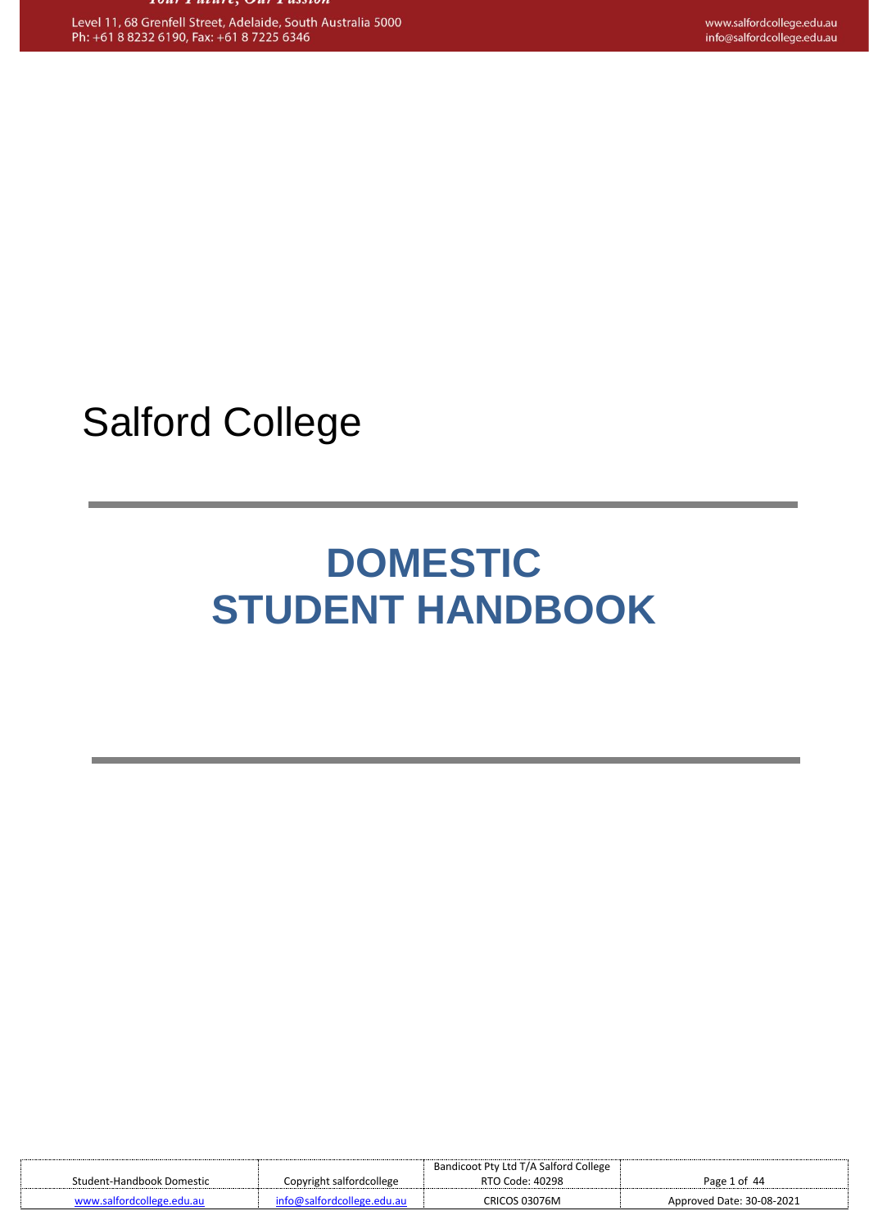Salford College

# <span id="page-0-1"></span><span id="page-0-0"></span>**DOMESTIC STUDENT HANDBOOK**

|                           |                            | Bandicoot Pty Ltd T/A Salford College |                           |
|---------------------------|----------------------------|---------------------------------------|---------------------------|
| Student-Handbook Domestic | Copyright salfordcollege   | RTO Code: 40298                       | Page 1 of 44              |
|                           | info@salfordcollege.edu.au | CRICOS 03076M                         | Approved Date: 30-08-2021 |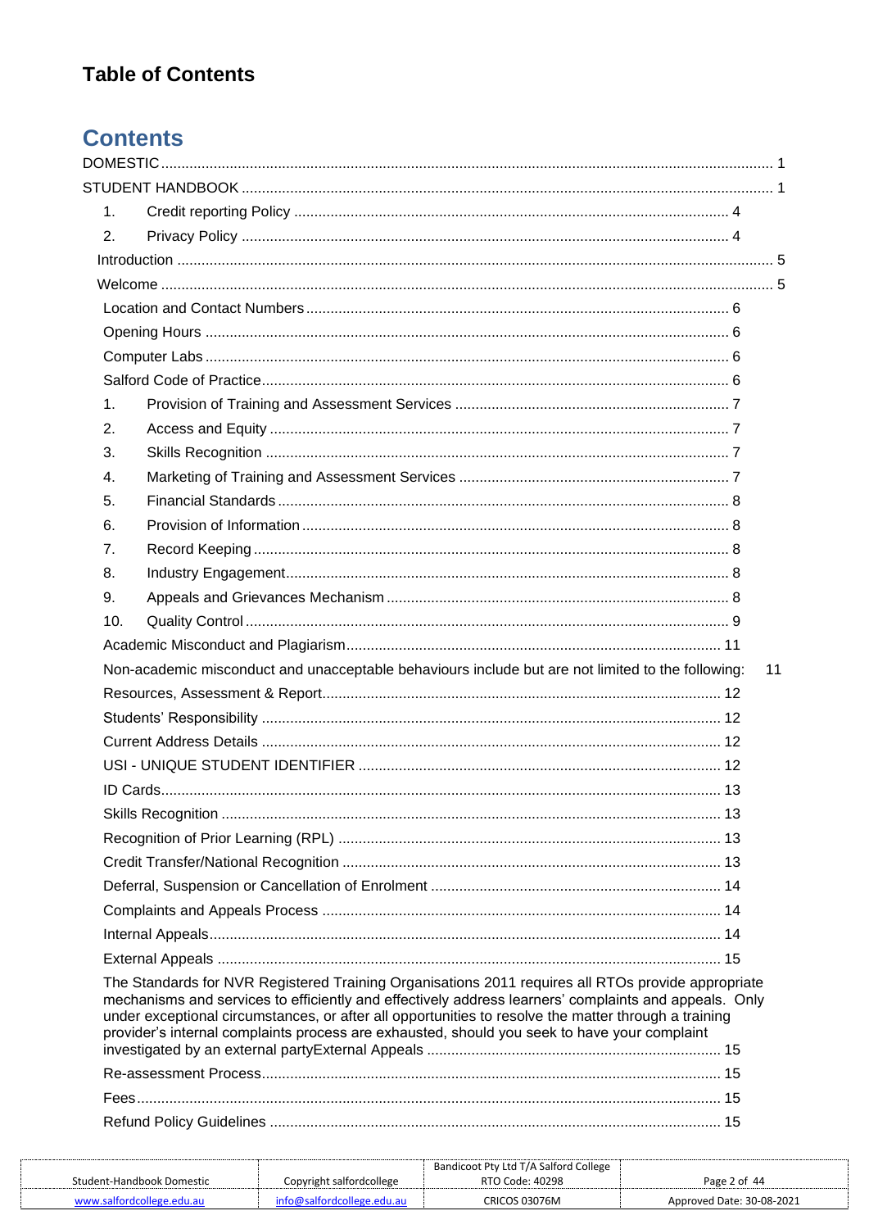# **Table of Contents**

# **Contents**

| 1.                                                                                                                                                                                                                                                                                                                                                                                                                  |    |
|---------------------------------------------------------------------------------------------------------------------------------------------------------------------------------------------------------------------------------------------------------------------------------------------------------------------------------------------------------------------------------------------------------------------|----|
| 2.                                                                                                                                                                                                                                                                                                                                                                                                                  |    |
|                                                                                                                                                                                                                                                                                                                                                                                                                     |    |
|                                                                                                                                                                                                                                                                                                                                                                                                                     |    |
|                                                                                                                                                                                                                                                                                                                                                                                                                     |    |
|                                                                                                                                                                                                                                                                                                                                                                                                                     |    |
|                                                                                                                                                                                                                                                                                                                                                                                                                     |    |
|                                                                                                                                                                                                                                                                                                                                                                                                                     |    |
| $\mathbf{1}$ .                                                                                                                                                                                                                                                                                                                                                                                                      |    |
| 2.                                                                                                                                                                                                                                                                                                                                                                                                                  |    |
| 3.                                                                                                                                                                                                                                                                                                                                                                                                                  |    |
| 4.                                                                                                                                                                                                                                                                                                                                                                                                                  |    |
| 5.                                                                                                                                                                                                                                                                                                                                                                                                                  |    |
| 6.                                                                                                                                                                                                                                                                                                                                                                                                                  |    |
| 7.                                                                                                                                                                                                                                                                                                                                                                                                                  |    |
| 8.                                                                                                                                                                                                                                                                                                                                                                                                                  |    |
| 9.                                                                                                                                                                                                                                                                                                                                                                                                                  |    |
| 10.                                                                                                                                                                                                                                                                                                                                                                                                                 |    |
|                                                                                                                                                                                                                                                                                                                                                                                                                     |    |
| Non-academic misconduct and unacceptable behaviours include but are not limited to the following:                                                                                                                                                                                                                                                                                                                   | 11 |
|                                                                                                                                                                                                                                                                                                                                                                                                                     |    |
|                                                                                                                                                                                                                                                                                                                                                                                                                     |    |
|                                                                                                                                                                                                                                                                                                                                                                                                                     |    |
|                                                                                                                                                                                                                                                                                                                                                                                                                     |    |
|                                                                                                                                                                                                                                                                                                                                                                                                                     |    |
|                                                                                                                                                                                                                                                                                                                                                                                                                     |    |
|                                                                                                                                                                                                                                                                                                                                                                                                                     |    |
|                                                                                                                                                                                                                                                                                                                                                                                                                     |    |
|                                                                                                                                                                                                                                                                                                                                                                                                                     |    |
|                                                                                                                                                                                                                                                                                                                                                                                                                     |    |
|                                                                                                                                                                                                                                                                                                                                                                                                                     |    |
|                                                                                                                                                                                                                                                                                                                                                                                                                     |    |
| The Standards for NVR Registered Training Organisations 2011 requires all RTOs provide appropriate<br>mechanisms and services to efficiently and effectively address learners' complaints and appeals. Only<br>under exceptional circumstances, or after all opportunities to resolve the matter through a training<br>provider's internal complaints process are exhausted, should you seek to have your complaint |    |
|                                                                                                                                                                                                                                                                                                                                                                                                                     |    |
|                                                                                                                                                                                                                                                                                                                                                                                                                     |    |
|                                                                                                                                                                                                                                                                                                                                                                                                                     |    |

|                           |                            | Bandicoot Pty Ltd T/A Salford College |                           |
|---------------------------|----------------------------|---------------------------------------|---------------------------|
| Student-Handbook Domestic | Copyright salfordcollege   | RTO Code: 40298                       | Page 2 of 44              |
| www.salfordcollege.edu.au | info@salfordcollege.edu.au | CRICOS 03076M                         | Approved Date: 30-08-2021 |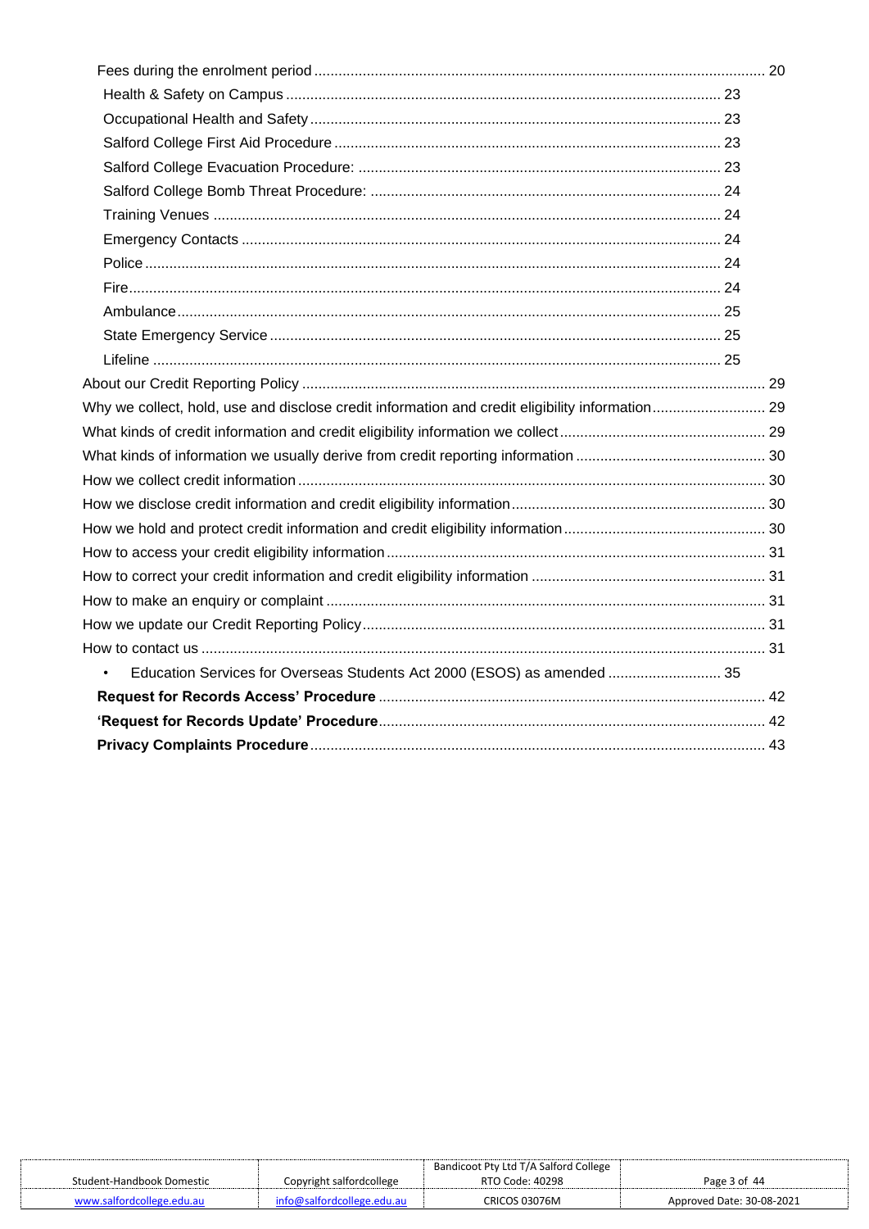| Why we collect, hold, use and disclose credit information and credit eligibility information 29 |  |
|-------------------------------------------------------------------------------------------------|--|
|                                                                                                 |  |
|                                                                                                 |  |
|                                                                                                 |  |
|                                                                                                 |  |
|                                                                                                 |  |
|                                                                                                 |  |
|                                                                                                 |  |
|                                                                                                 |  |
|                                                                                                 |  |
|                                                                                                 |  |
| Education Services for Overseas Students Act 2000 (ESOS) as amended  35<br>$\bullet$            |  |
|                                                                                                 |  |
|                                                                                                 |  |
|                                                                                                 |  |

|                           |                            | Bandicoot Pty Ltd T/A Salford College |                           |
|---------------------------|----------------------------|---------------------------------------|---------------------------|
| Student-Handbook Domestic | Copyright salfordcollege   | RTO Code: 40298                       | Page 3 of 44              |
| www.salfordcollege.edu.au | into@saltordcollege.edu.au | CRICOS 03076M                         | Approved Date: 30-08-2021 |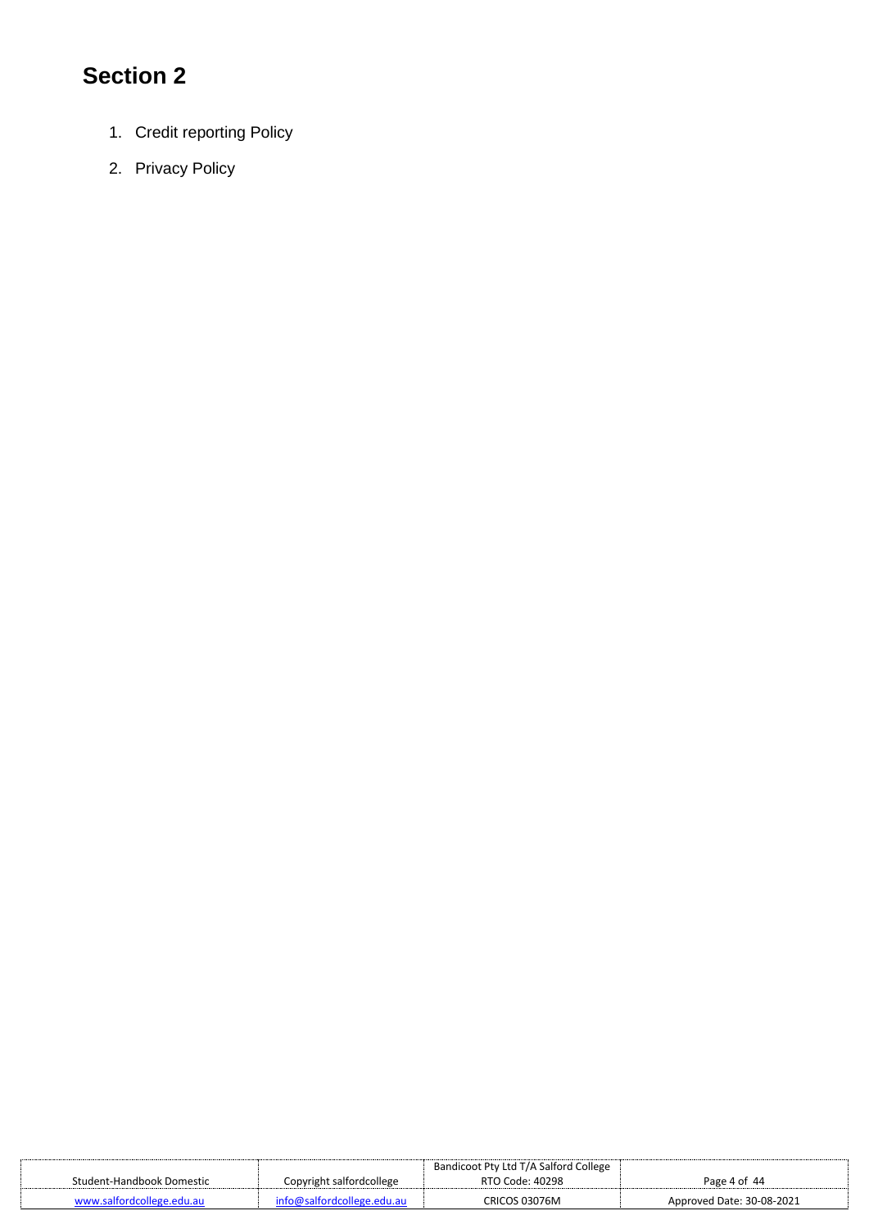# **Section 2**

- <span id="page-3-0"></span>1. Credit reporting Policy
- <span id="page-3-1"></span>2. Privacy Policy

|                           | Bandicoot Pty Ltd T/A Salford College |                           |
|---------------------------|---------------------------------------|---------------------------|
| Student-Handbook Domestic | RTO Code: 40298                       | Page 4 of 44              |
|                           | CRICOS 03076M                         | Approved Date: 30-08-2021 |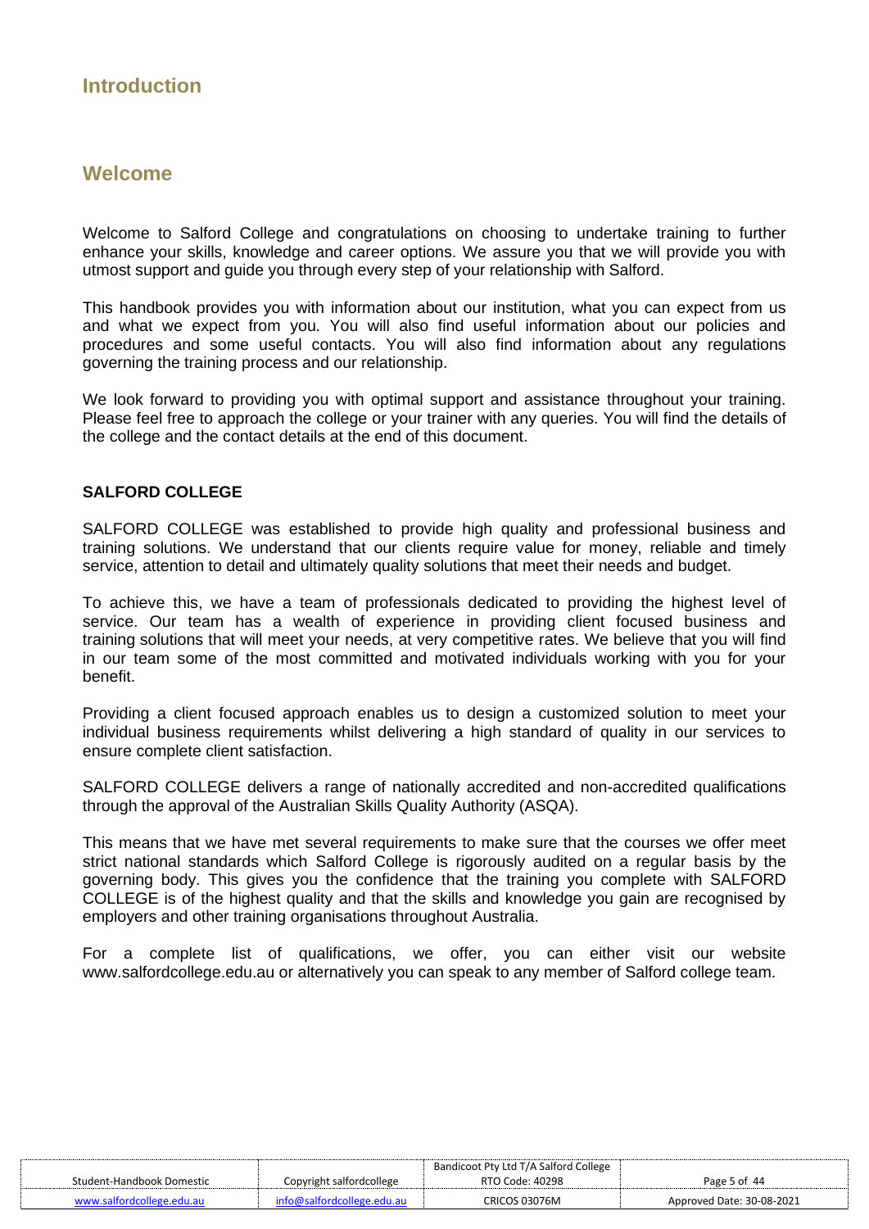# <span id="page-4-0"></span>**Introduction**

# <span id="page-4-1"></span>**Welcome**

Welcome to Salford College and congratulations on choosing to undertake training to further enhance your skills, knowledge and career options. We assure you that we will provide you with utmost support and guide you through every step of your relationship with Salford.

This handbook provides you with information about our institution, what you can expect from us and what we expect from you. You will also find useful information about our policies and procedures and some useful contacts. You will also find information about any regulations governing the training process and our relationship.

We look forward to providing you with optimal support and assistance throughout your training. Please feel free to approach the college or your trainer with any queries. You will find the details of the college and the contact details at the end of this document.

# **SALFORD COLLEGE**

SALFORD COLLEGE was established to provide high quality and professional business and training solutions. We understand that our clients require value for money, reliable and timely service, attention to detail and ultimately quality solutions that meet their needs and budget.

To achieve this, we have a team of professionals dedicated to providing the highest level of service. Our team has a wealth of experience in providing client focused business and training solutions that will meet your needs, at very competitive rates. We believe that you will find in our team some of the most committed and motivated individuals working with you for your benefit.

Providing a client focused approach enables us to design a customized solution to meet your individual business requirements whilst delivering a high standard of quality in our services to ensure complete client satisfaction.

SALFORD COLLEGE delivers a range of nationally accredited and non-accredited qualifications through the approval of the Australian Skills Quality Authority (ASQA).

This means that we have met several requirements to make sure that the courses we offer meet strict national standards which Salford College is rigorously audited on a regular basis by the governing body. This gives you the confidence that the training you complete with SALFORD COLLEGE is of the highest quality and that the skills and knowledge you gain are recognised by employers and other training organisations throughout Australia.

For a complete list of qualifications, we offer, you can either visit our website www.salfordcollege.edu.au or alternatively you can speak to any member of Salford college team.

|                           |                          | Bandicoot Pty Ltd T/A Salford College |                           |
|---------------------------|--------------------------|---------------------------------------|---------------------------|
| Student-Handbook Domestic | Copyright salfordcollege | RTO Code: 40298                       | Page 5 of 44              |
|                           |                          | CRICOS 03076M                         | Approved Date: 30-08-2021 |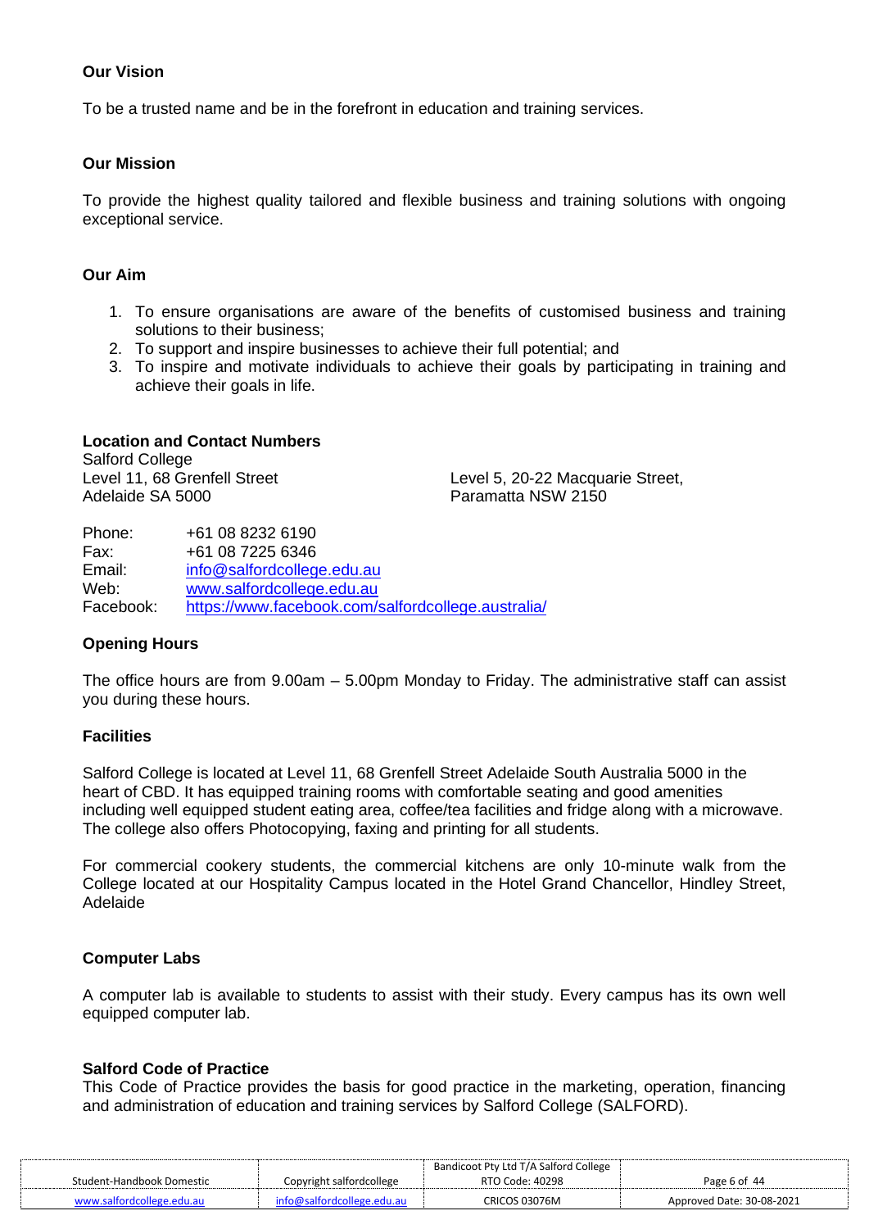# **Our Vision**

To be a trusted name and be in the forefront in education and training services.

# **Our Mission**

To provide the highest quality tailored and flexible business and training solutions with ongoing exceptional service.

# **Our Aim**

- 1. To ensure organisations are aware of the benefits of customised business and training solutions to their business;
- 2. To support and inspire businesses to achieve their full potential; and
- 3. To inspire and motivate individuals to achieve their goals by participating in training and achieve their goals in life.

# <span id="page-5-0"></span>**Location and Contact Numbers**

Salford College Adelaide SA 5000 Paramatta NSW 2150

Level 11, 68 Grenfell Street Level 5, 20-22 Macquarie Street,

Phone: +61 08 8232 6190 Fax: +61 08 7225 6346 Email: [info@salfordcollege.edu.au](mailto:info@salfordcollege.edu.au) Web: [www.salfordcollege.edu.au](http://www.salfordcollege.edu.au/) Facebook: <https://www.facebook.com/salfordcollege.australia/>

# <span id="page-5-1"></span>**Opening Hours**

The office hours are from 9.00am – 5.00pm Monday to Friday. The administrative staff can assist you during these hours.

# **Facilities**

Salford College is located at Level 11, 68 Grenfell Street Adelaide South Australia 5000 in the heart of CBD. It has equipped training rooms with comfortable seating and good amenities including well equipped student eating area, coffee/tea facilities and fridge along with a microwave. The college also offers Photocopying, faxing and printing for all students.

For commercial cookery students, the commercial kitchens are only 10-minute walk from the College located at our Hospitality Campus located in the Hotel Grand Chancellor, Hindley Street, Adelaide

# <span id="page-5-2"></span>**Computer Labs**

A computer lab is available to students to assist with their study. Every campus has its own well equipped computer lab.

# <span id="page-5-3"></span>**Salford Code of Practice**

This Code of Practice provides the basis for good practice in the marketing, operation, financing and administration of education and training services by Salford College (SALFORD).

|                           |                          | Bandicoot Pty Ltd T/A Salford College |                           |
|---------------------------|--------------------------|---------------------------------------|---------------------------|
| Student-Handbook Domestic | Copyright salfordcollege | RTO Code: 40298                       | Page 6 of 44              |
|                           |                          | CRICOS 03076M                         | Approved Date: 30-08-2021 |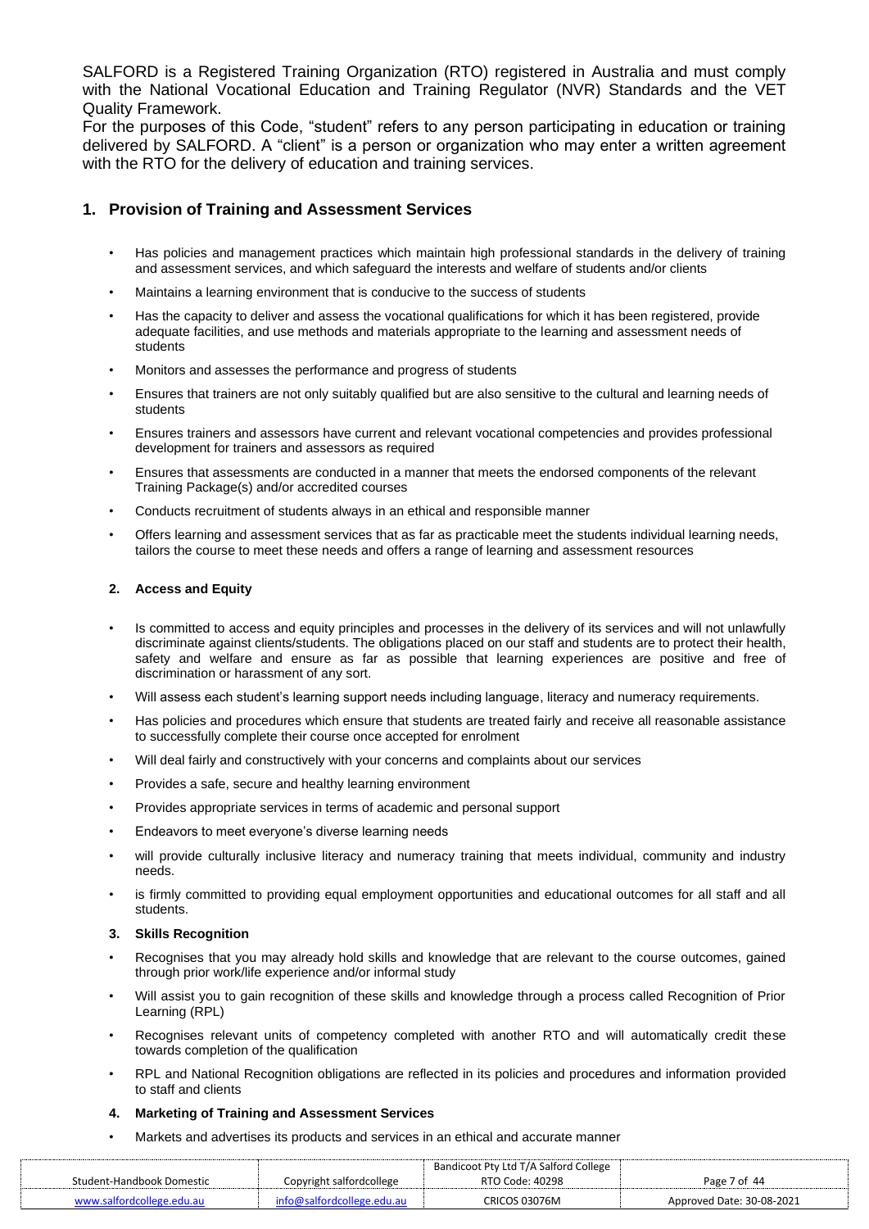SALFORD is a Registered Training Organization (RTO) registered in Australia and must comply with the National Vocational Education and Training Regulator (NVR) Standards and the VET Quality Framework.

For the purposes of this Code, "student" refers to any person participating in education or training delivered by SALFORD. A "client" is a person or organization who may enter a written agreement with the RTO for the delivery of education and training services.

# <span id="page-6-0"></span>**1. Provision of Training and Assessment Services**

- Has policies and management practices which maintain high professional standards in the delivery of training and assessment services, and which safeguard the interests and welfare of students and/or clients
- Maintains a learning environment that is conducive to the success of students
- Has the capacity to deliver and assess the vocational qualifications for which it has been registered, provide adequate facilities, and use methods and materials appropriate to the learning and assessment needs of students
- Monitors and assesses the performance and progress of students
- Ensures that trainers are not only suitably qualified but are also sensitive to the cultural and learning needs of students
- Ensures trainers and assessors have current and relevant vocational competencies and provides professional development for trainers and assessors as required
- Ensures that assessments are conducted in a manner that meets the endorsed components of the relevant Training Package(s) and/or accredited courses
- Conducts recruitment of students always in an ethical and responsible manner
- Offers learning and assessment services that as far as practicable meet the students individual learning needs, tailors the course to meet these needs and offers a range of learning and assessment resources

# <span id="page-6-1"></span>**2. Access and Equity**

- Is committed to access and equity principles and processes in the delivery of its services and will not unlawfully discriminate against clients/students. The obligations placed on our staff and students are to protect their health, safety and welfare and ensure as far as possible that learning experiences are positive and free of discrimination or harassment of any sort.
- Will assess each student's learning support needs including language, literacy and numeracy requirements.
- Has policies and procedures which ensure that students are treated fairly and receive all reasonable assistance to successfully complete their course once accepted for enrolment
- Will deal fairly and constructively with your concerns and complaints about our services
- Provides a safe, secure and healthy learning environment
- Provides appropriate services in terms of academic and personal support
- Endeavors to meet everyone's diverse learning needs
- will provide culturally inclusive literacy and numeracy training that meets individual, community and industry needs.
- is firmly committed to providing equal employment opportunities and educational outcomes for all staff and all students.

# <span id="page-6-2"></span>**3. Skills Recognition**

- Recognises that you may already hold skills and knowledge that are relevant to the course outcomes, gained through prior work/life experience and/or informal study
- Will assist you to gain recognition of these skills and knowledge through a process called Recognition of Prior Learning (RPL)
- Recognises relevant units of competency completed with another RTO and will automatically credit these towards completion of the qualification
- RPL and National Recognition obligations are reflected in its policies and procedures and information provided to staff and clients

# <span id="page-6-3"></span>**4. Marketing of Training and Assessment Services**

• Markets and advertises its products and services in an ethical and accurate manner

|                           |                          | Bandicoot Pty Ltd T/A Salford College |                           |
|---------------------------|--------------------------|---------------------------------------|---------------------------|
| Student-Handbook Domestic | Copyright salfordcollege | RTO Code: 40298                       | Page 7 of 44              |
| www.salfordcollege.edu.au |                          | CRICOS 03076M                         | Approved Date: 30-08-2021 |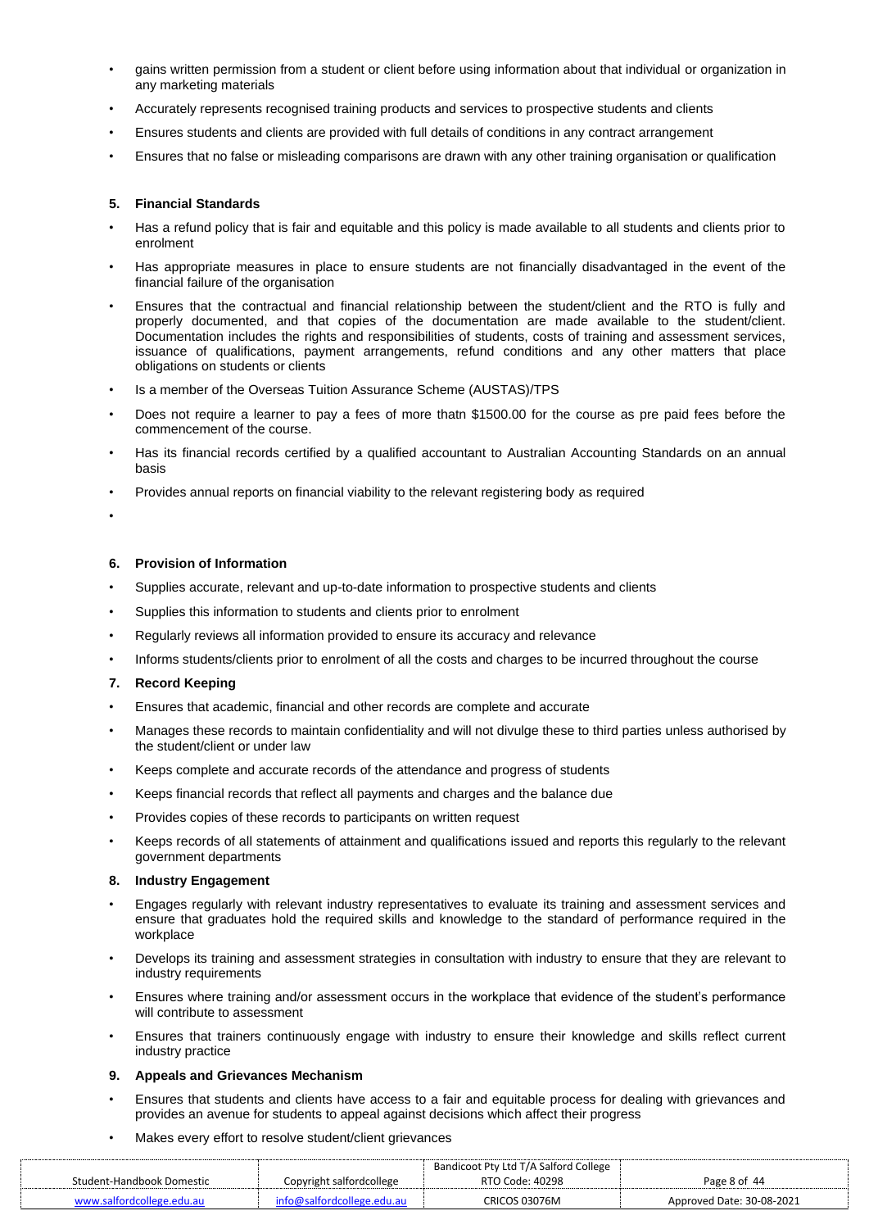- gains written permission from a student or client before using information about that individual or organization in any marketing materials
- Accurately represents recognised training products and services to prospective students and clients
- Ensures students and clients are provided with full details of conditions in any contract arrangement
- Ensures that no false or misleading comparisons are drawn with any other training organisation or qualification

# <span id="page-7-0"></span>**5. Financial Standards**

- Has a refund policy that is fair and equitable and this policy is made available to all students and clients prior to enrolment
- Has appropriate measures in place to ensure students are not financially disadvantaged in the event of the financial failure of the organisation
- Ensures that the contractual and financial relationship between the student/client and the RTO is fully and properly documented, and that copies of the documentation are made available to the student/client. Documentation includes the rights and responsibilities of students, costs of training and assessment services, issuance of qualifications, payment arrangements, refund conditions and any other matters that place obligations on students or clients
- Is a member of the Overseas Tuition Assurance Scheme (AUSTAS)/TPS
- Does not require a learner to pay a fees of more thatn \$1500.00 for the course as pre paid fees before the commencement of the course.
- Has its financial records certified by a qualified accountant to Australian Accounting Standards on an annual basis
- Provides annual reports on financial viability to the relevant registering body as required
- •

# <span id="page-7-1"></span>**6. Provision of Information**

- Supplies accurate, relevant and up-to-date information to prospective students and clients
- Supplies this information to students and clients prior to enrolment
- Regularly reviews all information provided to ensure its accuracy and relevance
- Informs students/clients prior to enrolment of all the costs and charges to be incurred throughout the course

# <span id="page-7-2"></span>**7. Record Keeping**

- Ensures that academic, financial and other records are complete and accurate
- Manages these records to maintain confidentiality and will not divulge these to third parties unless authorised by the student/client or under law
- Keeps complete and accurate records of the attendance and progress of students
- Keeps financial records that reflect all payments and charges and the balance due
- Provides copies of these records to participants on written request
- Keeps records of all statements of attainment and qualifications issued and reports this regularly to the relevant government departments

# <span id="page-7-3"></span>**8. Industry Engagement**

- Engages regularly with relevant industry representatives to evaluate its training and assessment services and ensure that graduates hold the required skills and knowledge to the standard of performance required in the workplace
- Develops its training and assessment strategies in consultation with industry to ensure that they are relevant to industry requirements
- Ensures where training and/or assessment occurs in the workplace that evidence of the student's performance will contribute to assessment
- Ensures that trainers continuously engage with industry to ensure their knowledge and skills reflect current industry practice

# <span id="page-7-4"></span>**9. Appeals and Grievances Mechanism**

- Ensures that students and clients have access to a fair and equitable process for dealing with grievances and provides an avenue for students to appeal against decisions which affect their progress
- Makes every effort to resolve student/client grievances

|                           |                          | Bandicoot Pty Ltd T/A Salford College |                           |
|---------------------------|--------------------------|---------------------------------------|---------------------------|
| Student-Handbook Domestic | Copyright salfordcollege | RTO Code: 40298                       | Page 8 of 44              |
|                           |                          | CRICOS 03076M                         | Approved Date: 30-08-2021 |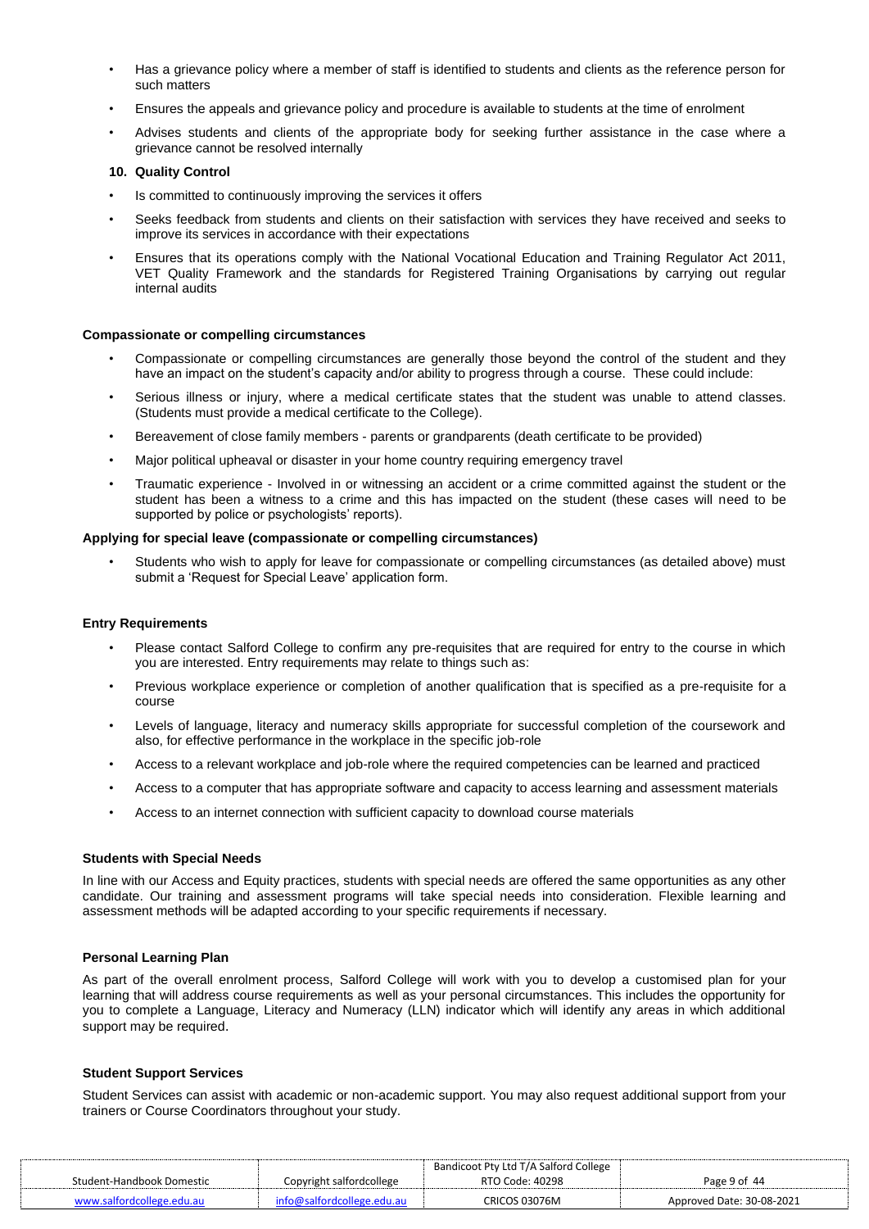- Has a grievance policy where a member of staff is identified to students and clients as the reference person for such matters
- Ensures the appeals and grievance policy and procedure is available to students at the time of enrolment
- Advises students and clients of the appropriate body for seeking further assistance in the case where a grievance cannot be resolved internally

# <span id="page-8-0"></span>**10. Quality Control**

- Is committed to continuously improving the services it offers
- Seeks feedback from students and clients on their satisfaction with services they have received and seeks to improve its services in accordance with their expectations
- Ensures that its operations comply with the National Vocational Education and Training Regulator Act 2011, VET Quality Framework and the standards for Registered Training Organisations by carrying out regular internal audits

# **Compassionate or compelling circumstances**

- Compassionate or compelling circumstances are generally those beyond the control of the student and they have an impact on the student's capacity and/or ability to progress through a course. These could include:
- Serious illness or injury, where a medical certificate states that the student was unable to attend classes. (Students must provide a medical certificate to the College).
- Bereavement of close family members parents or grandparents (death certificate to be provided)
- Major political upheaval or disaster in your home country requiring emergency travel
- Traumatic experience Involved in or witnessing an accident or a crime committed against the student or the student has been a witness to a crime and this has impacted on the student (these cases will need to be supported by police or psychologists' reports).

# **Applying for special leave (compassionate or compelling circumstances)**

• Students who wish to apply for leave for compassionate or compelling circumstances (as detailed above) must submit a 'Request for Special Leave' application form.

# **Entry Requirements**

- Please contact Salford College to confirm any pre-requisites that are required for entry to the course in which you are interested. Entry requirements may relate to things such as:
- Previous workplace experience or completion of another qualification that is specified as a pre-requisite for a course
- Levels of language, literacy and numeracy skills appropriate for successful completion of the coursework and also, for effective performance in the workplace in the specific job-role
- Access to a relevant workplace and job-role where the required competencies can be learned and practiced
- Access to a computer that has appropriate software and capacity to access learning and assessment materials
- Access to an internet connection with sufficient capacity to download course materials

# **Students with Special Needs**

In line with our Access and Equity practices, students with special needs are offered the same opportunities as any other candidate. Our training and assessment programs will take special needs into consideration. Flexible learning and assessment methods will be adapted according to your specific requirements if necessary.

# **Personal Learning Plan**

As part of the overall enrolment process, Salford College will work with you to develop a customised plan for your learning that will address course requirements as well as your personal circumstances. This includes the opportunity for you to complete a Language, Literacy and Numeracy (LLN) indicator which will identify any areas in which additional support may be required.

# **Student Support Services**

Student Services can assist with academic or non-academic support. You may also request additional support from your trainers or Course Coordinators throughout your study.

|                           |                          | Bandicoot Pty Ltd T/A Salford College |                           |
|---------------------------|--------------------------|---------------------------------------|---------------------------|
| Student-Handbook Domestic | Copyright salfordcollege | RTO Code: 40298                       | Page 9 of 44              |
|                           |                          | CRICOS 03076M                         | Approved Date: 30-08-2021 |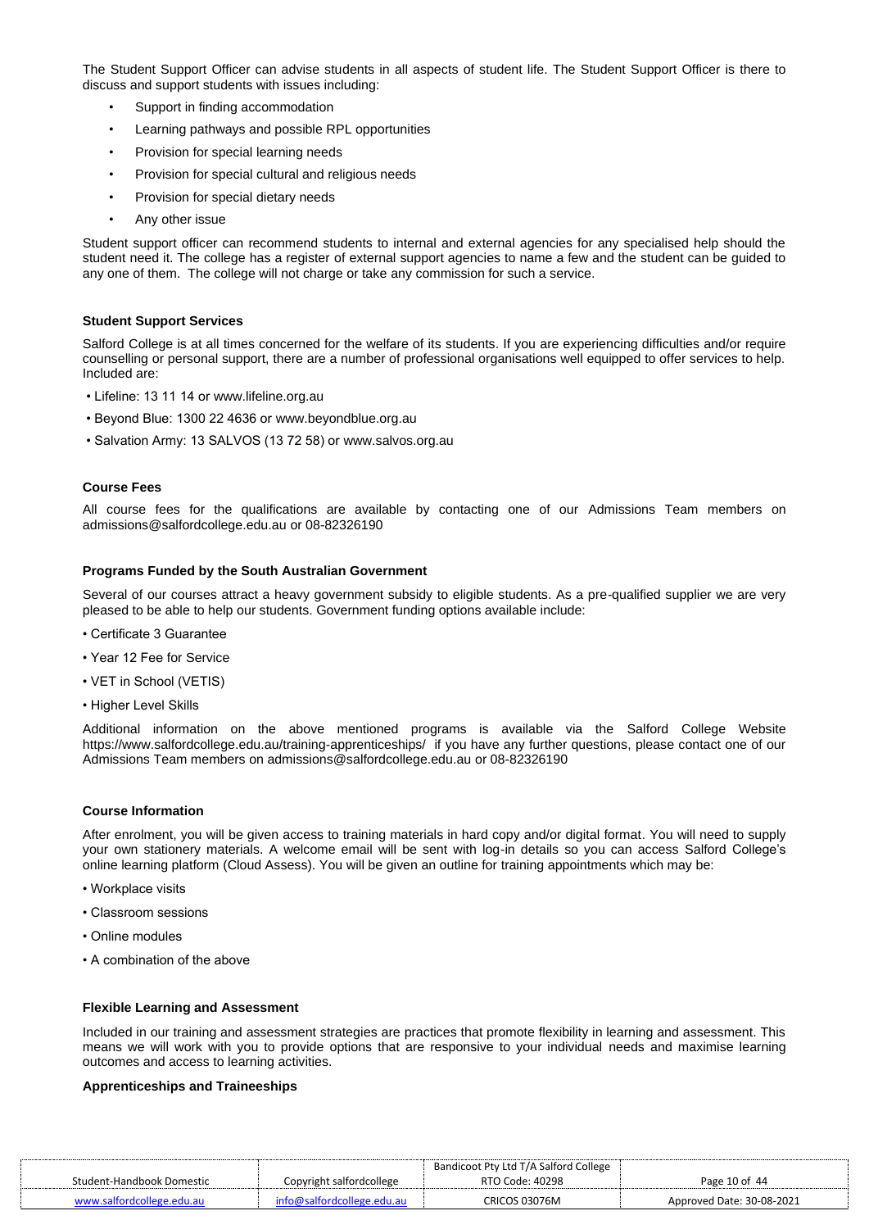The Student Support Officer can advise students in all aspects of student life. The Student Support Officer is there to discuss and support students with issues including:

- Support in finding accommodation
- Learning pathways and possible RPL opportunities
- Provision for special learning needs
- Provision for special cultural and religious needs
- Provision for special dietary needs
- Any other issue

Student support officer can recommend students to internal and external agencies for any specialised help should the student need it. The college has a register of external support agencies to name a few and the student can be guided to any one of them. The college will not charge or take any commission for such a service.

# **Student Support Services**

Salford College is at all times concerned for the welfare of its students. If you are experiencing difficulties and/or require counselling or personal support, there are a number of professional organisations well equipped to offer services to help. Included are:

- Lifeline: 13 11 14 or [www.lifeline.org.au](http://www.lifeline.org.au/)
- Beyond Blue: 1300 22 4636 or [www.beyondblue.org.au](http://www.beyondblue.org.au/)
- Salvation Army: 13 SALVOS (13 72 58) or [www.salvos.org.au](http://www.salvos.org.au/)

# **Course Fees**

All course fees for the qualifications are available by contacting one of our Admissions Team members on [admissions@salfordcollege.edu.au](mailto:admissions@salfordcollege.edu.au) or 08-82326190

# **Programs Funded by the South Australian Government**

Several of our courses attract a heavy government subsidy to eligible students. As a pre-qualified supplier we are very pleased to be able to help our students. Government funding options available include:

- Certificate 3 Guarantee
- Year 12 Fee for Service
- VET in School (VETIS)
- Higher Level Skills

Additional information on the above mentioned programs is available via the Salford College Website <https://www.salfordcollege.edu.au/training-apprenticeships/> if you have any further questions, please contact one of our Admissions Team members on [admissions@salfordcollege.edu.au](mailto:admissions@salfordcollege.edu.au) or 08-82326190

# **Course Information**

After enrolment, you will be given access to training materials in hard copy and/or digital format. You will need to supply your own stationery materials. A welcome email will be sent with log-in details so you can access Salford College's online learning platform (Cloud Assess). You will be given an outline for training appointments which may be:

- Workplace visits
- Classroom sessions
- Online modules
- A combination of the above

# **Flexible Learning and Assessment**

Included in our training and assessment strategies are practices that promote flexibility in learning and assessment. This means we will work with you to provide options that are responsive to your individual needs and maximise learning outcomes and access to learning activities.

# **Apprenticeships and Traineeships**

|                           |                            | Bandicoot Pty Ltd T/A Salford College |                           |
|---------------------------|----------------------------|---------------------------------------|---------------------------|
| Student-Handbook Domestic | Copyright salfordcollege   | RTO Code: 40298                       | Page 10 of 44             |
|                           | into@saltordcollege.edu.au | CRICOS 03076M                         | Approved Date: 30-08-2021 |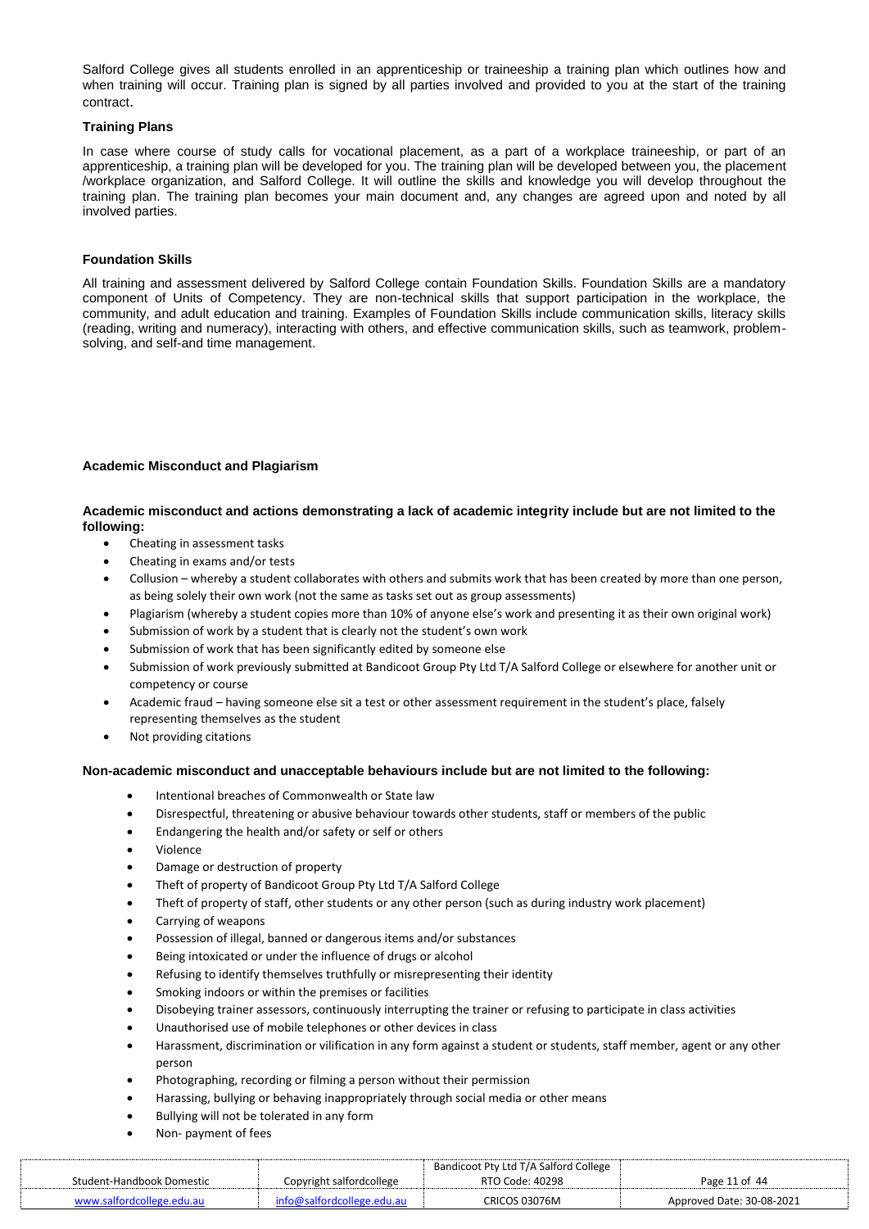Salford College gives all students enrolled in an apprenticeship or traineeship a training plan which outlines how and when training will occur. Training plan is signed by all parties involved and provided to you at the start of the training contract.

# **Training Plans**

In case where course of study calls for vocational placement, as a part of a workplace traineeship, or part of an apprenticeship, a training plan will be developed for you. The training plan will be developed between you, the placement /workplace organization, and Salford College. It will outline the skills and knowledge you will develop throughout the training plan. The training plan becomes your main document and, any changes are agreed upon and noted by all involved parties.

# **Foundation Skills**

All training and assessment delivered by Salford College contain Foundation Skills. Foundation Skills are a mandatory component of Units of Competency. They are non-technical skills that support participation in the workplace, the community, and adult education and training. Examples of Foundation Skills include communication skills, literacy skills (reading, writing and numeracy), interacting with others, and effective communication skills, such as teamwork, problemsolving, and self-and time management.

# <span id="page-10-0"></span>**Academic Misconduct and Plagiarism**

# **Academic misconduct and actions demonstrating a lack of academic integrity include but are not limited to the following:**

- Cheating in assessment tasks
- Cheating in exams and/or tests
- Collusion whereby a student collaborates with others and submits work that has been created by more than one person, as being solely their own work (not the same as tasks set out as group assessments)
- Plagiarism (whereby a student copies more than 10% of anyone else's work and presenting it as their own original work)
- Submission of work by a student that is clearly not the student's own work
- Submission of work that has been significantly edited by someone else
- Submission of work previously submitted at Bandicoot Group Pty Ltd T/A Salford College or elsewhere for another unit or competency or course
- Academic fraud having someone else sit a test or other assessment requirement in the student's place, falsely representing themselves as the student
- Not providing citations

# <span id="page-10-1"></span>**Non-academic misconduct and unacceptable behaviours include but are not limited to the following:**

- Intentional breaches of Commonwealth or State law
- Disrespectful, threatening or abusive behaviour towards other students, staff or members of the public
- Endangering the health and/or safety or self or others
- Violence
- Damage or destruction of property
- Theft of property of Bandicoot Group Pty Ltd T/A Salford College
- Theft of property of staff, other students or any other person (such as during industry work placement)
- Carrying of weapons
- Possession of illegal, banned or dangerous items and/or substances
- Being intoxicated or under the influence of drugs or alcohol
- Refusing to identify themselves truthfully or misrepresenting their identity
- Smoking indoors or within the premises or facilities
- Disobeying trainer assessors, continuously interrupting the trainer or refusing to participate in class activities
- Unauthorised use of mobile telephones or other devices in class
- Harassment, discrimination or vilification in any form against a student or students, staff member, agent or any other person
- Photographing, recording or filming a person without their permission
- Harassing, bullying or behaving inappropriately through social media or other means
- Bullying will not be tolerated in any form
- Non- payment of fees

|                           |                            | Bandicoot Pty Ltd T/A Salford College |                           |
|---------------------------|----------------------------|---------------------------------------|---------------------------|
| Student-Handbook Domestic | Copyright salfordcollege   | RTO Code: 40298                       | Page 11 of 44             |
| www.salfordcollege.edu.au | info@salfordcollege.edu.au | CRICOS 03076M                         | Approved Date: 30-08-2021 |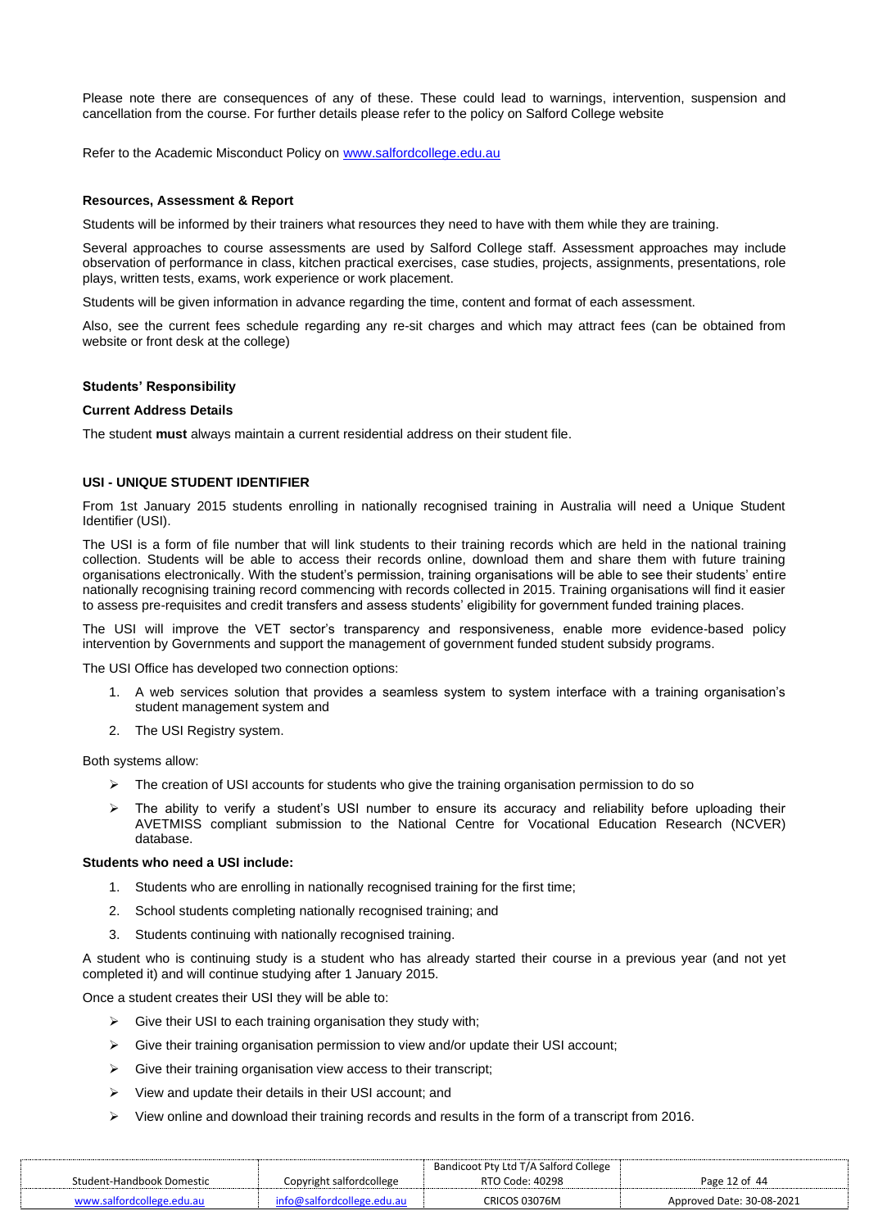Please note there are consequences of any of these. These could lead to warnings, intervention, suspension and cancellation from the course. For further details please refer to the policy on Salford College website

Refer to the Academic Misconduct Policy on [www.salfordcollege.edu.au](http://www.salfordcollege.edu.au/)

# <span id="page-11-0"></span>**Resources, Assessment & Report**

Students will be informed by their trainers what resources they need to have with them while they are training.

Several approaches to course assessments are used by Salford College staff. Assessment approaches may include observation of performance in class, kitchen practical exercises, case studies, projects, assignments, presentations, role plays, written tests, exams, work experience or work placement.

Students will be given information in advance regarding the time, content and format of each assessment.

Also, see the current fees schedule regarding any re-sit charges and which may attract fees (can be obtained from website or front desk at the college)

#### <span id="page-11-1"></span>**Students' Responsibility**

#### <span id="page-11-2"></span>**Current Address Details**

The student **must** always maintain a current residential address on their student file.

# <span id="page-11-3"></span>**USI - UNIQUE STUDENT IDENTIFIER**

From 1st January 2015 students enrolling in nationally recognised training in Australia will need a Unique Student Identifier (USI).

The USI is a form of file number that will link students to their training records which are held in the national training collection. Students will be able to access their records online, download them and share them with future training organisations electronically. With the student's permission, training organisations will be able to see their students' entire nationally recognising training record commencing with records collected in 2015. Training organisations will find it easier to assess pre-requisites and credit transfers and assess students' eligibility for government funded training places.

The USI will improve the VET sector's transparency and responsiveness, enable more evidence-based policy intervention by Governments and support the management of government funded student subsidy programs.

The USI Office has developed two connection options:

- 1. A web services solution that provides a seamless system to system interface with a training organisation's student management system and
- 2. The USI Registry system.

Both systems allow:

- $\triangleright$  The creation of USI accounts for students who give the training organisation permission to do so
- ➢ The ability to verify a student's USI number to ensure its accuracy and reliability before uploading their AVETMISS compliant submission to the National Centre for Vocational Education Research (NCVER) database.

#### **Students who need a USI include:**

- 1. Students who are enrolling in nationally recognised training for the first time;
- 2. School students completing nationally recognised training; and
- 3. Students continuing with nationally recognised training.

A student who is continuing study is a student who has already started their course in a previous year (and not yet completed it) and will continue studying after 1 January 2015.

Once a student creates their USI they will be able to:

- ➢ Give their USI to each training organisation they study with;
- ➢ Give their training organisation permission to view and/or update their USI account;
- $\triangleright$  Give their training organisation view access to their transcript;
- ➢ View and update their details in their USI account; and
- $\triangleright$  View online and download their training records and results in the form of a transcript from 2016.

|                           |                            | Bandicoot Pty Ltd T/A Salford College |                           |
|---------------------------|----------------------------|---------------------------------------|---------------------------|
| Student-Handbook Domestic | Copyright salfordcollege   | RTO Code: 40298                       | Page 12 of 44             |
| www.salfordcollege.edu.au | info@salfordcollege.edu.au | CRICOS 03076M                         | Approved Date: 30-08-2021 |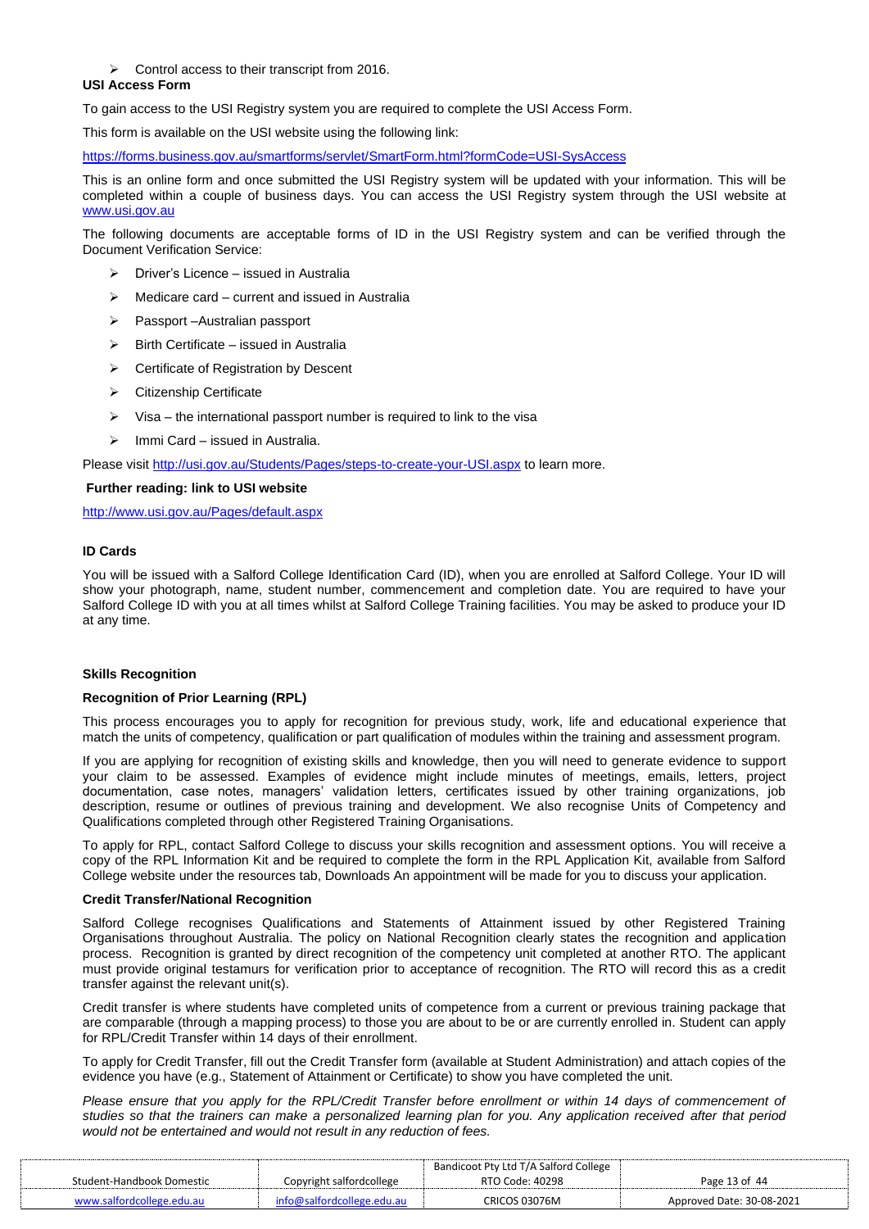# ➢ Control access to their transcript from 2016.

# **USI Access Form**

To gain access to the USI Registry system you are required to complete the USI Access Form.

This form is available on the USI website using the following link:

<https://forms.business.gov.au/smartforms/servlet/SmartForm.html?formCode=USI-SysAccess>

This is an online form and once submitted the USI Registry system will be updated with your information. This will be completed within a couple of business days. You can access the USI Registry system through the USI website at [www.usi.gov.au](http://www.usi.gov.au/)

The following documents are acceptable forms of ID in the USI Registry system and can be verified through the Document Verification Service:

- ➢ Driver's Licence issued in Australia
- $\triangleright$  Medicare card current and issued in Australia
- ➢ Passport –Australian passport
- $\triangleright$  Birth Certificate issued in Australia
- ➢ Certificate of Registration by Descent
- ➢ Citizenship Certificate
- $\triangleright$  Visa the international passport number is required to link to the visa
- $\triangleright$  Immi Card issued in Australia.

Please visi[t http://usi.gov.au/Students/Pages/steps-to-create-your-USI.aspx](http://usi.gov.au/Students/Pages/steps-to-create-your-USI.aspx) to learn more.

# **Further reading: link to USI website**

<http://www.usi.gov.au/Pages/default.aspx>

# <span id="page-12-0"></span>**ID Cards**

You will be issued with a Salford College Identification Card (ID), when you are enrolled at Salford College. Your ID will show your photograph, name, student number, commencement and completion date. You are required to have your Salford College ID with you at all times whilst at Salford College Training facilities. You may be asked to produce your ID at any time.

# <span id="page-12-1"></span>**Skills Recognition**

# <span id="page-12-2"></span>**Recognition of Prior Learning (RPL)**

This process encourages you to apply for recognition for previous study, work, life and educational experience that match the units of competency, qualification or part qualification of modules within the training and assessment program.

If you are applying for recognition of existing skills and knowledge, then you will need to generate evidence to support your claim to be assessed. Examples of evidence might include minutes of meetings, emails, letters, project documentation, case notes, managers' validation letters, certificates issued by other training organizations, job description, resume or outlines of previous training and development. We also recognise Units of Competency and Qualifications completed through other Registered Training Organisations.

To apply for RPL, contact Salford College to discuss your skills recognition and assessment options. You will receive a copy of the RPL Information Kit and be required to complete the form in the RPL Application Kit, available from Salford College website under the resources tab, Downloads An appointment will be made for you to discuss your application.

# <span id="page-12-3"></span>**Credit Transfer/National Recognition**

Salford College recognises Qualifications and Statements of Attainment issued by other Registered Training Organisations throughout Australia. The policy on National Recognition clearly states the recognition and application process. Recognition is granted by direct recognition of the competency unit completed at another RTO. The applicant must provide original testamurs for verification prior to acceptance of recognition. The RTO will record this as a credit transfer against the relevant unit(s).

Credit transfer is where students have completed units of competence from a current or previous training package that are comparable (through a mapping process) to those you are about to be or are currently enrolled in. Student can apply for RPL/Credit Transfer within 14 days of their enrollment.

To apply for Credit Transfer, fill out the Credit Transfer form (available at Student Administration) and attach copies of the evidence you have (e.g., Statement of Attainment or Certificate) to show you have completed the unit.

*Please ensure that you apply for the RPL/Credit Transfer before enrollment or within 14 days of commencement of studies so that the trainers can make a personalized learning plan for you. Any application received after that period would not be entertained and would not result in any reduction of fees.*

|                           |                          | Bandicoot Pty Ltd T/A Salford College |                           |
|---------------------------|--------------------------|---------------------------------------|---------------------------|
| Student-Handbook Domestic | Copyright salfordcollege | RTO Code: 40298                       | Page 13 of 44             |
|                           |                          | CRICOS 03076M                         | Approved Date: 30-08-2021 |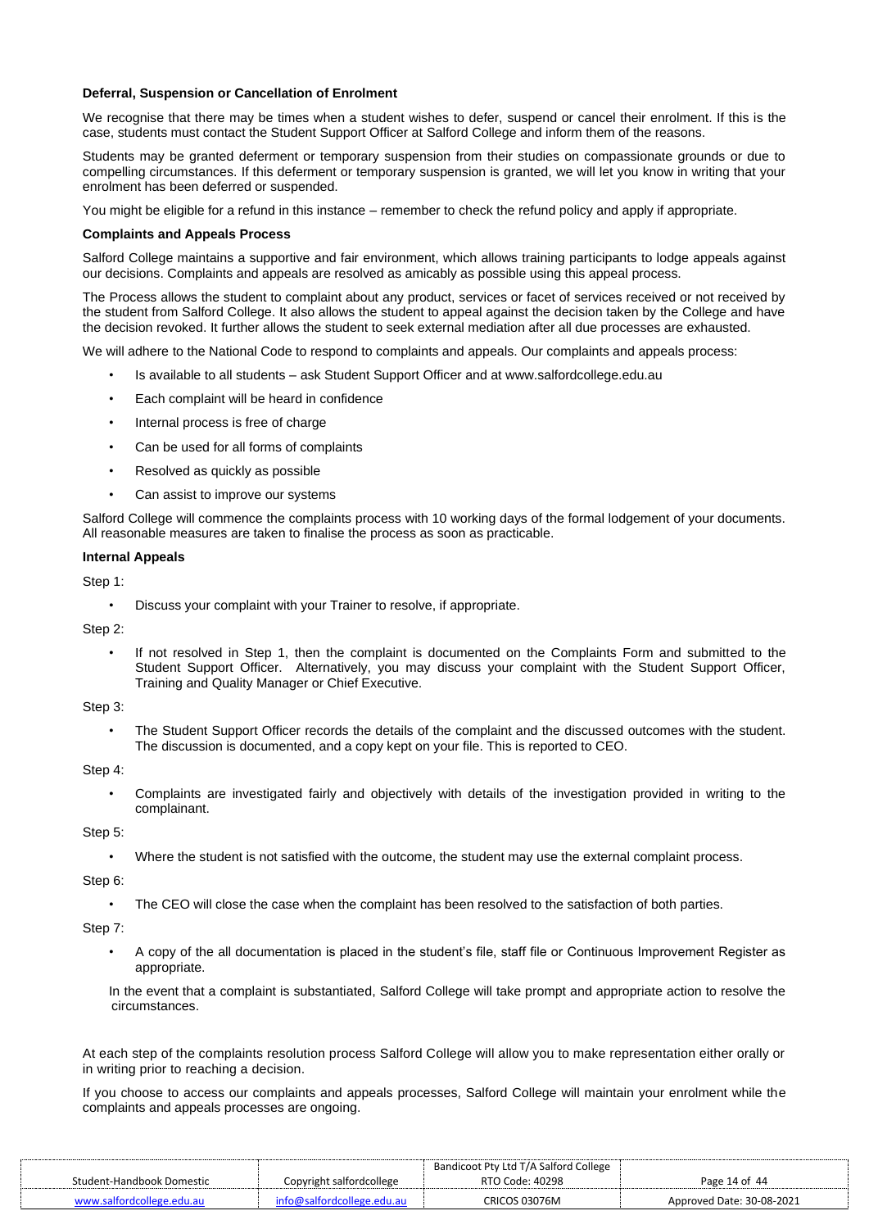# <span id="page-13-0"></span>**Deferral, Suspension or Cancellation of Enrolment**

We recognise that there may be times when a student wishes to defer, suspend or cancel their enrolment. If this is the case, students must contact the Student Support Officer at Salford College and inform them of the reasons.

Students may be granted deferment or temporary suspension from their studies on compassionate grounds or due to compelling circumstances. If this deferment or temporary suspension is granted, we will let you know in writing that your enrolment has been deferred or suspended.

You might be eligible for a refund in this instance – remember to check the refund policy and apply if appropriate.

# <span id="page-13-1"></span>**Complaints and Appeals Process**

Salford College maintains a supportive and fair environment, which allows training participants to lodge appeals against our decisions. Complaints and appeals are resolved as amicably as possible using this appeal process.

The Process allows the student to complaint about any product, services or facet of services received or not received by the student from Salford College. It also allows the student to appeal against the decision taken by the College and have the decision revoked. It further allows the student to seek external mediation after all due processes are exhausted.

We will adhere to the National Code to respond to complaints and appeals. Our complaints and appeals process:

- Is available to all students ask Student Support Officer and at www.salfordcollege.edu.au
- Each complaint will be heard in confidence
- Internal process is free of charge
- Can be used for all forms of complaints
- Resolved as quickly as possible
- Can assist to improve our systems

Salford College will commence the complaints process with 10 working days of the formal lodgement of your documents. All reasonable measures are taken to finalise the process as soon as practicable.

# <span id="page-13-2"></span>**Internal Appeals**

Step 1:

• Discuss your complaint with your Trainer to resolve, if appropriate.

Step 2:

If not resolved in Step 1, then the complaint is documented on the Complaints Form and submitted to the Student Support Officer. Alternatively, you may discuss your complaint with the Student Support Officer, Training and Quality Manager or Chief Executive.

#### Step 3:

• The Student Support Officer records the details of the complaint and the discussed outcomes with the student. The discussion is documented, and a copy kept on your file. This is reported to CEO.

Step 4:

• Complaints are investigated fairly and objectively with details of the investigation provided in writing to the complainant.

Step 5:

• Where the student is not satisfied with the outcome, the student may use the external complaint process.

Step 6:

• The CEO will close the case when the complaint has been resolved to the satisfaction of both parties.

Step 7:

• A copy of the all documentation is placed in the student's file, staff file or Continuous Improvement Register as appropriate.

In the event that a complaint is substantiated, Salford College will take prompt and appropriate action to resolve the circumstances.

At each step of the complaints resolution process Salford College will allow you to make representation either orally or in writing prior to reaching a decision.

If you choose to access our complaints and appeals processes, Salford College will maintain your enrolment while the complaints and appeals processes are ongoing.

|                           |                            | Bandicoot Pty Ltd T/A Salford College |                           |
|---------------------------|----------------------------|---------------------------------------|---------------------------|
| Student-Handbook Domestic | Copyright salfordcollege   | RTO Code: 40298                       | Page 14 of 44             |
| www.salfordcollege.edu.au | info@salfordcollege.edu.au | CRICOS 03076M                         | Approved Date: 30-08-2021 |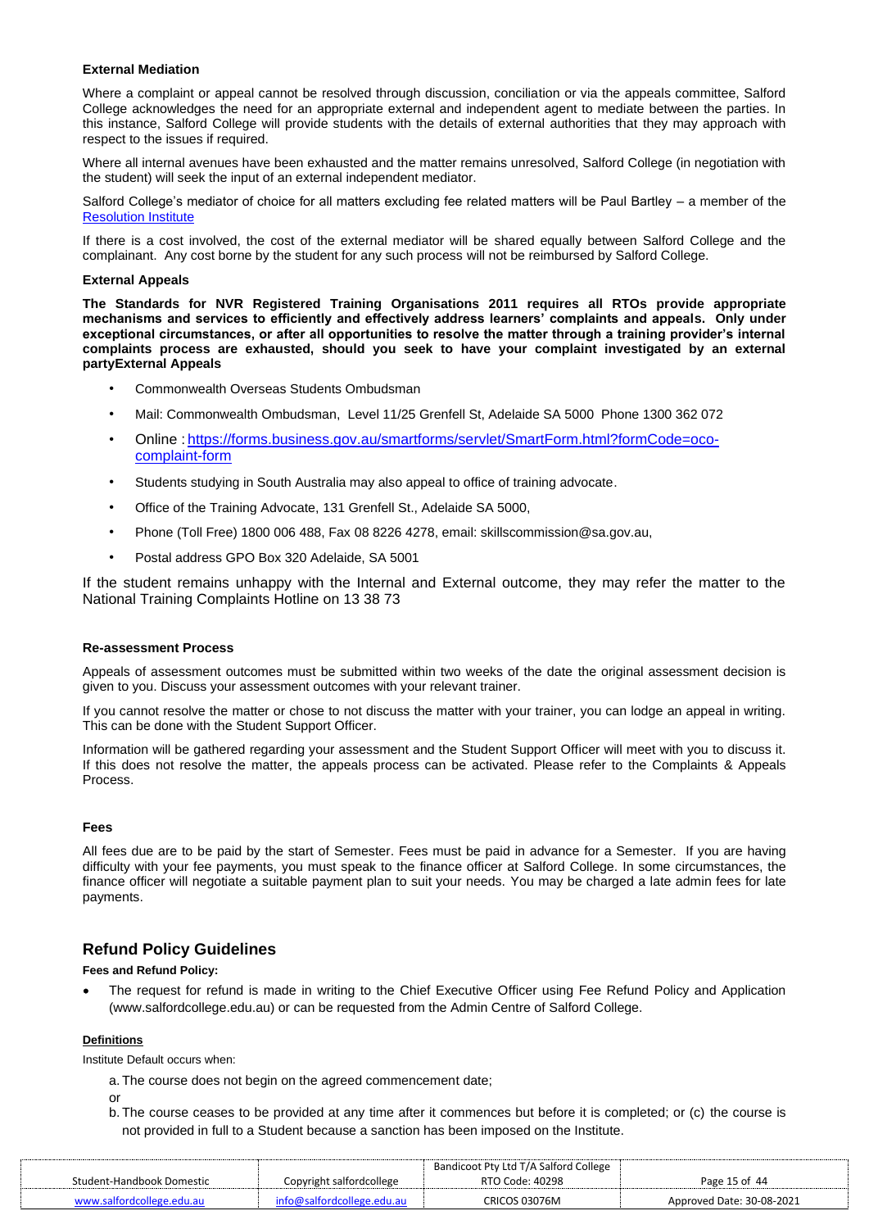# **External Mediation**

Where a complaint or appeal cannot be resolved through discussion, conciliation or via the appeals committee, Salford College acknowledges the need for an appropriate external and independent agent to mediate between the parties. In this instance, Salford College will provide students with the details of external authorities that they may approach with respect to the issues if required.

Where all internal avenues have been exhausted and the matter remains unresolved, Salford College (in negotiation with the student) will seek the input of an external independent mediator.

Salford College's mediator of choice for all matters excluding fee related matters will be Paul Bartley – a member of the [Resolution Institute](https://www.resolution.institute/)

If there is a cost involved, the cost of the external mediator will be shared equally between Salford College and the complainant. Any cost borne by the student for any such process will not be reimbursed by Salford College.

# <span id="page-14-0"></span>**External Appeals**

<span id="page-14-1"></span>**The Standards for NVR Registered Training Organisations 2011 requires all RTOs provide appropriate mechanisms and services to efficiently and effectively address learners' complaints and appeals. Only under exceptional circumstances, or after all opportunities to resolve the matter through a training provider's internal complaints process are exhausted, should you seek to have your complaint investigated by an external partyExternal Appeals**

- Commonwealth Overseas Students Ombudsman
- Mail: Commonwealth Ombudsman, Level 11/25 Grenfell St, Adelaide SA 5000 Phon[e 1300 362 072](https://www.google.com/search?gs_ssp=eJwFwUEOgyAQBdB0a9IzlE3XjhRI4AjeYvgzVVORhTYST-973bOf-mHIF8X2iwc90pta4ExQCQSvKvCJGj7hC1hE55y3hPGFWkrdTuX1mE0t-S974c2w6MqL6A2LuhxJ&q=commonwealth+ombudsman+adelaide&rlz=1C1CHBF_enAU920AU920&oq=commonwealth+omb&aqs=chrome.2.0i512j69i57j46i175i199i512j0i512l4j46i175i199i512j0i512l2.11159j0j7&sourceid=chrome&ie=UTF-8)
- Online : [https://forms.business.gov.au/smartforms/servlet/SmartForm.html?formCode=oco](https://forms.business.gov.au/smartforms/servlet/SmartForm.html?formCode=oco-complaint-form)[complaint-form](https://forms.business.gov.au/smartforms/servlet/SmartForm.html?formCode=oco-complaint-form)
- Students studying in South Australia may also appeal to office of training advocate.
- Office of the Training Advocate, 131 Grenfell St., Adelaide SA 5000,
- Phone (Toll Free) 1800 006 488, Fax 08 8226 4278, email: skillscommission@sa.gov.au,
- Postal address GPO Box 320 Adelaide, SA 5001

If the student remains unhappy with the Internal and External outcome, they may refer the matter to the National Training Complaints Hotline on 13 38 73

#### <span id="page-14-2"></span>**Re-assessment Process**

Appeals of assessment outcomes must be submitted within two weeks of the date the original assessment decision is given to you. Discuss your assessment outcomes with your relevant trainer.

If you cannot resolve the matter or chose to not discuss the matter with your trainer, you can lodge an appeal in writing. This can be done with the Student Support Officer.

Information will be gathered regarding your assessment and the Student Support Officer will meet with you to discuss it. If this does not resolve the matter, the appeals process can be activated. Please refer to the Complaints & Appeals Process.

#### <span id="page-14-3"></span>**Fees**

All fees due are to be paid by the start of Semester. Fees must be paid in advance for a Semester. If you are having difficulty with your fee payments, you must speak to the finance officer at Salford College. In some circumstances, the finance officer will negotiate a suitable payment plan to suit your needs. You may be charged a late admin fees for late payments.

# <span id="page-14-4"></span>**Refund Policy Guidelines**

# **Fees and Refund Policy:**

 The request for refund is made in writing to the Chief Executive Officer using Fee Refund Policy and Application [\(www.salfordcollege.edu.au\)](http://www.salfordcollege.edu.au/) or can be requested from the Admin Centre of Salford College.

#### **Definitions**

Institute Default occurs when:

a. The course does not begin on the agreed commencement date;

or

b. The course ceases to be provided at any time after it commences but before it is completed; or (c) the course is not provided in full to a Student because a sanction has been imposed on the Institute.

|                           |                          | Bandicoot Pty Ltd T/A Salford College |                           |
|---------------------------|--------------------------|---------------------------------------|---------------------------|
| Student-Handbook Domestic | Copvright salfordcollege | RTO Code: 40298                       | Page 15 of 44             |
| www.salfordcollege.edu.au |                          | CRICOS 03076M                         | Approved Date: 30-08-2021 |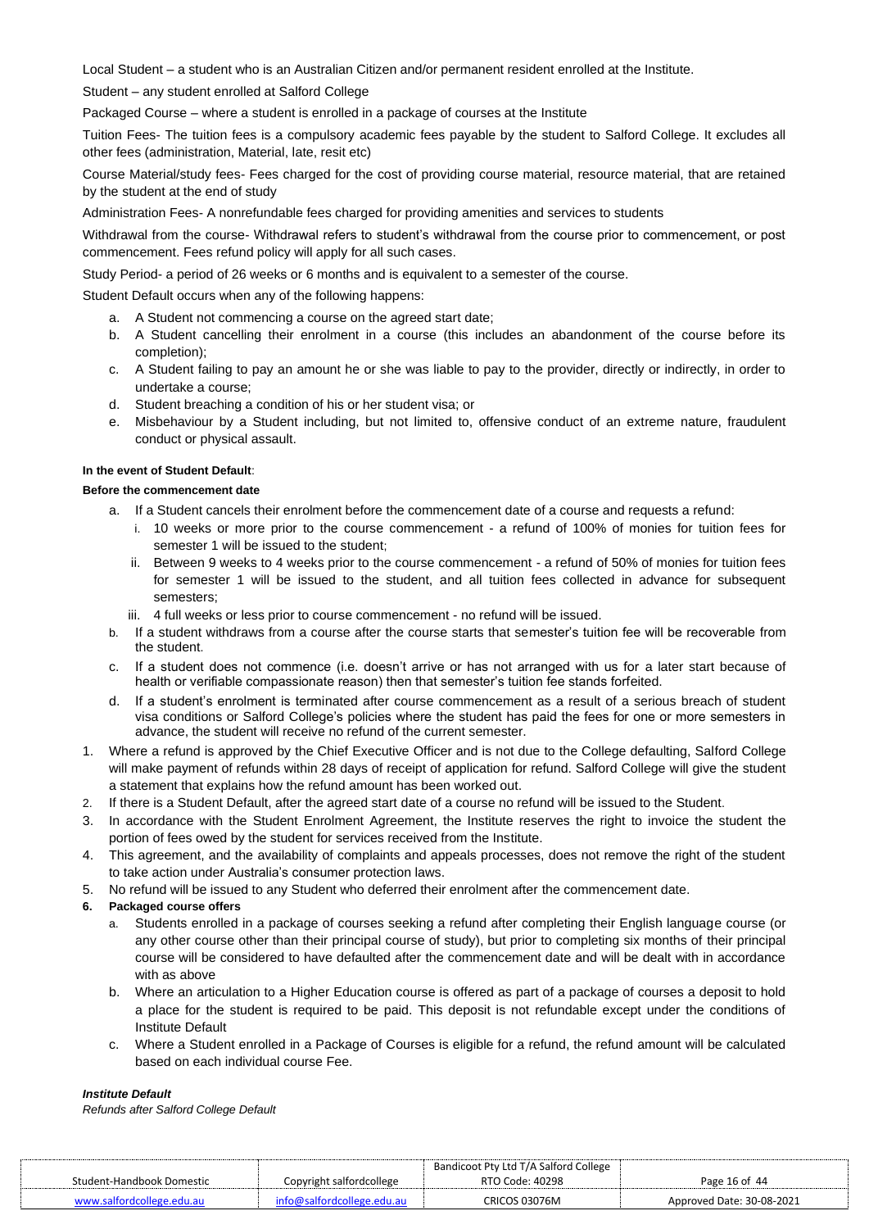Local Student – a student who is an Australian Citizen and/or permanent resident enrolled at the Institute.

Student – any student enrolled at Salford College

Packaged Course – where a student is enrolled in a package of courses at the Institute

Tuition Fees- The tuition fees is a compulsory academic fees payable by the student to Salford College. It excludes all other fees (administration, Material, late, resit etc)

Course Material/study fees- Fees charged for the cost of providing course material, resource material, that are retained by the student at the end of study

Administration Fees- A nonrefundable fees charged for providing amenities and services to students

Withdrawal from the course- Withdrawal refers to student's withdrawal from the course prior to commencement, or post commencement. Fees refund policy will apply for all such cases.

Study Period- a period of 26 weeks or 6 months and is equivalent to a semester of the course.

Student Default occurs when any of the following happens:

- a. A Student not commencing a course on the agreed start date;
- b. A Student cancelling their enrolment in a course (this includes an abandonment of the course before its completion);
- c. A Student failing to pay an amount he or she was liable to pay to the provider, directly or indirectly, in order to undertake a course;
- d. Student breaching a condition of his or her student visa; or
- e. Misbehaviour by a Student including, but not limited to, offensive conduct of an extreme nature, fraudulent conduct or physical assault.

# **In the event of Student Default**:

# **Before the commencement date**

- a. If a Student cancels their enrolment before the commencement date of a course and requests a refund:
	- i. 10 weeks or more prior to the course commencement a refund of 100% of monies for tuition fees for semester 1 will be issued to the student;
	- ii. Between 9 weeks to 4 weeks prior to the course commencement a refund of 50% of monies for tuition fees for semester 1 will be issued to the student, and all tuition fees collected in advance for subsequent semesters;
	- iii. 4 full weeks or less prior to course commencement no refund will be issued.
- b. If a student withdraws from a course after the course starts that semester's tuition fee will be recoverable from the student.
- c. If a student does not commence (i.e. doesn't arrive or has not arranged with us for a later start because of health or verifiable compassionate reason) then that semester's tuition fee stands forfeited.
- d. If a student's enrolment is terminated after course commencement as a result of a serious breach of student visa conditions or Salford College's policies where the student has paid the fees for one or more semesters in advance, the student will receive no refund of the current semester.
- 1. Where a refund is approved by the Chief Executive Officer and is not due to the College defaulting, Salford College will make payment of refunds within 28 days of receipt of application for refund. Salford College will give the student a statement that explains how the refund amount has been worked out.
- 2. If there is a Student Default, after the agreed start date of a course no refund will be issued to the Student.
- 3. In accordance with the Student Enrolment Agreement, the Institute reserves the right to invoice the student the portion of fees owed by the student for services received from the Institute.
- 4. This agreement, and the availability of complaints and appeals processes, does not remove the right of the student to take action under Australia's consumer protection laws.
- 5. No refund will be issued to any Student who deferred their enrolment after the commencement date.
- **6. Packaged course offers**
	- a. Students enrolled in a package of courses seeking a refund after completing their English language course (or any other course other than their principal course of study), but prior to completing six months of their principal course will be considered to have defaulted after the commencement date and will be dealt with in accordance with as above
	- b. Where an articulation to a Higher Education course is offered as part of a package of courses a deposit to hold a place for the student is required to be paid. This deposit is not refundable except under the conditions of Institute Default
	- c. Where a Student enrolled in a Package of Courses is eligible for a refund, the refund amount will be calculated based on each individual course Fee.

# *Institute Default*

*Refunds after Salford College Default*

|                           |                          | Bandicoot Pty Ltd T/A Salford College |                           |
|---------------------------|--------------------------|---------------------------------------|---------------------------|
| Student-Handbook Domestic | Copyright salfordcollege | RTO Code: 40298                       | Page 16 of 44             |
|                           |                          | CRICOS 03076M                         | Approved Date: 30-08-2021 |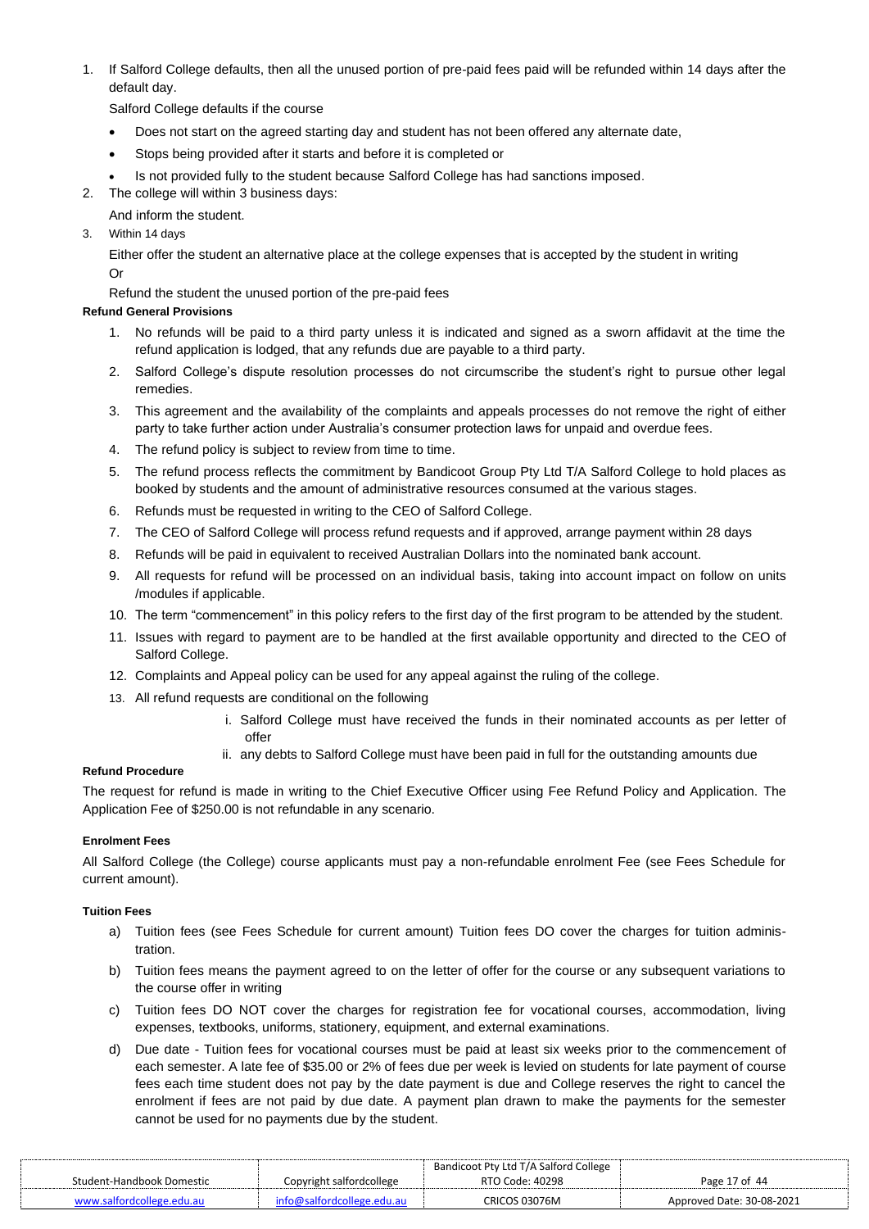1. If Salford College defaults, then all the unused portion of pre-paid fees paid will be refunded within 14 days after the default day.

Salford College defaults if the course

- Does not start on the agreed starting day and student has not been offered any alternate date,
- Stops being provided after it starts and before it is completed or
- Is not provided fully to the student because Salford College has had sanctions imposed.
- 2. The college will within 3 business days:

And inform the student.

3. Within 14 days

Either offer the student an alternative place at the college expenses that is accepted by the student in writing Or

Refund the student the unused portion of the pre-paid fees

# **Refund General Provisions**

- 1. No refunds will be paid to a third party unless it is indicated and signed as a sworn affidavit at the time the refund application is lodged, that any refunds due are payable to a third party.
- 2. Salford College's dispute resolution processes do not circumscribe the student's right to pursue other legal remedies.
- 3. This agreement and the availability of the complaints and appeals processes do not remove the right of either party to take further action under Australia's consumer protection laws for unpaid and overdue fees.
- 4. The refund policy is subject to review from time to time.
- 5. The refund process reflects the commitment by Bandicoot Group Pty Ltd T/A Salford College to hold places as booked by students and the amount of administrative resources consumed at the various stages.
- 6. Refunds must be requested in writing to the CEO of Salford College.
- 7. The CEO of Salford College will process refund requests and if approved, arrange payment within 28 days
- 8. Refunds will be paid in equivalent to received Australian Dollars into the nominated bank account.
- 9. All requests for refund will be processed on an individual basis, taking into account impact on follow on units /modules if applicable.
- 10. The term "commencement" in this policy refers to the first day of the first program to be attended by the student.
- 11. Issues with regard to payment are to be handled at the first available opportunity and directed to the CEO of Salford College.
- 12. Complaints and Appeal policy can be used for any appeal against the ruling of the college.
- 13. All refund requests are conditional on the following
	- i. Salford College must have received the funds in their nominated accounts as per letter of offer
	- ii. any debts to Salford College must have been paid in full for the outstanding amounts due

# **Refund Procedure**

The request for refund is made in writing to the Chief Executive Officer using Fee Refund Policy and Application. The Application Fee of \$250.00 is not refundable in any scenario.

# **Enrolment Fees**

All Salford College (the College) course applicants must pay a non-refundable enrolment Fee (see Fees Schedule for current amount).

# **Tuition Fees**

- a) Tuition fees (see Fees Schedule for current amount) Tuition fees DO cover the charges for tuition administration.
- b) Tuition fees means the payment agreed to on the letter of offer for the course or any subsequent variations to the course offer in writing
- c) Tuition fees DO NOT cover the charges for registration fee for vocational courses, accommodation, living expenses, textbooks, uniforms, stationery, equipment, and external examinations.
- d) Due date Tuition fees for vocational courses must be paid at least six weeks prior to the commencement of each semester. A late fee of \$35.00 or 2% of fees due per week is levied on students for late payment of course fees each time student does not pay by the date payment is due and College reserves the right to cancel the enrolment if fees are not paid by due date. A payment plan drawn to make the payments for the semester cannot be used for no payments due by the student.

|                           |                          | Bandicoot Pty Ltd T/A Salford College |                           |
|---------------------------|--------------------------|---------------------------------------|---------------------------|
| Student-Handbook Domestic | Copyright salfordcollege | RTO Code: 40298                       | Page 17 of 44             |
| www.salfordcollege.edu.au |                          | CRICOS 03076M                         | Approved Date: 30-08-2021 |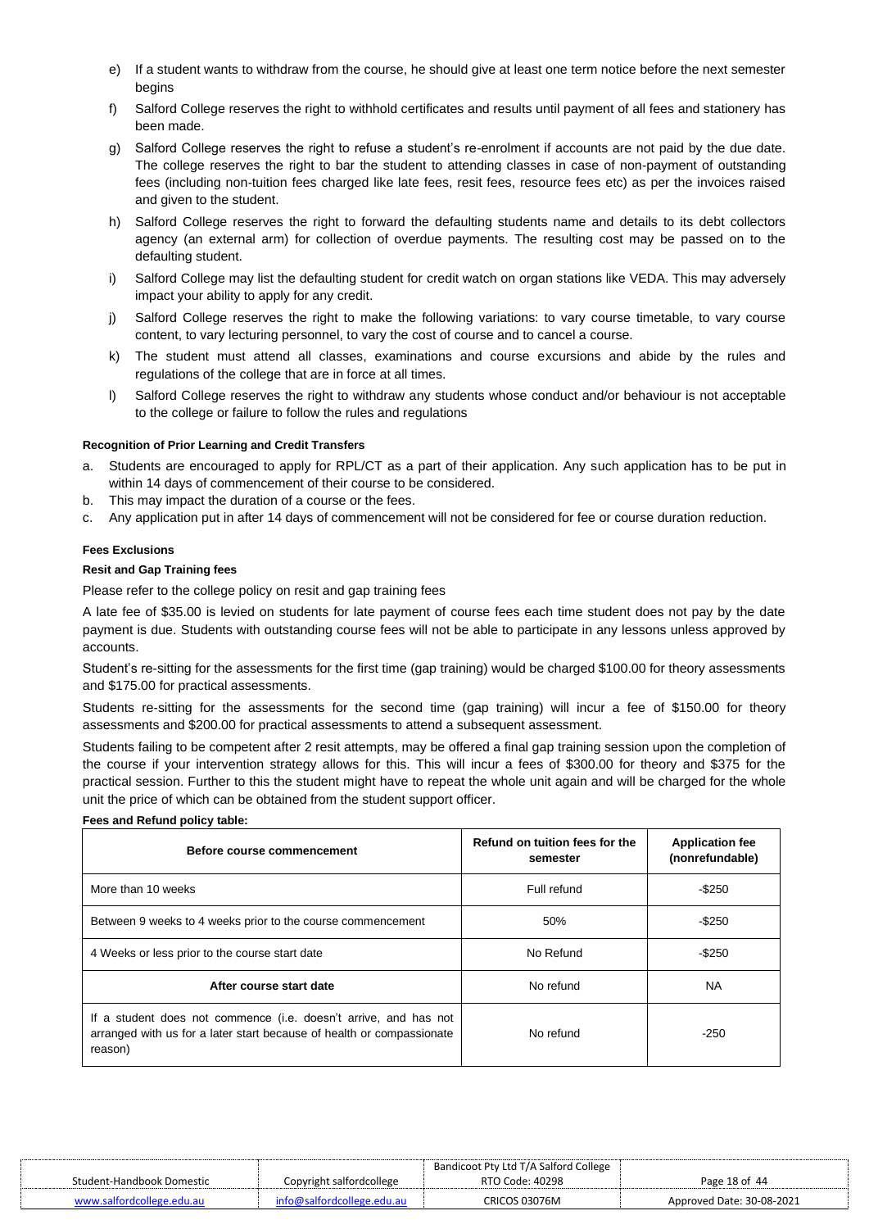- e) If a student wants to withdraw from the course, he should give at least one term notice before the next semester begins
- f) Salford College reserves the right to withhold certificates and results until payment of all fees and stationery has been made.
- g) Salford College reserves the right to refuse a student's re-enrolment if accounts are not paid by the due date. The college reserves the right to bar the student to attending classes in case of non-payment of outstanding fees (including non-tuition fees charged like late fees, resit fees, resource fees etc) as per the invoices raised and given to the student.
- h) Salford College reserves the right to forward the defaulting students name and details to its debt collectors agency (an external arm) for collection of overdue payments. The resulting cost may be passed on to the defaulting student.
- i) Salford College may list the defaulting student for credit watch on organ stations like VEDA. This may adversely impact your ability to apply for any credit.
- j) Salford College reserves the right to make the following variations: to vary course timetable, to vary course content, to vary lecturing personnel, to vary the cost of course and to cancel a course.
- k) The student must attend all classes, examinations and course excursions and abide by the rules and regulations of the college that are in force at all times.
- l) Salford College reserves the right to withdraw any students whose conduct and/or behaviour is not acceptable to the college or failure to follow the rules and regulations

# **Recognition of Prior Learning and Credit Transfers**

- a. Students are encouraged to apply for RPL/CT as a part of their application. Any such application has to be put in within 14 days of commencement of their course to be considered.
- b. This may impact the duration of a course or the fees.
- c. Any application put in after 14 days of commencement will not be considered for fee or course duration reduction.

# **Fees Exclusions**

# **Resit and Gap Training fees**

Please refer to the college policy on resit and gap training fees

A late fee of \$35.00 is levied on students for late payment of course fees each time student does not pay by the date payment is due. Students with outstanding course fees will not be able to participate in any lessons unless approved by accounts.

Student's re-sitting for the assessments for the first time (gap training) would be charged \$100.00 for theory assessments and \$175.00 for practical assessments.

Students re-sitting for the assessments for the second time (gap training) will incur a fee of \$150.00 for theory assessments and \$200.00 for practical assessments to attend a subsequent assessment.

Students failing to be competent after 2 resit attempts, may be offered a final gap training session upon the completion of the course if your intervention strategy allows for this. This will incur a fees of \$300.00 for theory and \$375 for the practical session. Further to this the student might have to repeat the whole unit again and will be charged for the whole unit the price of which can be obtained from the student support officer.

# **Fees and Refund policy table:**

| Before course commencement                                                                                                                           | Refund on tuition fees for the<br>semester | <b>Application fee</b><br>(nonrefundable) |
|------------------------------------------------------------------------------------------------------------------------------------------------------|--------------------------------------------|-------------------------------------------|
| More than 10 weeks                                                                                                                                   | Full refund                                | -\$250                                    |
| Between 9 weeks to 4 weeks prior to the course commencement                                                                                          | 50%                                        | $-$ \$250                                 |
| 4 Weeks or less prior to the course start date                                                                                                       | No Refund                                  | $-$ \$250                                 |
| After course start date                                                                                                                              | No refund                                  | NA.                                       |
| If a student does not commence (i.e. doesn't arrive, and has not<br>arranged with us for a later start because of health or compassionate<br>reason) | No refund                                  | $-250$                                    |

|                           |                            | Bandicoot Pty Ltd T/A Salford College |                           |
|---------------------------|----------------------------|---------------------------------------|---------------------------|
| Student-Handbook Domestic | Copyright salfordcollege   | RTO Code: 40298                       | Page 18 of 44             |
| www.salfordcollege.edu.au | info@salfordcollege.edu.au | CRICOS 03076M                         | Approved Date: 30-08-2021 |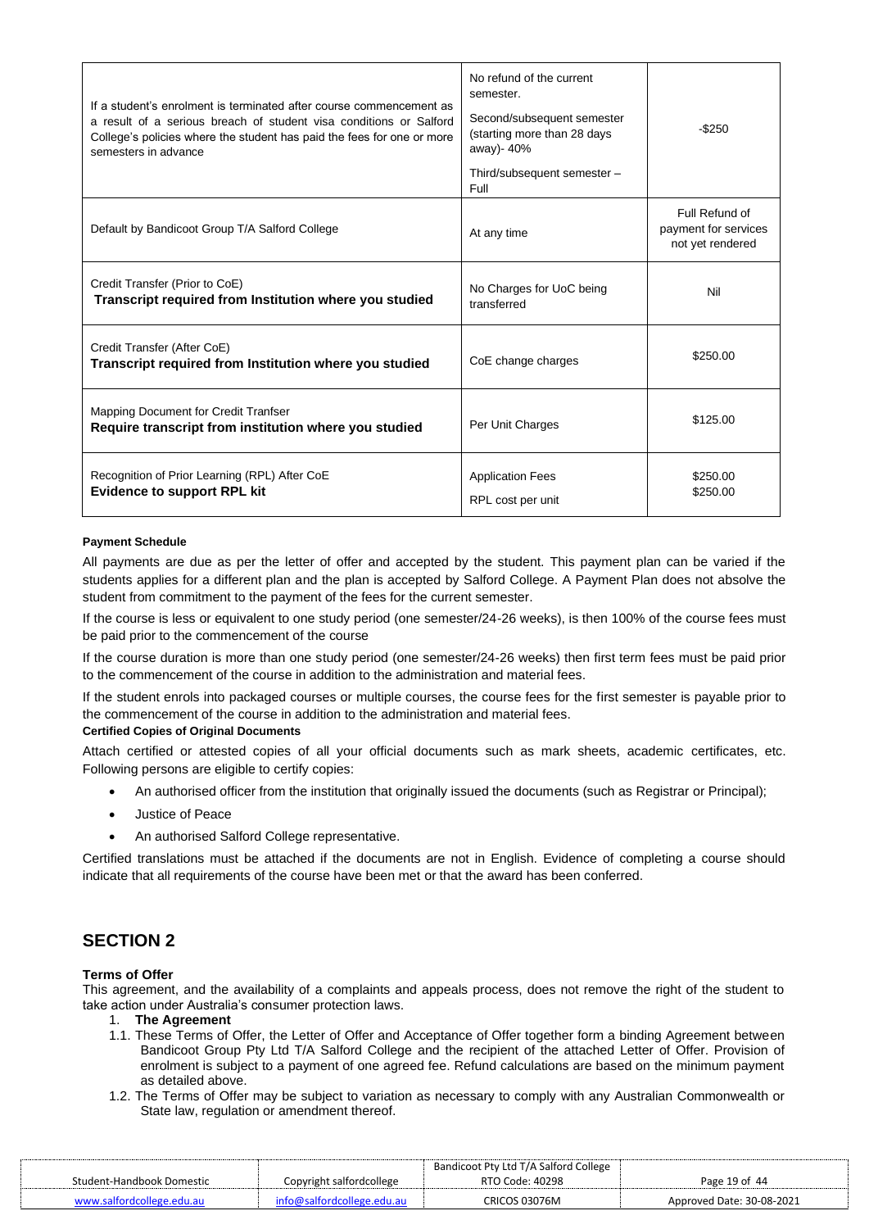| If a student's enrolment is terminated after course commencement as<br>a result of a serious breach of student visa conditions or Salford<br>College's policies where the student has paid the fees for one or more<br>semesters in advance | No refund of the current<br>semester.<br>Second/subsequent semester<br>(starting more than 28 days<br>away)- 40%<br>Third/subsequent semester -<br>Full | $-$ \$250                                                  |
|---------------------------------------------------------------------------------------------------------------------------------------------------------------------------------------------------------------------------------------------|---------------------------------------------------------------------------------------------------------------------------------------------------------|------------------------------------------------------------|
| Default by Bandicoot Group T/A Salford College                                                                                                                                                                                              | At any time                                                                                                                                             | Full Refund of<br>payment for services<br>not yet rendered |
| Credit Transfer (Prior to CoE)<br>Transcript required from Institution where you studied                                                                                                                                                    | No Charges for UoC being<br>transferred                                                                                                                 | Nil                                                        |
| Credit Transfer (After CoE)<br>Transcript required from Institution where you studied                                                                                                                                                       | CoE change charges                                                                                                                                      | \$250.00                                                   |
| Mapping Document for Credit Tranfser<br>Require transcript from institution where you studied                                                                                                                                               | Per Unit Charges                                                                                                                                        | \$125.00                                                   |
| Recognition of Prior Learning (RPL) After CoE<br><b>Evidence to support RPL kit</b>                                                                                                                                                         | <b>Application Fees</b><br>RPL cost per unit                                                                                                            | \$250.00<br>\$250.00                                       |

# **Payment Schedule**

All payments are due as per the letter of offer and accepted by the student. This payment plan can be varied if the students applies for a different plan and the plan is accepted by Salford College. A Payment Plan does not absolve the student from commitment to the payment of the fees for the current semester.

If the course is less or equivalent to one study period (one semester/24-26 weeks), is then 100% of the course fees must be paid prior to the commencement of the course

If the course duration is more than one study period (one semester/24-26 weeks) then first term fees must be paid prior to the commencement of the course in addition to the administration and material fees.

If the student enrols into packaged courses or multiple courses, the course fees for the first semester is payable prior to the commencement of the course in addition to the administration and material fees.

# **Certified Copies of Original Documents**

Attach certified or attested copies of all your official documents such as mark sheets, academic certificates, etc. Following persons are eligible to certify copies:

- An authorised officer from the institution that originally issued the documents (such as Registrar or Principal);
- Justice of Peace
- An authorised Salford College representative.

Certified translations must be attached if the documents are not in English. Evidence of completing a course should indicate that all requirements of the course have been met or that the award has been conferred.

# **SECTION 2**

# **Terms of Offer**

This agreement, and the availability of a complaints and appeals process, does not remove the right of the student to take action under Australia's consumer protection laws.

- 1. **The Agreement**
- 1.1. These Terms of Offer, the Letter of Offer and Acceptance of Offer together form a binding Agreement between Bandicoot Group Pty Ltd T/A Salford College and the recipient of the attached Letter of Offer. Provision of enrolment is subject to a payment of one agreed fee. Refund calculations are based on the minimum payment as detailed above.
- 1.2. The Terms of Offer may be subject to variation as necessary to comply with any Australian Commonwealth or State law, regulation or amendment thereof.

|                           |                            | Bandicoot Pty Ltd T/A Salford College |                           |
|---------------------------|----------------------------|---------------------------------------|---------------------------|
| Student-Handbook Domestic | Copyright salfordcollege   | RTO Code: 40298                       | Page 19 of 44             |
|                           | info@salfordcollege.edu.au | CRICOS 03076M                         | Approved Date: 30-08-2021 |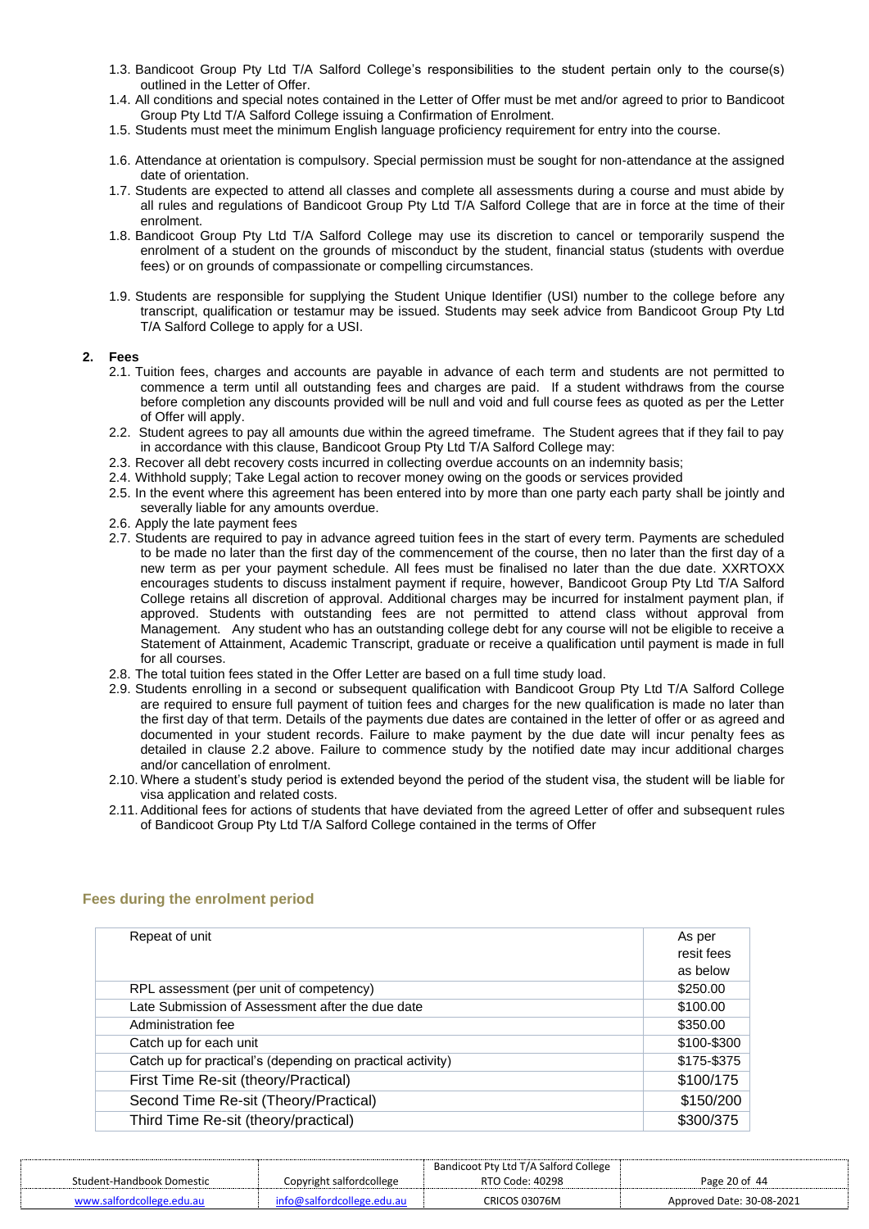- 1.3. Bandicoot Group Pty Ltd T/A Salford College's responsibilities to the student pertain only to the course(s) outlined in the Letter of Offer.
- 1.4. All conditions and special notes contained in the Letter of Offer must be met and/or agreed to prior to Bandicoot Group Pty Ltd T/A Salford College issuing a Confirmation of Enrolment.
- 1.5. Students must meet the minimum English language proficiency requirement for entry into the course.
- 1.6. Attendance at orientation is compulsory. Special permission must be sought for non-attendance at the assigned date of orientation.
- 1.7. Students are expected to attend all classes and complete all assessments during a course and must abide by all rules and regulations of Bandicoot Group Pty Ltd T/A Salford College that are in force at the time of their enrolment.
- 1.8. Bandicoot Group Pty Ltd T/A Salford College may use its discretion to cancel or temporarily suspend the enrolment of a student on the grounds of misconduct by the student, financial status (students with overdue fees) or on grounds of compassionate or compelling circumstances.
- 1.9. Students are responsible for supplying the Student Unique Identifier (USI) number to the college before any transcript, qualification or testamur may be issued. Students may seek advice from Bandicoot Group Pty Ltd T/A Salford College to apply for a USI.

# **2. Fees**

- 2.1. Tuition fees, charges and accounts are payable in advance of each term and students are not permitted to commence a term until all outstanding fees and charges are paid. If a student withdraws from the course before completion any discounts provided will be null and void and full course fees as quoted as per the Letter of Offer will apply.
- 2.2. Student agrees to pay all amounts due within the agreed timeframe. The Student agrees that if they fail to pay in accordance with this clause, Bandicoot Group Pty Ltd T/A Salford College may:
- 2.3. Recover all debt recovery costs incurred in collecting overdue accounts on an indemnity basis;
- 2.4. Withhold supply; Take Legal action to recover money owing on the goods or services provided
- 2.5. In the event where this agreement has been entered into by more than one party each party shall be jointly and severally liable for any amounts overdue.
- 2.6. Apply the late payment fees
- 2.7. Students are required to pay in advance agreed tuition fees in the start of every term. Payments are scheduled to be made no later than the first day of the commencement of the course, then no later than the first day of a new term as per your payment schedule. All fees must be finalised no later than the due date. XXRTOXX encourages students to discuss instalment payment if require, however, Bandicoot Group Pty Ltd T/A Salford College retains all discretion of approval. Additional charges may be incurred for instalment payment plan, if approved. Students with outstanding fees are not permitted to attend class without approval from Management. Any student who has an outstanding college debt for any course will not be eligible to receive a Statement of Attainment, Academic Transcript, graduate or receive a qualification until payment is made in full for all courses.
- 2.8. The total tuition fees stated in the Offer Letter are based on a full time study load.
- 2.9. Students enrolling in a second or subsequent qualification with Bandicoot Group Pty Ltd T/A Salford College are required to ensure full payment of tuition fees and charges for the new qualification is made no later than the first day of that term. Details of the payments due dates are contained in the letter of offer or as agreed and documented in your student records. Failure to make payment by the due date will incur penalty fees as detailed in clause 2.2 above. Failure to commence study by the notified date may incur additional charges and/or cancellation of enrolment.
- 2.10. Where a student's study period is extended beyond the period of the student visa, the student will be liable for visa application and related costs.
- 2.11.Additional fees for actions of students that have deviated from the agreed Letter of offer and subsequent rules of Bandicoot Group Pty Ltd T/A Salford College contained in the terms of Offer

| Repeat of unit                                             | As per      |
|------------------------------------------------------------|-------------|
|                                                            | resit fees  |
|                                                            | as below    |
| RPL assessment (per unit of competency)                    | \$250.00    |
| Late Submission of Assessment after the due date           | \$100.00    |
| Administration fee                                         | \$350.00    |
| Catch up for each unit                                     | \$100-\$300 |
| Catch up for practical's (depending on practical activity) | \$175-\$375 |
| First Time Re-sit (theory/Practical)                       | \$100/175   |
| Second Time Re-sit (Theory/Practical)                      | \$150/200   |
| Third Time Re-sit (theory/practical)                       | \$300/375   |

# <span id="page-19-0"></span>**Fees during the enrolment period**

|                           |                            | Bandicoot Pty Ltd T/A Salford College |                           |
|---------------------------|----------------------------|---------------------------------------|---------------------------|
| Student-Handbook Domestic | Copyright salfordcollege   | RTO Code: 40298                       | Page 20 of 44             |
|                           | into@saltordcollege.edu.au | CRICOS 03076M                         | Approved Date: 30-08-2021 |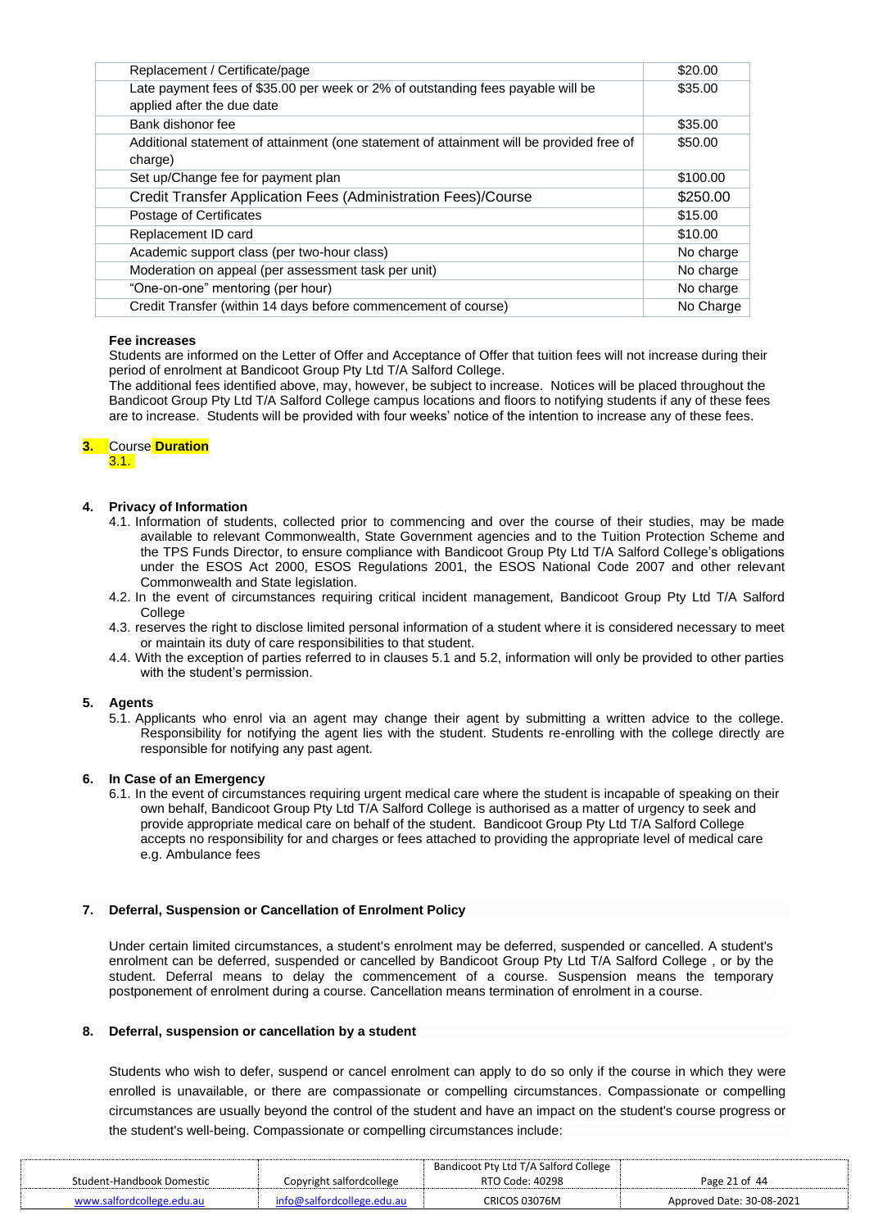| Replacement / Certificate/page                                                           | \$20.00   |
|------------------------------------------------------------------------------------------|-----------|
| Late payment fees of \$35.00 per week or 2% of outstanding fees payable will be          | \$35.00   |
| applied after the due date                                                               |           |
| Bank dishonor fee                                                                        | \$35.00   |
| Additional statement of attainment (one statement of attainment will be provided free of | \$50.00   |
| charge)                                                                                  |           |
| Set up/Change fee for payment plan                                                       | \$100.00  |
| Credit Transfer Application Fees (Administration Fees)/Course                            | \$250.00  |
| Postage of Certificates                                                                  | \$15.00   |
| Replacement ID card                                                                      | \$10.00   |
| Academic support class (per two-hour class)                                              | No charge |
| Moderation on appeal (per assessment task per unit)                                      | No charge |
| "One-on-one" mentoring (per hour)                                                        | No charge |
| Credit Transfer (within 14 days before commencement of course)                           | No Charge |

# **Fee increases**

Students are informed on the Letter of Offer and Acceptance of Offer that tuition fees will not increase during their period of enrolment at Bandicoot Group Pty Ltd T/A Salford College.

The additional fees identified above, may, however, be subject to increase. Notices will be placed throughout the Bandicoot Group Pty Ltd T/A Salford College campus locations and floors to notifying students if any of these fees are to increase. Students will be provided with four weeks' notice of the intention to increase any of these fees.

# **3.** Course **Duration**

 $3.1.$ 

# **4. Privacy of Information**

- 4.1. Information of students, collected prior to commencing and over the course of their studies, may be made available to relevant Commonwealth, State Government agencies and to the Tuition Protection Scheme and the TPS Funds Director, to ensure compliance with Bandicoot Group Pty Ltd T/A Salford College's obligations under the ESOS Act 2000, ESOS Regulations 2001, the ESOS National Code 2007 and other relevant Commonwealth and State legislation.
- 4.2. In the event of circumstances requiring critical incident management, Bandicoot Group Pty Ltd T/A Salford College
- 4.3. reserves the right to disclose limited personal information of a student where it is considered necessary to meet or maintain its duty of care responsibilities to that student.
- 4.4. With the exception of parties referred to in clauses 5.1 and 5.2, information will only be provided to other parties with the student's permission.

# **5. Agents**

5.1. Applicants who enrol via an agent may change their agent by submitting a written advice to the college. Responsibility for notifying the agent lies with the student. Students re-enrolling with the college directly are responsible for notifying any past agent.

# **6. In Case of an Emergency**

6.1. In the event of circumstances requiring urgent medical care where the student is incapable of speaking on their own behalf, Bandicoot Group Pty Ltd T/A Salford College is authorised as a matter of urgency to seek and provide appropriate medical care on behalf of the student. Bandicoot Group Pty Ltd T/A Salford College accepts no responsibility for and charges or fees attached to providing the appropriate level of medical care e.g. Ambulance fees

# **7. Deferral, Suspension or Cancellation of Enrolment Policy**

Under certain limited circumstances, a student's enrolment may be deferred, suspended or cancelled. A student's enrolment can be deferred, suspended or cancelled by Bandicoot Group Pty Ltd T/A Salford College , or by the student. Deferral means to delay the commencement of a course. Suspension means the temporary postponement of enrolment during a course. Cancellation means termination of enrolment in a course.

# **8. Deferral, suspension or cancellation by a student**

Students who wish to defer, suspend or cancel enrolment can apply to do so only if the course in which they were enrolled is unavailable, or there are compassionate or compelling circumstances. Compassionate or compelling circumstances are usually beyond the control of the student and have an impact on the student's course progress or the student's well-being. Compassionate or compelling circumstances include:

|                           |                          | Bandicoot Pty Ltd T/A Salford College |                           |
|---------------------------|--------------------------|---------------------------------------|---------------------------|
| Student-Handbook Domestic | Copyright salfordcollege | RTO Code: 40298                       | Page 21 of 44             |
|                           |                          | CRICOS 03076M                         | Approved Date: 30-08-2021 |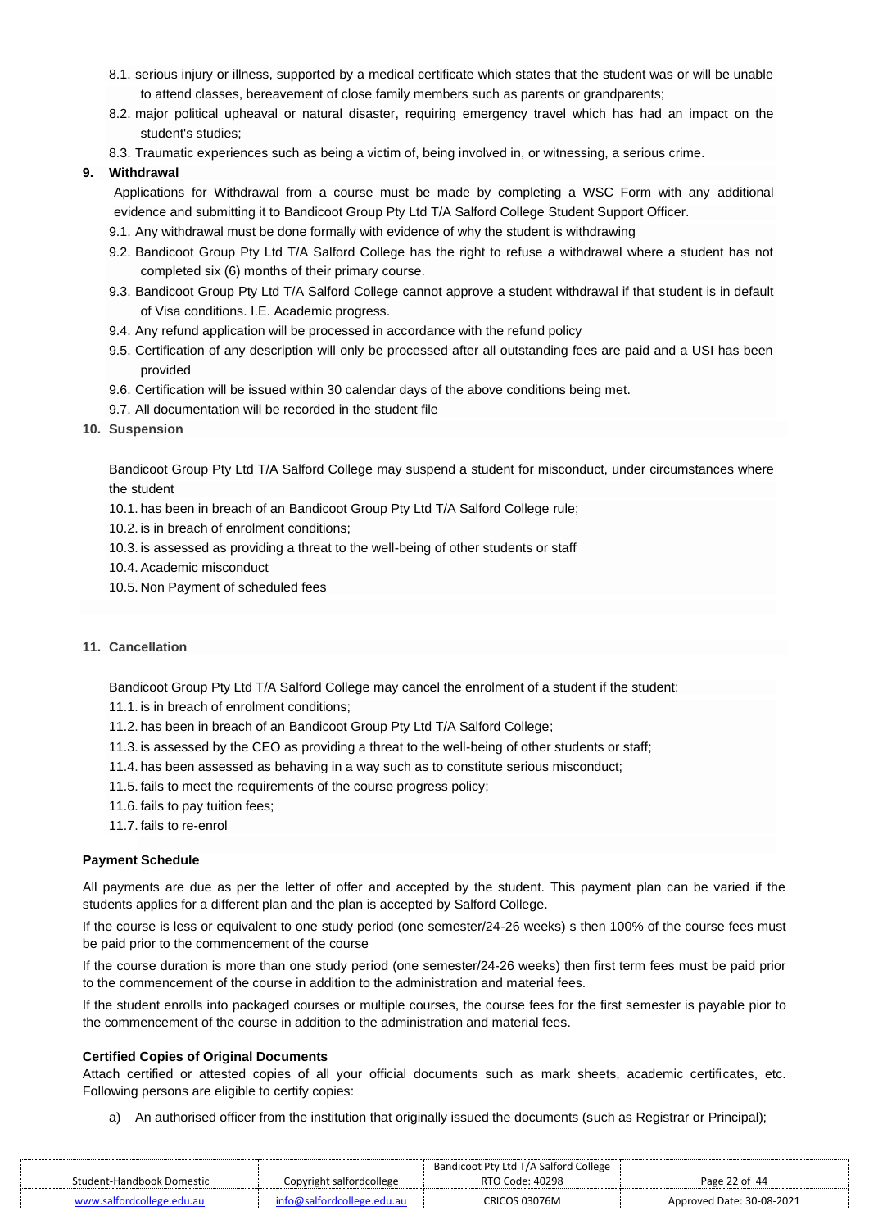- 8.1. serious injury or illness, supported by a medical certificate which states that the student was or will be unable to attend classes, bereavement of close family members such as parents or grandparents;
- 8.2. major political upheaval or natural disaster, requiring emergency travel which has had an impact on the student's studies;
- 8.3. Traumatic experiences such as being a victim of, being involved in, or witnessing, a serious crime.

# **9. Withdrawal**

Applications for Withdrawal from a course must be made by completing a WSC Form with any additional evidence and submitting it to Bandicoot Group Pty Ltd T/A Salford College Student Support Officer.

- 9.1. Any withdrawal must be done formally with evidence of why the student is withdrawing
- 9.2. Bandicoot Group Pty Ltd T/A Salford College has the right to refuse a withdrawal where a student has not completed six (6) months of their primary course.
- 9.3. Bandicoot Group Pty Ltd T/A Salford College cannot approve a student withdrawal if that student is in default of Visa conditions. I.E. Academic progress.
- 9.4. Any refund application will be processed in accordance with the refund policy
- 9.5. Certification of any description will only be processed after all outstanding fees are paid and a USI has been provided
- 9.6. Certification will be issued within 30 calendar days of the above conditions being met.
- 9.7. All documentation will be recorded in the student file
- **10. Suspension**

Bandicoot Group Pty Ltd T/A Salford College may suspend a student for misconduct, under circumstances where the student

- 10.1. has been in breach of an Bandicoot Group Pty Ltd T/A Salford College rule;
- 10.2. is in breach of enrolment conditions;
- 10.3. is assessed as providing a threat to the well-being of other students or staff
- 10.4.Academic misconduct
- 10.5. Non Payment of scheduled fees

# **11. Cancellation**

Bandicoot Group Pty Ltd T/A Salford College may cancel the enrolment of a student if the student:

- 11.1. is in breach of enrolment conditions;
- 11.2. has been in breach of an Bandicoot Group Pty Ltd T/A Salford College;
- 11.3. is assessed by the CEO as providing a threat to the well-being of other students or staff;
- 11.4. has been assessed as behaving in a way such as to constitute serious misconduct;
- 11.5. fails to meet the requirements of the course progress policy;
- 11.6. fails to pay tuition fees;
- 11.7. fails to re-enrol

# **Payment Schedule**

All payments are due as per the letter of offer and accepted by the student. This payment plan can be varied if the students applies for a different plan and the plan is accepted by Salford College.

If the course is less or equivalent to one study period (one semester/24-26 weeks) s then 100% of the course fees must be paid prior to the commencement of the course

If the course duration is more than one study period (one semester/24-26 weeks) then first term fees must be paid prior to the commencement of the course in addition to the administration and material fees.

If the student enrolls into packaged courses or multiple courses, the course fees for the first semester is payable pior to the commencement of the course in addition to the administration and material fees.

# **Certified Copies of Original Documents**

Attach certified or attested copies of all your official documents such as mark sheets, academic certificates, etc. Following persons are eligible to certify copies:

a) An authorised officer from the institution that originally issued the documents (such as Registrar or Principal);

|                           |                            | Bandicoot Pty Ltd T/A Salford College |                           |
|---------------------------|----------------------------|---------------------------------------|---------------------------|
| Student-Handbook Domestic | Copyright salfordcollege   | RTO Code: 40298                       | Page 22 of 44             |
| www.salfordcollege.edu.au | info@salfordcollege.edu.au | CRICOS 03076M                         | Approved Date: 30-08-2021 |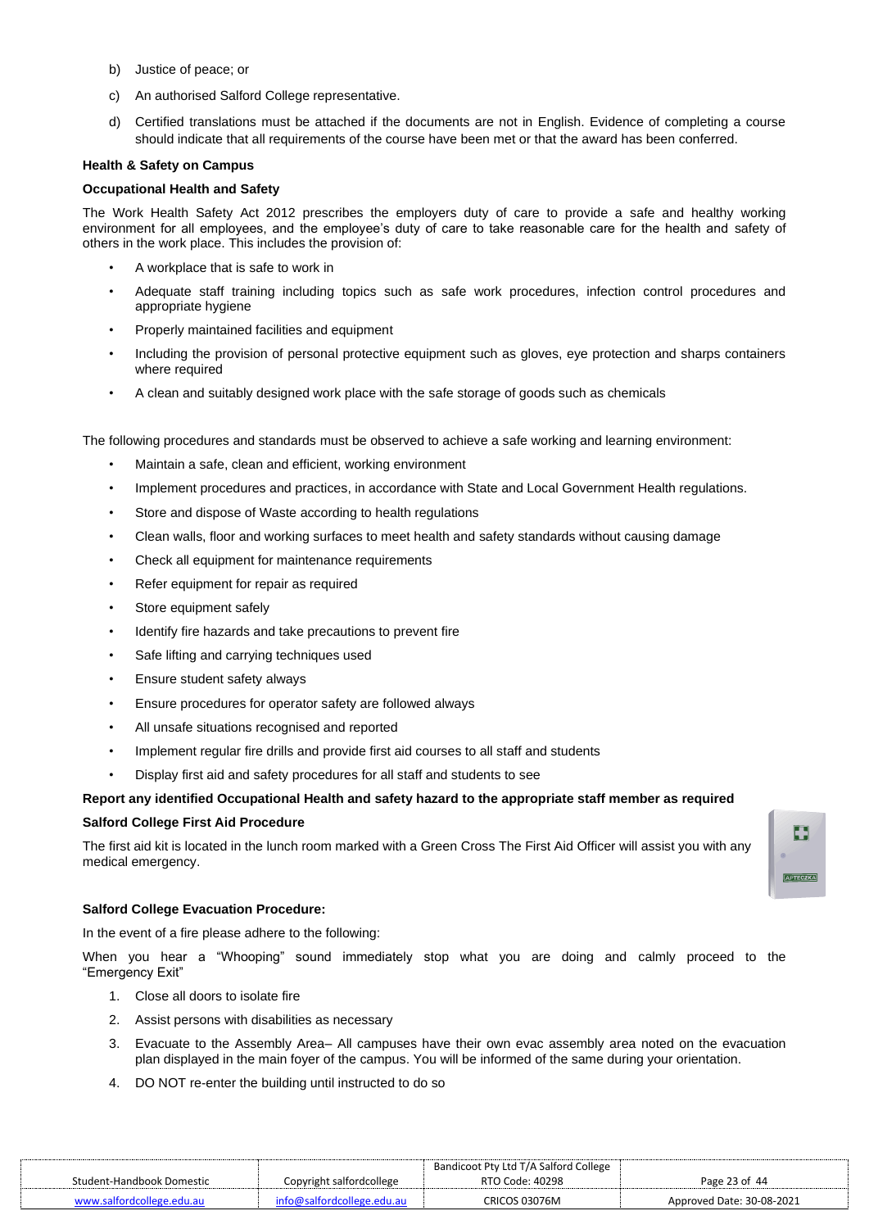- b) Justice of peace; or
- c) An authorised Salford College representative.
- d) Certified translations must be attached if the documents are not in English. Evidence of completing a course should indicate that all requirements of the course have been met or that the award has been conferred.

# <span id="page-22-0"></span>**Health & Safety on Campus**

# <span id="page-22-1"></span>**Occupational Health and Safety**

The Work Health Safety Act 2012 prescribes the employers duty of care to provide a safe and healthy working environment for all employees, and the employee's duty of care to take reasonable care for the health and safety of others in the work place. This includes the provision of:

- A workplace that is safe to work in
- Adequate staff training including topics such as safe work procedures, infection control procedures and appropriate hygiene
- Properly maintained facilities and equipment
- Including the provision of personal protective equipment such as gloves, eye protection and sharps containers where required
- A clean and suitably designed work place with the safe storage of goods such as chemicals

The following procedures and standards must be observed to achieve a safe working and learning environment:

- Maintain a safe, clean and efficient, working environment
- Implement procedures and practices, in accordance with State and Local Government Health regulations.
- Store and dispose of Waste according to health regulations
- Clean walls, floor and working surfaces to meet health and safety standards without causing damage
- Check all equipment for maintenance requirements
- Refer equipment for repair as required
- Store equipment safely
- Identify fire hazards and take precautions to prevent fire
- Safe lifting and carrying techniques used
- Ensure student safety always
- Ensure procedures for operator safety are followed always
- All unsafe situations recognised and reported
- Implement regular fire drills and provide first aid courses to all staff and students
- Display first aid and safety procedures for all staff and students to see

# **Report any identified Occupational Health and safety hazard to the appropriate staff member as required**

# <span id="page-22-2"></span>**Salford College First Aid Procedure**

The first aid kit is located in the lunch room marked with a Green Cross The First Aid Officer will assist you with any medical emergency.



# <span id="page-22-3"></span>**Salford College Evacuation Procedure:**

In the event of a fire please adhere to the following:

When you hear a "Whooping" sound immediately stop what you are doing and calmly proceed to the "Emergency Exit"

- 1. Close all doors to isolate fire
- 2. Assist persons with disabilities as necessary
- 3. Evacuate to the Assembly Area– All campuses have their own evac assembly area noted on the evacuation plan displayed in the main foyer of the campus. You will be informed of the same during your orientation.
- 4. DO NOT re-enter the building until instructed to do so

|                           |                            | Bandicoot Pty Ltd T/A Salford College |                           |
|---------------------------|----------------------------|---------------------------------------|---------------------------|
| Student-Handbook Domestic | Copyright salfordcollege   | RTO Code: 40298                       | Page 23 of 44             |
| www.salfordcollege.edu.au | info@salfordcollege.edu.au | CRICOS 03076M                         | Approved Date: 30-08-2021 |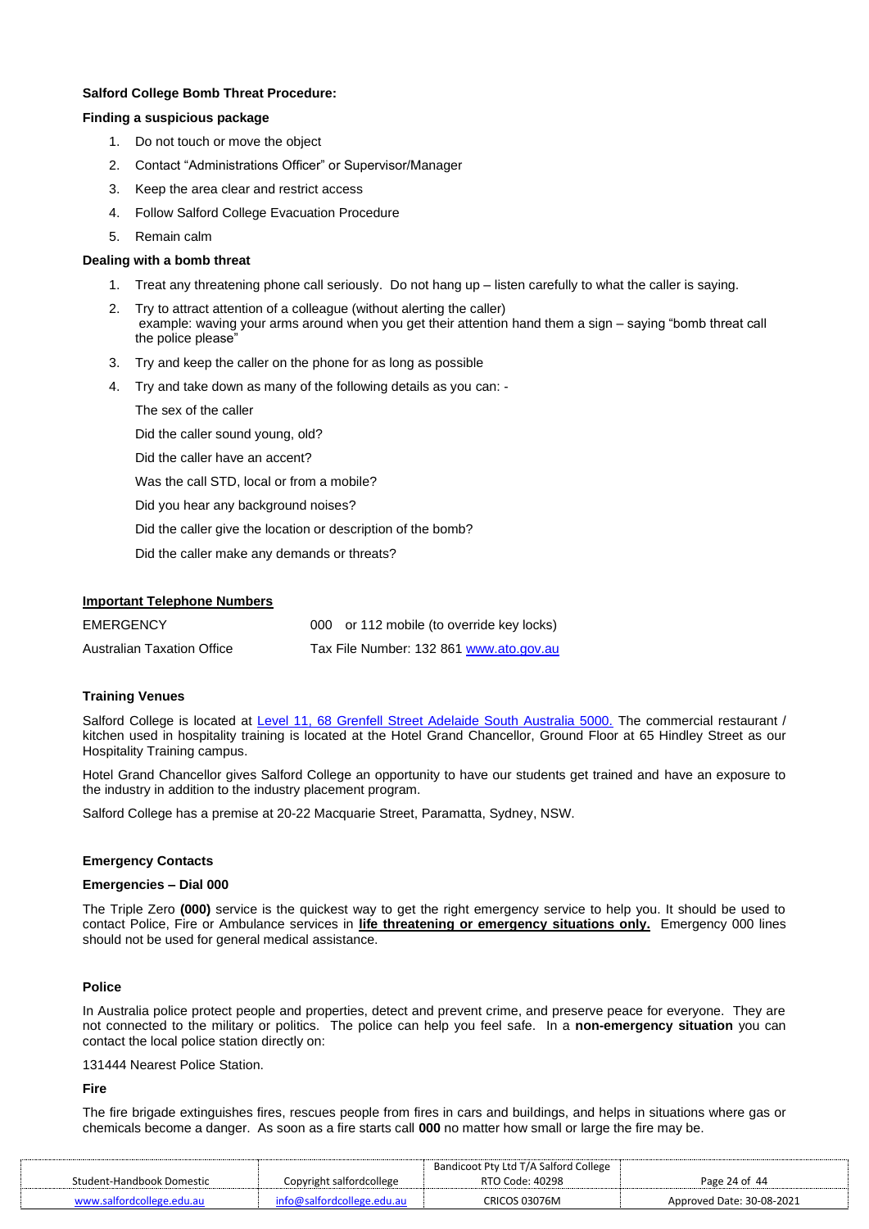# <span id="page-23-0"></span>**Salford College Bomb Threat Procedure:**

# **Finding a suspicious package**

- 1. Do not touch or move the object
- 2. Contact "Administrations Officer" or Supervisor/Manager
- 3. Keep the area clear and restrict access
- 4. Follow Salford College Evacuation Procedure
- 5. Remain calm

# **Dealing with a bomb threat**

- 1. Treat any threatening phone call seriously. Do not hang up listen carefully to what the caller is saying.
- 2. Try to attract attention of a colleague (without alerting the caller) example: waving your arms around when you get their attention hand them a sign – saying "bomb threat call the police please"
- 3. Try and keep the caller on the phone for as long as possible
- 4. Try and take down as many of the following details as you can:
	- The sex of the caller
	- Did the caller sound young, old?
	- Did the caller have an accent?
	- Was the call STD, local or from a mobile?
	- Did you hear any background noises?
	- Did the caller give the location or description of the bomb?
	- Did the caller make any demands or threats?

# **Important Telephone Numbers**

| <b>EMERGENCY</b>                  | 000 or 112 mobile (to override key locks) |
|-----------------------------------|-------------------------------------------|
| <b>Australian Taxation Office</b> | Tax File Number: 132 861 www.ato.gov.au   |

# <span id="page-23-1"></span>**Training Venues**

Salford College is located at [Level 11, 68 Grenfell Street Adelaide South Australia 5000.](https://www.google.com.au/maps/place/Salford+College+of+Business+and+Hospitality/@-34.9239096,138.6021775,15z/data=!4m2!3m1!1s0x0:0x22d1937608ebd781?sa=X&ved=0ahUKEwi927CK78LQAhXJjLwKHRE2D1EQ_BIIcDAK) The commercial restaurant / kitchen used in hospitality training is located at the Hotel Grand Chancellor, Ground Floor at 65 Hindley Street as our Hospitality Training campus.

Hotel Grand Chancellor gives Salford College an opportunity to have our students get trained and have an exposure to the industry in addition to the industry placement program.

Salford College has a premise at 20-22 Macquarie Street, Paramatta, Sydney, NSW.

# <span id="page-23-2"></span>**Emergency Contacts**

#### **Emergencies – Dial 000**

The Triple Zero **(000)** service is the quickest way to get the right emergency service to help you. It should be used to contact Police, Fire or Ambulance services in **life threatening or emergency situations only.** Emergency 000 lines should not be used for general medical assistance.

# <span id="page-23-3"></span>**Police**

In Australia police protect people and properties, detect and prevent crime, and preserve peace for everyone. They are not connected to the military or politics. The police can help you feel safe. In a **non-emergency situation** you can contact the local police station directly on:

131444 Nearest Police Station.

<span id="page-23-4"></span>**Fire**

The fire brigade extinguishes fires, rescues people from fires in cars and buildings, and helps in situations where gas or chemicals become a danger. As soon as a fire starts call **000** no matter how small or large the fire may be.

|                           |                            | Bandicoot Pty Ltd T/A Salford College |                           |
|---------------------------|----------------------------|---------------------------------------|---------------------------|
| Student-Handbook Domestic | Copyright salfordcollege   | RTO Code: 40298                       | Page 24 of 44             |
| www.salfordcollege.edu.au | into@saltordcollege.edu.au | CRICOS 03076M                         | Approved Date: 30-08-2021 |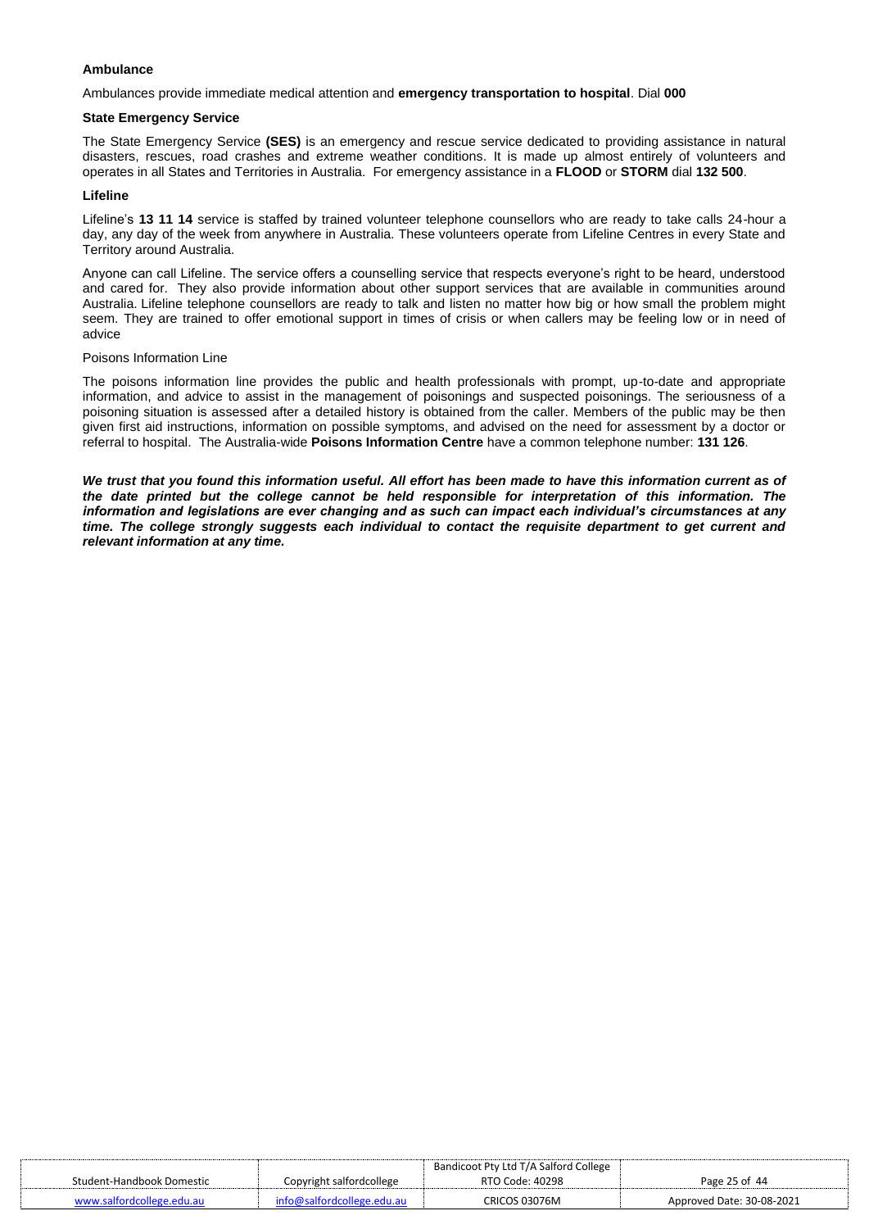# <span id="page-24-0"></span>**Ambulance**

Ambulances provide immediate medical attention and **emergency transportation to hospital**. Dial **000**

# <span id="page-24-1"></span>**State Emergency Service**

The State Emergency Service **(SES)** is an emergency and rescue service dedicated to providing assistance in natural disasters, rescues, road crashes and extreme weather conditions. It is made up almost entirely of volunteers and operates in all States and Territories in Australia. For emergency assistance in a **FLOOD** or **STORM** dial **132 500**.

# <span id="page-24-2"></span>**Lifeline**

Lifeline's **13 11 14** service is staffed by trained volunteer telephone counsellors who are ready to take calls 24-hour a day, any day of the week from anywhere in Australia. These volunteers operate from Lifeline Centres in every State and Territory around Australia.

Anyone can call Lifeline. The service offers a counselling service that respects everyone's right to be heard, understood and cared for. They also provide information about other support services that are available in communities around Australia. Lifeline telephone counsellors are ready to talk and listen no matter how big or how small the problem might seem. They are trained to offer emotional support in times of crisis or when callers may be feeling low or in need of advice

# Poisons Information Line

The poisons information line provides the public and health professionals with prompt, up-to-date and appropriate information, and advice to assist in the management of poisonings and suspected poisonings. The seriousness of a poisoning situation is assessed after a detailed history is obtained from the caller. Members of the public may be then given first aid instructions, information on possible symptoms, and advised on the need for assessment by a doctor or referral to hospital. The Australia-wide **Poisons Information Centre** have a common telephone number: **131 126**.

*We trust that you found this information useful. All effort has been made to have this information current as of the date printed but the college cannot be held responsible for interpretation of this information. The information and legislations are ever changing and as such can impact each individual's circumstances at any time. The college strongly suggests each individual to contact the requisite department to get current and relevant information at any time.*

|                           |                          | Bandicoot Pty Ltd T/A Salford College |                           |
|---------------------------|--------------------------|---------------------------------------|---------------------------|
| Student-Handbook Domestic | Copvright salfordcollege | RTO Code: 40298                       | Page 25 of 44             |
|                           |                          | CRICOS 03076M                         | Approved Date: 30-08-2021 |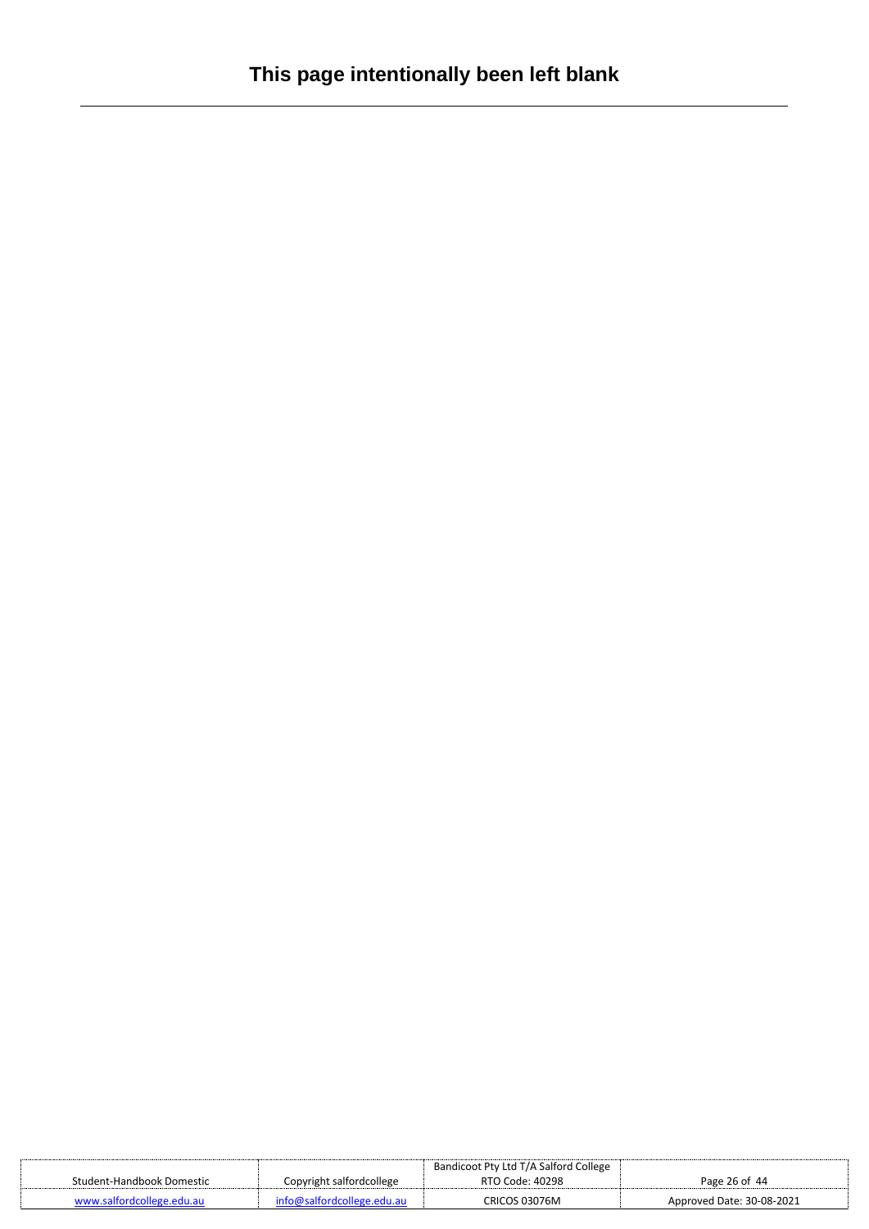|                           |                            | Bandicoot Pty Ltd T/A Salford College |                           |
|---------------------------|----------------------------|---------------------------------------|---------------------------|
| Student-Handbook Domestic | Copyright salfordcollege   | RTO Code: 40298                       | Page 26 of 44             |
| www.salfordcollege.edu.au | info@salfordcollege.edu.au | CRICOS 03076M                         | Approved Date: 30-08-2021 |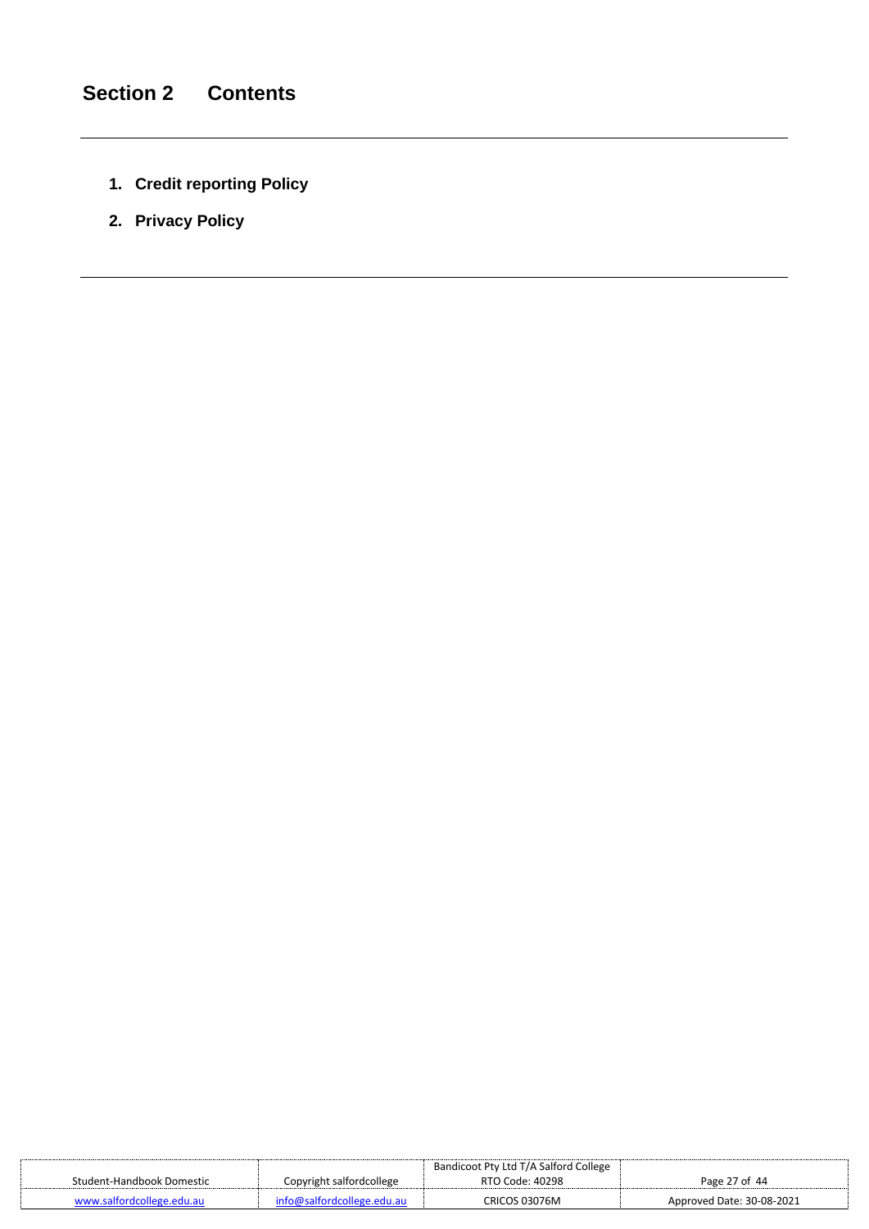- **1. Credit reporting Policy**
- **2. Privacy Policy**

|                           |                          | Bandicoot Pty Ltd T/A Salford College |                           |
|---------------------------|--------------------------|---------------------------------------|---------------------------|
| Student-Handbook Domestic | Copyright salfordcollege | RTO Code: 40298                       | Page 27 of 44             |
| www.salfordcollege.edu.au |                          | CRICOS 03076M                         | Approved Date: 30-08-2021 |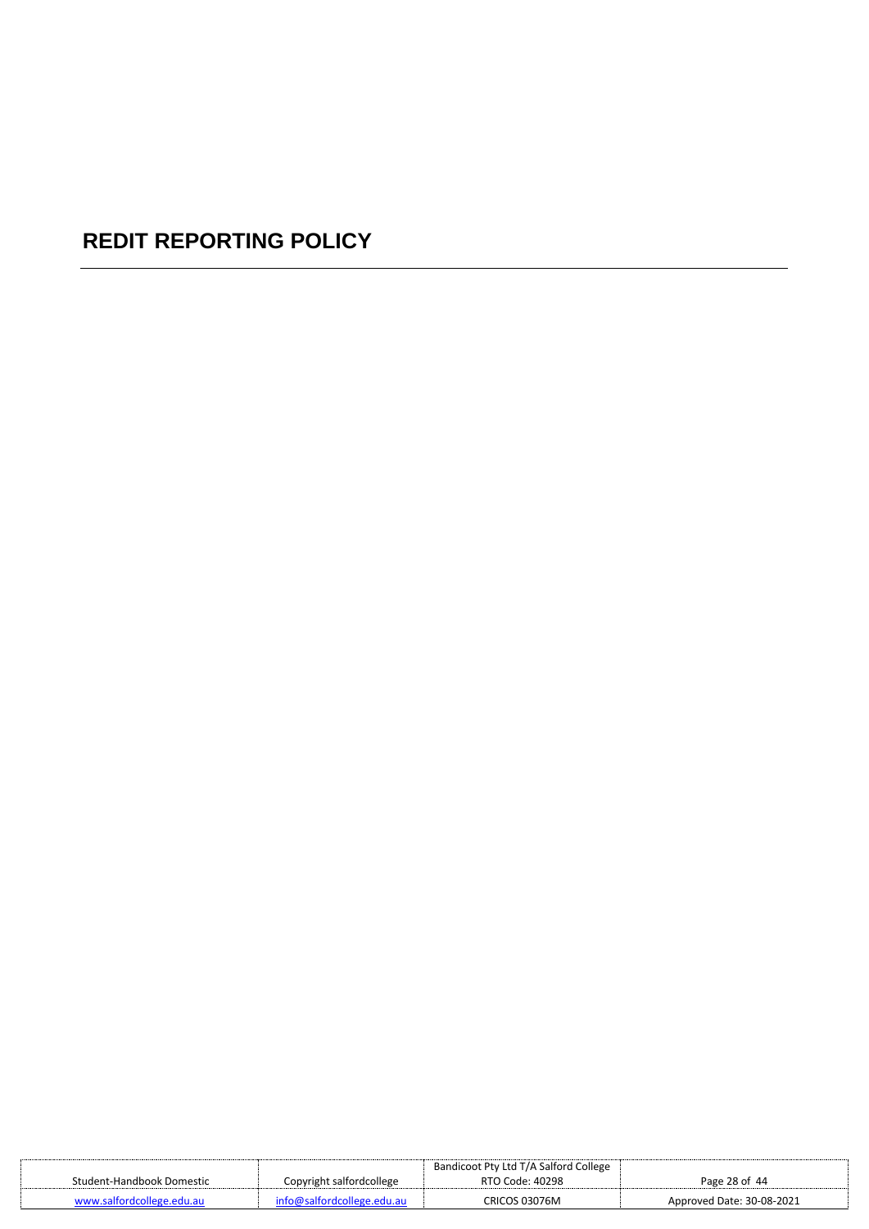# **REDIT REPORTING POLICY**

|                           |                          | Bandicoot Pty Ltd T/A Salford College |                           |
|---------------------------|--------------------------|---------------------------------------|---------------------------|
| Student-Handbook Domestic | Copyright salfordcollege | RTO Code: 40298                       | Page 28 of 44             |
|                           |                          | CRICOS 03076M                         | Approved Date: 30-08-2021 |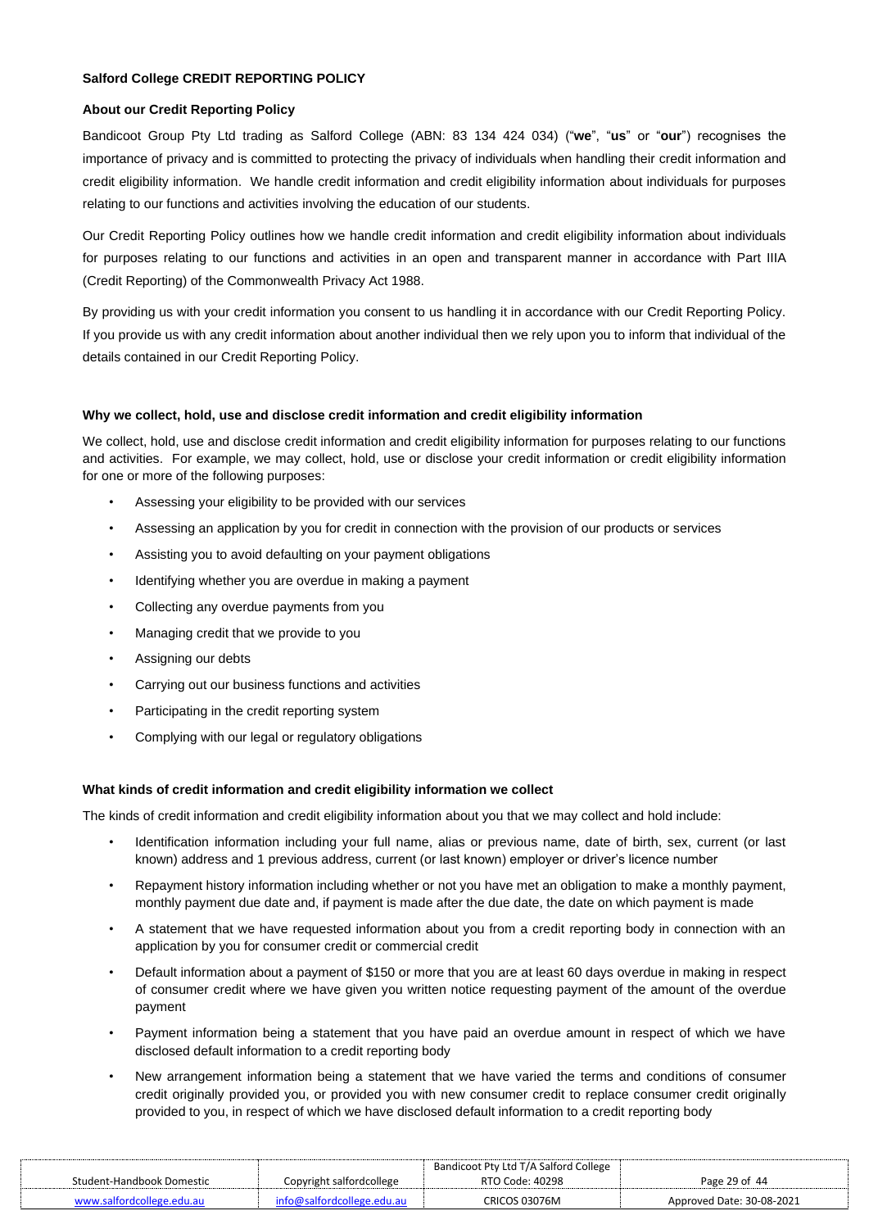# **Salford College CREDIT REPORTING POLICY**

# <span id="page-28-0"></span>**About our Credit Reporting Policy**

Bandicoot Group Pty Ltd trading as Salford College (ABN: 83 134 424 034) ("**we**", "**us**" or "**our**") recognises the importance of privacy and is committed to protecting the privacy of individuals when handling their credit information and credit eligibility information. We handle credit information and credit eligibility information about individuals for purposes relating to our functions and activities involving the education of our students.

Our Credit Reporting Policy outlines how we handle credit information and credit eligibility information about individuals for purposes relating to our functions and activities in an open and transparent manner in accordance with Part IIIA (Credit Reporting) of the Commonwealth Privacy Act 1988.

By providing us with your credit information you consent to us handling it in accordance with our Credit Reporting Policy. If you provide us with any credit information about another individual then we rely upon you to inform that individual of the details contained in our Credit Reporting Policy.

# <span id="page-28-1"></span>**Why we collect, hold, use and disclose credit information and credit eligibility information**

We collect, hold, use and disclose credit information and credit eligibility information for purposes relating to our functions and activities. For example, we may collect, hold, use or disclose your credit information or credit eligibility information for one or more of the following purposes:

- Assessing your eligibility to be provided with our services
- Assessing an application by you for credit in connection with the provision of our products or services
- Assisting you to avoid defaulting on your payment obligations
- Identifying whether you are overdue in making a payment
- Collecting any overdue payments from you
- Managing credit that we provide to you
- Assigning our debts
- Carrying out our business functions and activities
- Participating in the credit reporting system
- Complying with our legal or regulatory obligations

# <span id="page-28-2"></span>**What kinds of credit information and credit eligibility information we collect**

The kinds of credit information and credit eligibility information about you that we may collect and hold include:

- Identification information including your full name, alias or previous name, date of birth, sex, current (or last known) address and 1 previous address, current (or last known) employer or driver's licence number
- Repayment history information including whether or not you have met an obligation to make a monthly payment, monthly payment due date and, if payment is made after the due date, the date on which payment is made
- A statement that we have requested information about you from a credit reporting body in connection with an application by you for consumer credit or commercial credit
- Default information about a payment of \$150 or more that you are at least 60 days overdue in making in respect of consumer credit where we have given you written notice requesting payment of the amount of the overdue payment
- Payment information being a statement that you have paid an overdue amount in respect of which we have disclosed default information to a credit reporting body
- New arrangement information being a statement that we have varied the terms and conditions of consumer credit originally provided you, or provided you with new consumer credit to replace consumer credit originally provided to you, in respect of which we have disclosed default information to a credit reporting body

|                           |                            | Bandicoot Pty Ltd T/A Salford College |                           |
|---------------------------|----------------------------|---------------------------------------|---------------------------|
| Student-Handbook Domestic | Copyright salfordcollege   | RTO Code: 40298                       | Page 29 of 44             |
| www.salfordcollege.edu.au | info@salfordcollege.edu.au | CRICOS 03076M                         | Approved Date: 30-08-2021 |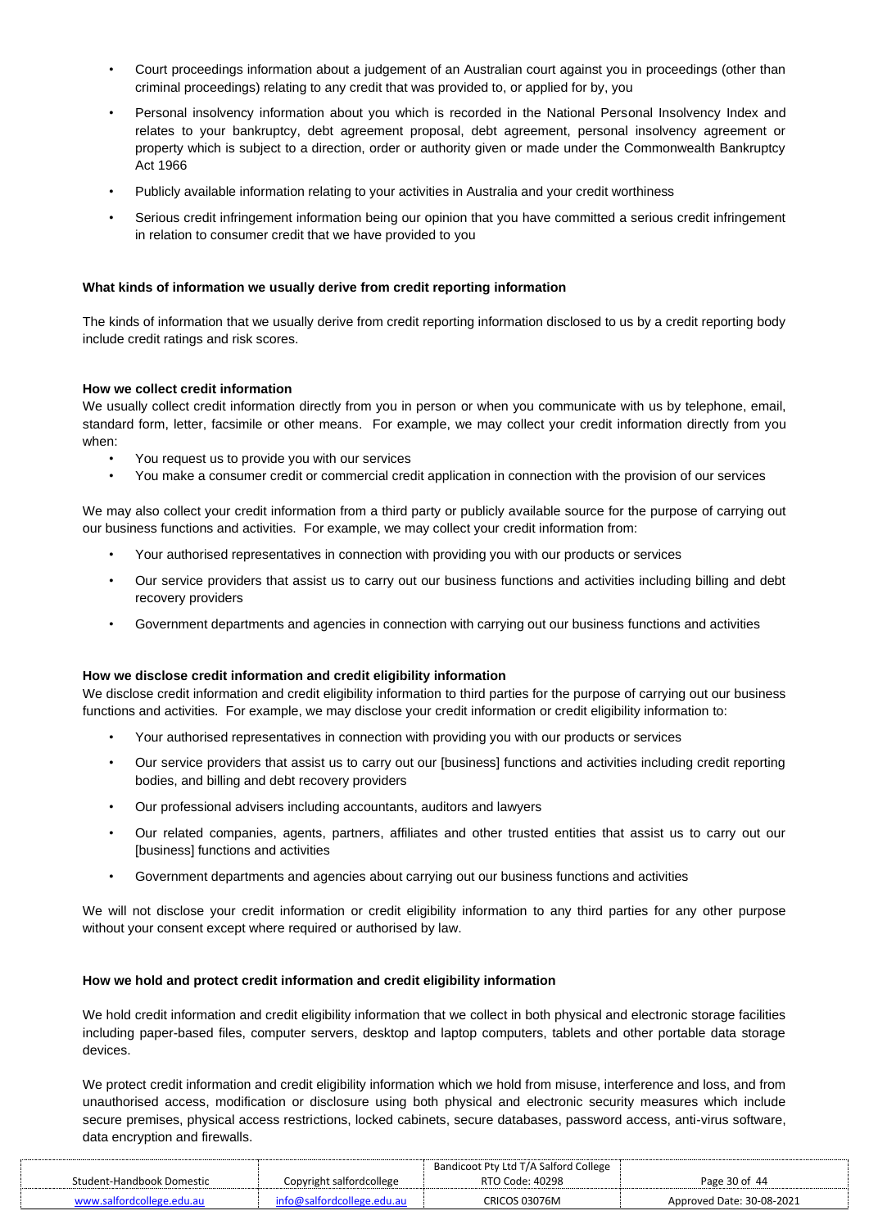- Court proceedings information about a judgement of an Australian court against you in proceedings (other than criminal proceedings) relating to any credit that was provided to, or applied for by, you
- Personal insolvency information about you which is recorded in the National Personal Insolvency Index and relates to your bankruptcy, debt agreement proposal, debt agreement, personal insolvency agreement or property which is subject to a direction, order or authority given or made under the Commonwealth Bankruptcy Act 1966
- Publicly available information relating to your activities in Australia and your credit worthiness
- Serious credit infringement information being our opinion that you have committed a serious credit infringement in relation to consumer credit that we have provided to you

# <span id="page-29-0"></span>**What kinds of information we usually derive from credit reporting information**

The kinds of information that we usually derive from credit reporting information disclosed to us by a credit reporting body include credit ratings and risk scores.

# <span id="page-29-1"></span>**How we collect credit information**

We usually collect credit information directly from you in person or when you communicate with us by telephone, email, standard form, letter, facsimile or other means. For example, we may collect your credit information directly from you when:

- You request us to provide you with our services
- You make a consumer credit or commercial credit application in connection with the provision of our services

We may also collect your credit information from a third party or publicly available source for the purpose of carrying out our business functions and activities. For example, we may collect your credit information from:

- Your authorised representatives in connection with providing you with our products or services
- Our service providers that assist us to carry out our business functions and activities including billing and debt recovery providers
- Government departments and agencies in connection with carrying out our business functions and activities

# <span id="page-29-2"></span>**How we disclose credit information and credit eligibility information**

We disclose credit information and credit eligibility information to third parties for the purpose of carrying out our business functions and activities. For example, we may disclose your credit information or credit eligibility information to:

- Your authorised representatives in connection with providing you with our products or services
- Our service providers that assist us to carry out our [business] functions and activities including credit reporting bodies, and billing and debt recovery providers
- Our professional advisers including accountants, auditors and lawyers
- Our related companies, agents, partners, affiliates and other trusted entities that assist us to carry out our [business] functions and activities
- Government departments and agencies about carrying out our business functions and activities

We will not disclose your credit information or credit eligibility information to any third parties for any other purpose without your consent except where required or authorised by law.

# <span id="page-29-3"></span>**How we hold and protect credit information and credit eligibility information**

We hold credit information and credit eligibility information that we collect in both physical and electronic storage facilities including paper-based files, computer servers, desktop and laptop computers, tablets and other portable data storage devices.

We protect credit information and credit eligibility information which we hold from misuse, interference and loss, and from unauthorised access, modification or disclosure using both physical and electronic security measures which include secure premises, physical access restrictions, locked cabinets, secure databases, password access, anti-virus software, data encryption and firewalls.

|                           |                            | Bandicoot Pty Ltd T/A Salford College |                           |
|---------------------------|----------------------------|---------------------------------------|---------------------------|
| Student-Handbook Domestic | Copyright salfordcollege   | RTO Code: 40298                       | Page 30 of 44             |
| www.salfordcollege.edu.au | info@salfordcollege.edu.au | CRICOS 03076M                         | Approved Date: 30-08-2021 |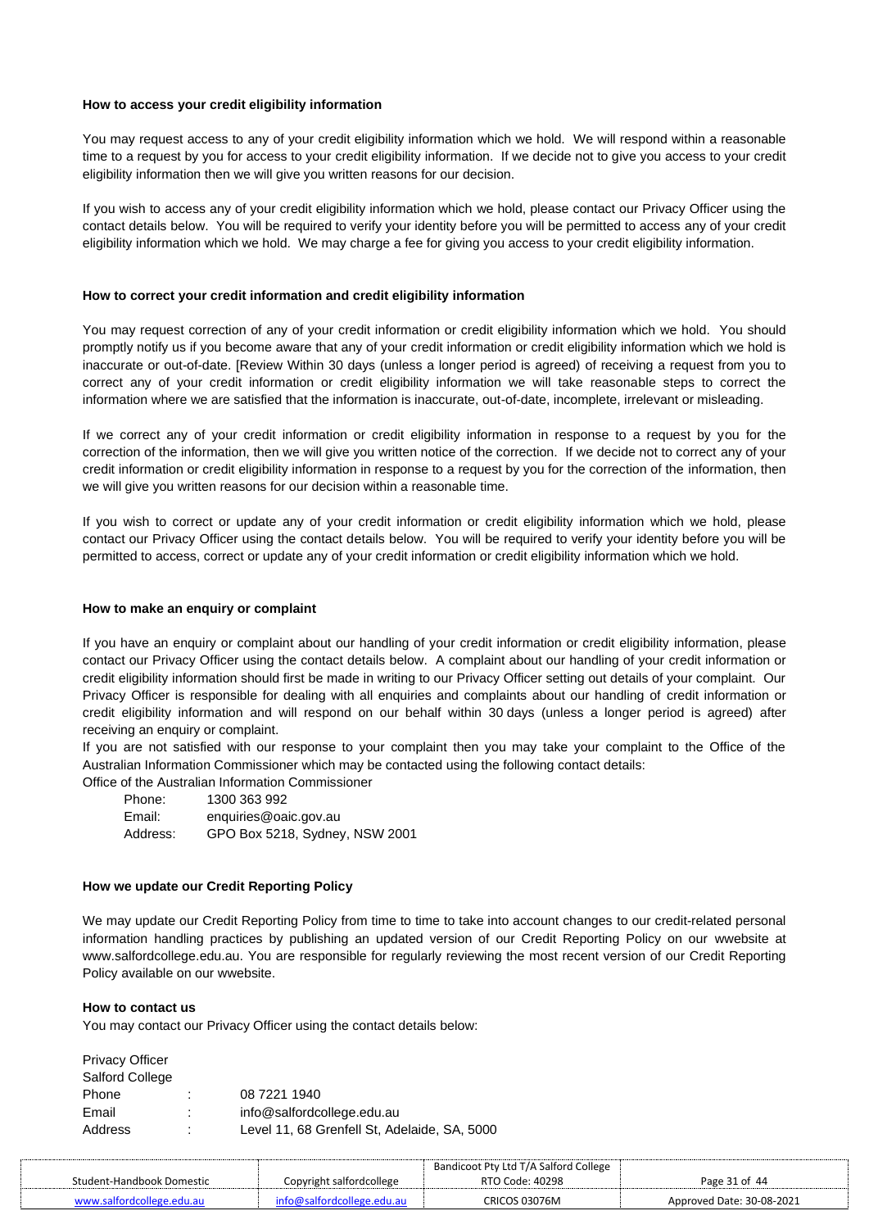# <span id="page-30-0"></span>**How to access your credit eligibility information**

You may request access to any of your credit eligibility information which we hold. We will respond within a reasonable time to a request by you for access to your credit eligibility information. If we decide not to give you access to your credit eligibility information then we will give you written reasons for our decision.

If you wish to access any of your credit eligibility information which we hold, please contact our Privacy Officer using the contact details below. You will be required to verify your identity before you will be permitted to access any of your credit eligibility information which we hold. We may charge a fee for giving you access to your credit eligibility information.

# <span id="page-30-1"></span>**How to correct your credit information and credit eligibility information**

You may request correction of any of your credit information or credit eligibility information which we hold. You should promptly notify us if you become aware that any of your credit information or credit eligibility information which we hold is inaccurate or out-of-date. [Review Within 30 days (unless a longer period is agreed) of receiving a request from you to correct any of your credit information or credit eligibility information we will take reasonable steps to correct the information where we are satisfied that the information is inaccurate, out-of-date, incomplete, irrelevant or misleading.

If we correct any of your credit information or credit eligibility information in response to a request by you for the correction of the information, then we will give you written notice of the correction. If we decide not to correct any of your credit information or credit eligibility information in response to a request by you for the correction of the information, then we will give you written reasons for our decision within a reasonable time.

If you wish to correct or update any of your credit information or credit eligibility information which we hold, please contact our Privacy Officer using the contact details below. You will be required to verify your identity before you will be permitted to access, correct or update any of your credit information or credit eligibility information which we hold.

# <span id="page-30-2"></span>**How to make an enquiry or complaint**

If you have an enquiry or complaint about our handling of your credit information or credit eligibility information, please contact our Privacy Officer using the contact details below. A complaint about our handling of your credit information or credit eligibility information should first be made in writing to our Privacy Officer setting out details of your complaint. Our Privacy Officer is responsible for dealing with all enquiries and complaints about our handling of credit information or credit eligibility information and will respond on our behalf within 30 days (unless a longer period is agreed) after receiving an enquiry or complaint.

If you are not satisfied with our response to your complaint then you may take your complaint to the Office of the Australian Information Commissioner which may be contacted using the following contact details:

Office of the Australian Information Commissioner

| Phone:   | 1300 363 992                   |
|----------|--------------------------------|
| Email:   | enquiries@oaic.gov.au          |
| Address: | GPO Box 5218, Sydney, NSW 2001 |

# <span id="page-30-3"></span>**How we update our Credit Reporting Policy**

We may update our Credit Reporting Policy from time to time to take into account changes to our credit-related personal information handling practices by publishing an updated version of our Credit Reporting Policy on our wwebsite at www.salfordcollege.edu.au. You are responsible for regularly reviewing the most recent version of our Credit Reporting Policy available on our wwebsite.

#### <span id="page-30-4"></span>**How to contact us**

You may contact our Privacy Officer using the contact details below:

| <b>Privacy Officer</b> |      |                                              |
|------------------------|------|----------------------------------------------|
| <b>Salford College</b> |      |                                              |
| Phone                  | ٠    | 08 7221 1940                                 |
| Email                  | ÷.   | info@salfordcollege.edu.au                   |
| Address                | t in | Level 11, 68 Grenfell St, Adelaide, SA, 5000 |

|                           |                          | Bandicoot Pty Ltd T/A Salford College |                           |
|---------------------------|--------------------------|---------------------------------------|---------------------------|
| Student-Handbook Domestic | Copyright salfordcollege | RTO Code: 40298                       | Page 31 of 44             |
|                           |                          | CRICOS 03076M                         | Approved Date: 30-08-2021 |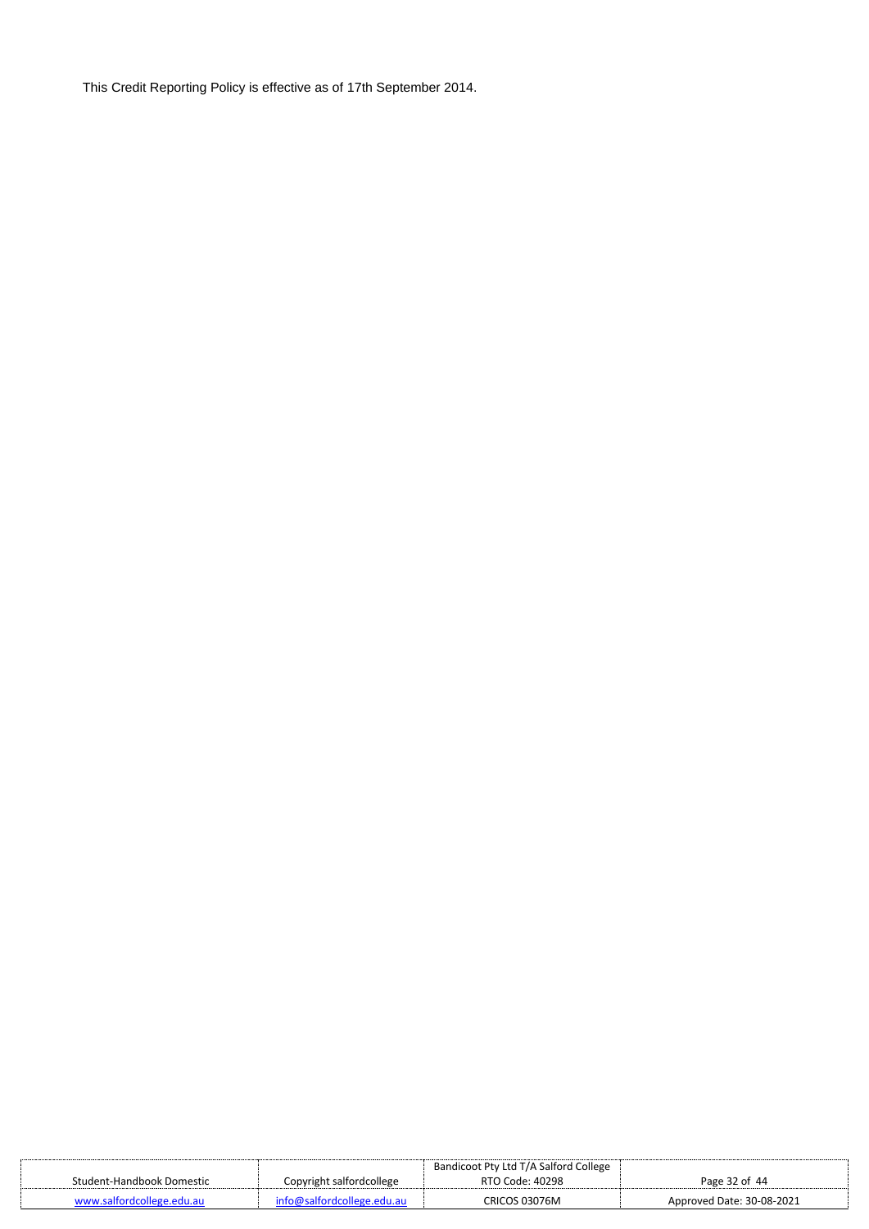This Credit Reporting Policy is effective as of 17th September 2014.

|                           |                          | Bandicoot Pty Ltd T/A Salford College |                           |
|---------------------------|--------------------------|---------------------------------------|---------------------------|
| Student-Handbook Domestic | Copyright salfordcollege | RTO Code: 40298                       | Page 32 of 44             |
|                           |                          | CRICOS 03076M                         | Approved Date: 30-08-2021 |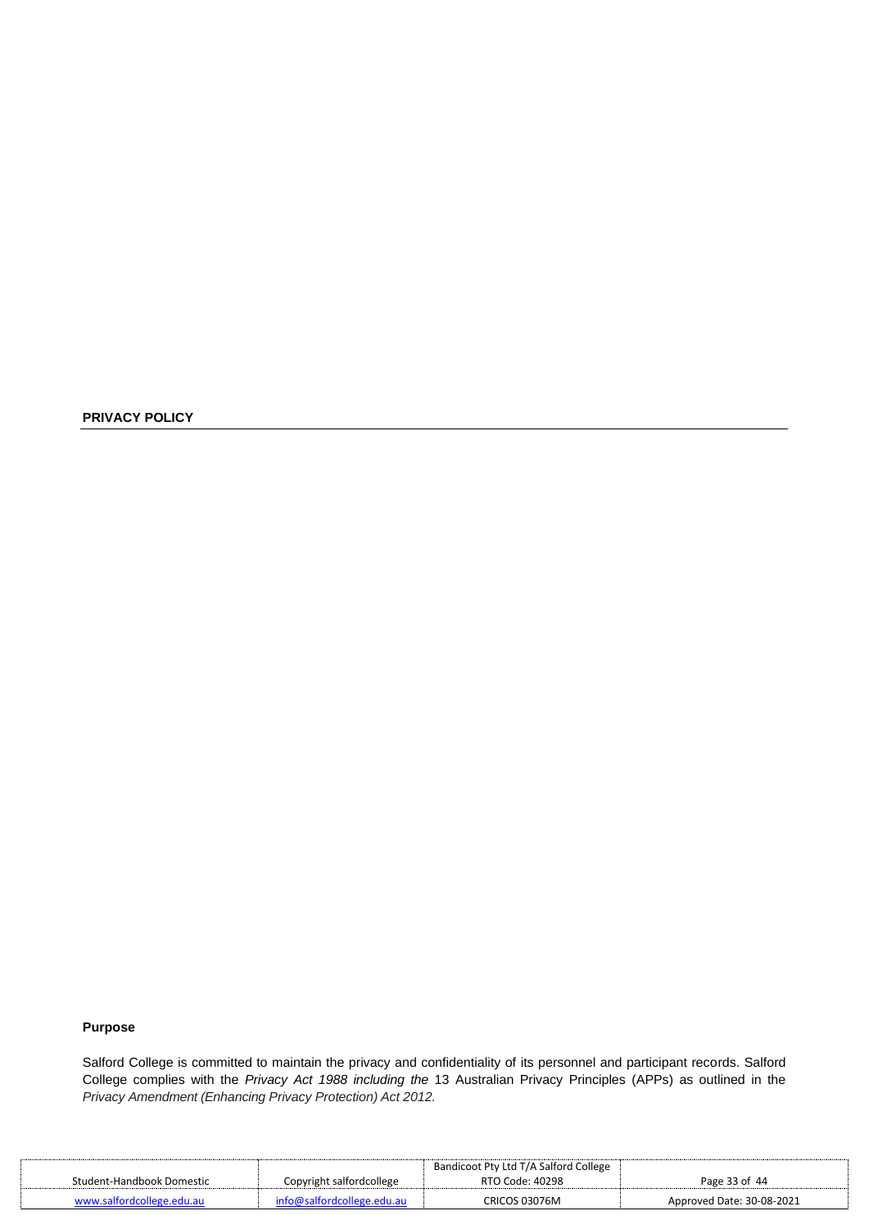**PRIVACY POLICY**

# **Purpose**

Salford College is committed to maintain the privacy and confidentiality of its personnel and participant records. Salford College complies with the *Privacy Act 1988 including the* 13 Australian Privacy Principles (APPs) as outlined in the *Privacy Amendment (Enhancing Privacy Protection) Act 2012.*

|                           |                            | Bandicoot Pty Ltd T/A Salford College |                           |
|---------------------------|----------------------------|---------------------------------------|---------------------------|
| Student-Handbook Domestic | Copyright salfordcollege   | RTO Code: 40298                       | Page 33 of 44             |
|                           | info@salfordcollege.edu.au | CRICOS 03076M                         | Approved Date: 30-08-2021 |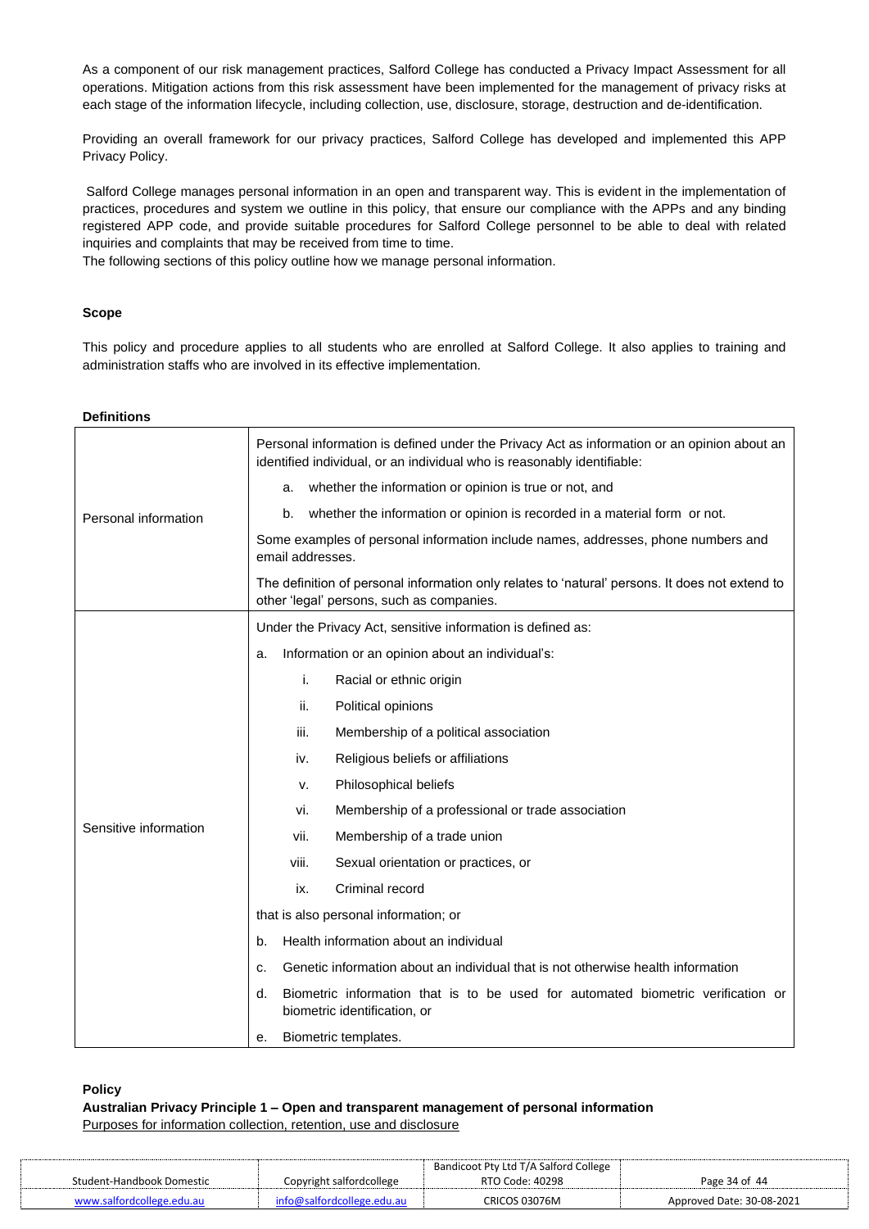As a component of our risk management practices, Salford College has conducted a Privacy Impact Assessment for all operations. Mitigation actions from this risk assessment have been implemented for the management of privacy risks at each stage of the information lifecycle, including collection, use, disclosure, storage, destruction and de-identification.

Providing an overall framework for our privacy practices, Salford College has developed and implemented this APP Privacy Policy.

Salford College manages personal information in an open and transparent way. This is evident in the implementation of practices, procedures and system we outline in this policy, that ensure our compliance with the APPs and any binding registered APP code, and provide suitable procedures for Salford College personnel to be able to deal with related inquiries and complaints that may be received from time to time.

The following sections of this policy outline how we manage personal information.

# **Scope**

This policy and procedure applies to all students who are enrolled at Salford College. It also applies to training and administration staffs who are involved in its effective implementation.

# **Definitions**

|                       | Personal information is defined under the Privacy Act as information or an opinion about an<br>identified individual, or an individual who is reasonably identifiable: |  |  |  |  |
|-----------------------|------------------------------------------------------------------------------------------------------------------------------------------------------------------------|--|--|--|--|
|                       | whether the information or opinion is true or not, and<br>a.                                                                                                           |  |  |  |  |
| Personal information  | whether the information or opinion is recorded in a material form or not.<br>b.                                                                                        |  |  |  |  |
|                       | Some examples of personal information include names, addresses, phone numbers and<br>email addresses.                                                                  |  |  |  |  |
|                       | The definition of personal information only relates to 'natural' persons. It does not extend to<br>other 'legal' persons, such as companies.                           |  |  |  |  |
|                       | Under the Privacy Act, sensitive information is defined as:                                                                                                            |  |  |  |  |
|                       | Information or an opinion about an individual's:<br>a.                                                                                                                 |  |  |  |  |
|                       | i.<br>Racial or ethnic origin                                                                                                                                          |  |  |  |  |
|                       | ii.<br>Political opinions                                                                                                                                              |  |  |  |  |
|                       | iii.<br>Membership of a political association                                                                                                                          |  |  |  |  |
|                       | Religious beliefs or affiliations<br>iv.                                                                                                                               |  |  |  |  |
|                       | Philosophical beliefs<br>ν.                                                                                                                                            |  |  |  |  |
|                       | Membership of a professional or trade association<br>vi.                                                                                                               |  |  |  |  |
| Sensitive information | Membership of a trade union<br>vii.                                                                                                                                    |  |  |  |  |
|                       | Sexual orientation or practices, or<br>viii.                                                                                                                           |  |  |  |  |
|                       | Criminal record<br>ix.                                                                                                                                                 |  |  |  |  |
|                       | that is also personal information; or                                                                                                                                  |  |  |  |  |
|                       | Health information about an individual<br>b.                                                                                                                           |  |  |  |  |
|                       | Genetic information about an individual that is not otherwise health information<br>c.                                                                                 |  |  |  |  |
|                       | Biometric information that is to be used for automated biometric verification or<br>d.<br>biometric identification, or                                                 |  |  |  |  |
|                       | Biometric templates.<br>е.                                                                                                                                             |  |  |  |  |

# **Policy**

# **Australian Privacy Principle 1 – Open and transparent management of personal information** Purposes for information collection, retention, use and disclosure

|                           |                            | Bandicoot Pty Ltd T/A Salford College |                           |
|---------------------------|----------------------------|---------------------------------------|---------------------------|
| Student-Handbook Domestic | Copyright salfordcollege   | RTO Code: 40298                       | Page 34 of 44             |
|                           | into@saltordcollege.edu.au | CRICOS 03076M                         | Approved Date: 30-08-2021 |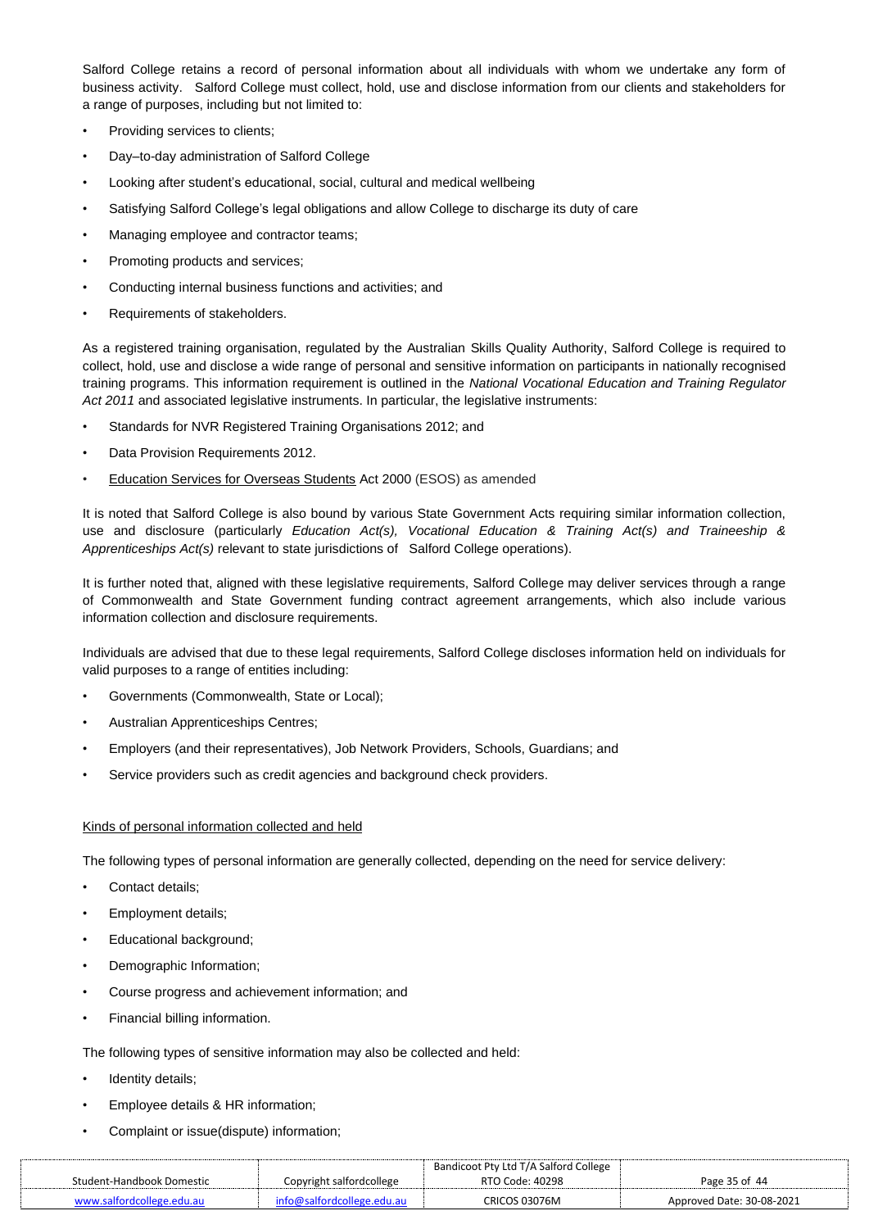Salford College retains a record of personal information about all individuals with whom we undertake any form of business activity. Salford College must collect, hold, use and disclose information from our clients and stakeholders for a range of purposes, including but not limited to:

- Providing services to clients;
- Day–to-day administration of Salford College
- Looking after student's educational, social, cultural and medical wellbeing
- Satisfying Salford College's legal obligations and allow College to discharge its duty of care
- Managing employee and contractor teams;
- Promoting products and services;
- Conducting internal business functions and activities; and
- Requirements of stakeholders.

As a registered training organisation, regulated by the Australian Skills Quality Authority, Salford College is required to collect, hold, use and disclose a wide range of personal and sensitive information on participants in nationally recognised training programs. This information requirement is outlined in the *National Vocational Education and Training Regulator Act 2011* and associated legislative instruments. In particular, the legislative instruments:

- Standards for NVR Registered Training Organisations 2012; and
- Data Provision Requirements 2012.
- <span id="page-34-0"></span>• [Education Services for Overseas Students](http://www.comlaw.gov.au/Series/C2004A00757) Act 2000 (ESOS) as amended

It is noted that Salford College is also bound by various State Government Acts requiring similar information collection, use and disclosure (particularly *Education Act(s), Vocational Education & Training Act(s) and Traineeship & Apprenticeships Act(s)* relevant to state jurisdictions of Salford College operations).

It is further noted that, aligned with these legislative requirements, Salford College may deliver services through a range of Commonwealth and State Government funding contract agreement arrangements, which also include various information collection and disclosure requirements.

Individuals are advised that due to these legal requirements, Salford College discloses information held on individuals for valid purposes to a range of entities including:

- Governments (Commonwealth, State or Local);
- Australian Apprenticeships Centres;
- Employers (and their representatives), Job Network Providers, Schools, Guardians; and
- Service providers such as credit agencies and background check providers.

# Kinds of personal information collected and held

The following types of personal information are generally collected, depending on the need for service delivery:

- Contact details:
- Employment details;
- Educational background;
- Demographic Information;
- Course progress and achievement information; and
- Financial billing information.

The following types of sensitive information may also be collected and held:

- Identity details:
- Employee details & HR information;
- Complaint or issue(dispute) information;

|                           |                          | Bandicoot Pty Ltd T/A Salford College |                           |
|---------------------------|--------------------------|---------------------------------------|---------------------------|
| Student-Handbook Domestic | Copyright salfordcollege | RTO Code: 40298                       | Page 35 of 44             |
| <b>WWW</b>                |                          | CRICOS 03076M                         | Approved Date: 30-08-2021 |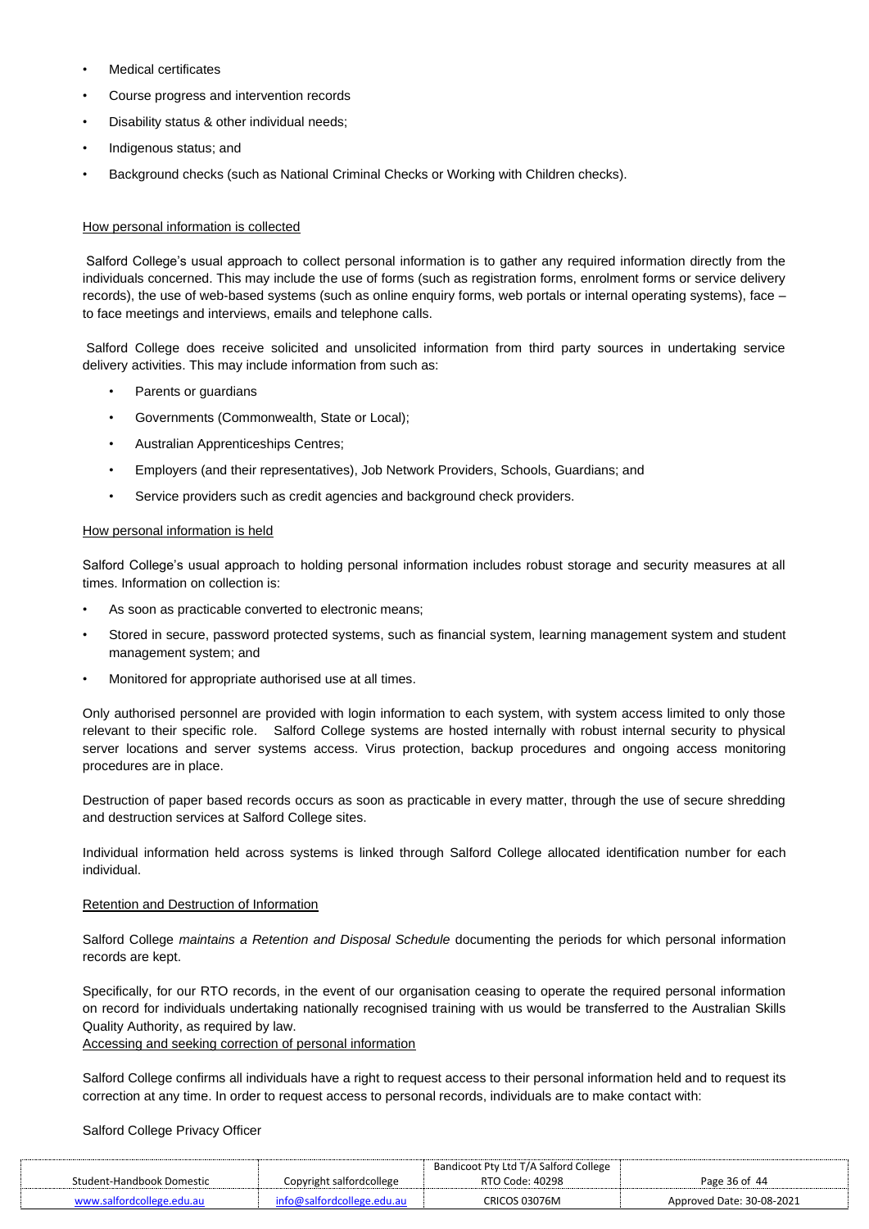- **Medical certificates**
- Course progress and intervention records
- Disability status & other individual needs;
- Indigenous status; and
- Background checks (such as National Criminal Checks or Working with Children checks).

# How personal information is collected

Salford College's usual approach to collect personal information is to gather any required information directly from the individuals concerned. This may include the use of forms (such as registration forms, enrolment forms or service delivery records), the use of web-based systems (such as online enquiry forms, web portals or internal operating systems), face – to face meetings and interviews, emails and telephone calls.

Salford College does receive solicited and unsolicited information from third party sources in undertaking service delivery activities. This may include information from such as:

- Parents or guardians
- Governments (Commonwealth, State or Local);
- Australian Apprenticeships Centres;
- Employers (and their representatives), Job Network Providers, Schools, Guardians; and
- Service providers such as credit agencies and background check providers.

# How personal information is held

Salford College's usual approach to holding personal information includes robust storage and security measures at all times. Information on collection is:

- As soon as practicable converted to electronic means;
- Stored in secure, password protected systems, such as financial system, learning management system and student management system; and
- Monitored for appropriate authorised use at all times.

Only authorised personnel are provided with login information to each system, with system access limited to only those relevant to their specific role. Salford College systems are hosted internally with robust internal security to physical server locations and server systems access. Virus protection, backup procedures and ongoing access monitoring procedures are in place.

Destruction of paper based records occurs as soon as practicable in every matter, through the use of secure shredding and destruction services at Salford College sites.

Individual information held across systems is linked through Salford College allocated identification number for each individual.

# Retention and Destruction of Information

Salford College *maintains a Retention and Disposal Schedule* documenting the periods for which personal information records are kept.

Specifically, for our RTO records, in the event of our organisation ceasing to operate the required personal information on record for individuals undertaking nationally recognised training with us would be transferred to the Australian Skills Quality Authority, as required by law.

# Accessing and seeking correction of personal information

Salford College confirms all individuals have a right to request access to their personal information held and to request its correction at any time. In order to request access to personal records, individuals are to make contact with:

#### Salford College Privacy Officer

|                           |                            | Bandicoot Pty Ltd T/A Salford College |                           |
|---------------------------|----------------------------|---------------------------------------|---------------------------|
| Student-Handbook Domestic | Copyright salfordcollege   | RTO Code: 40298                       | Page 36 of 44             |
| www.salfordcollege.edu.au | info@salfordcollege.edu.au | CRICOS 03076M                         | Approved Date: 30-08-2021 |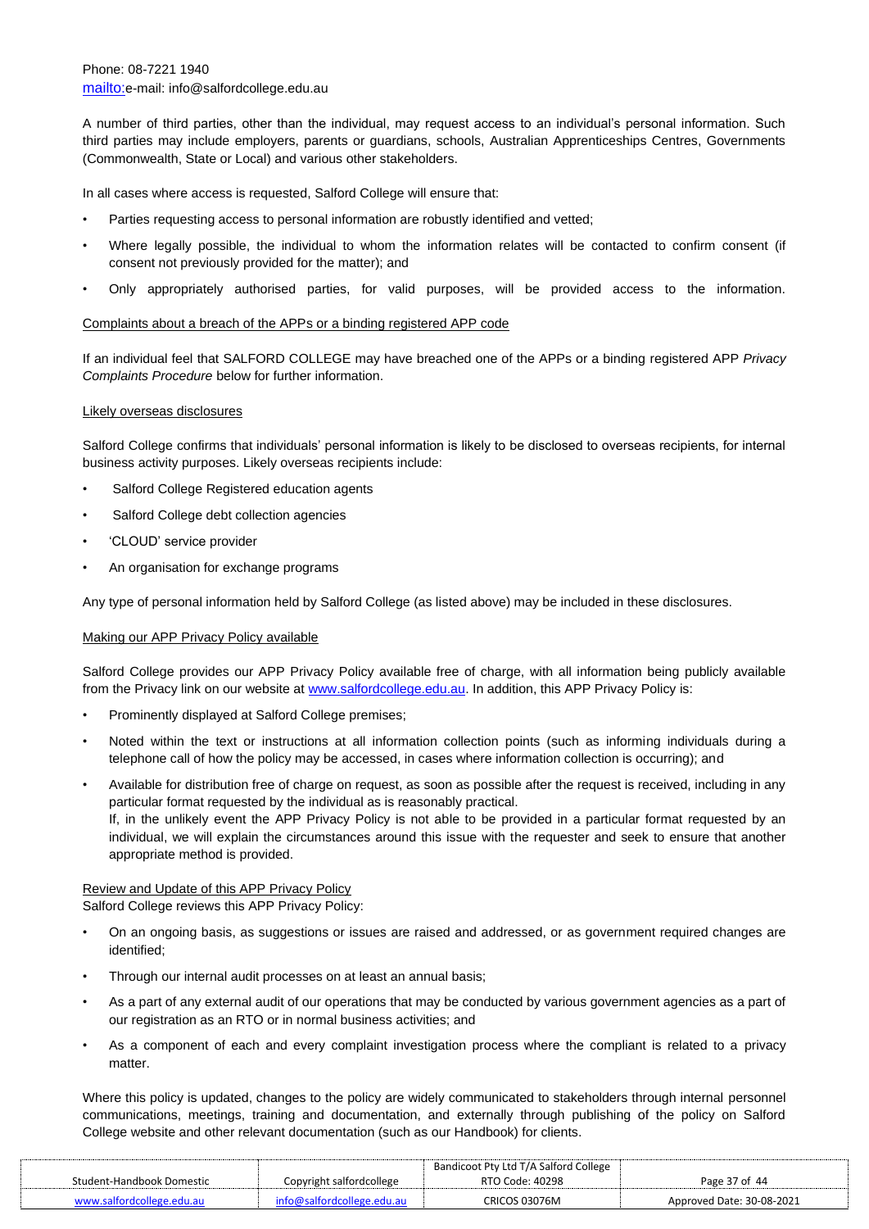A number of third parties, other than the individual, may request access to an individual's personal information. Such third parties may include employers, parents or guardians, schools, Australian Apprenticeships Centres, Governments (Commonwealth, State or Local) and various other stakeholders.

In all cases where access is requested, Salford College will ensure that:

- Parties requesting access to personal information are robustly identified and vetted;
- Where legally possible, the individual to whom the information relates will be contacted to confirm consent (if consent not previously provided for the matter); and
- Only appropriately authorised parties, for valid purposes, will be provided access to the information.

# Complaints about a breach of the APPs or a binding registered APP code

If an individual feel that SALFORD COLLEGE may have breached one of the APPs or a binding registered APP *Privacy Complaints Procedure* below for further information.

# Likely overseas disclosures

Salford College confirms that individuals' personal information is likely to be disclosed to overseas recipients, for internal business activity purposes. Likely overseas recipients include:

- Salford College Registered education agents
- Salford College debt collection agencies
- 'CLOUD' service provider
- An organisation for exchange programs

Any type of personal information held by Salford College (as listed above) may be included in these disclosures.

# Making our APP Privacy Policy available

Salford College provides our APP Privacy Policy available free of charge, with all information being publicly available from the Privacy link on our website at [www.salfordcollege.edu.au.](http://www.salfordcollege.edu.au/) In addition, this APP Privacy Policy is:

- Prominently displayed at Salford College premises;
- Noted within the text or instructions at all information collection points (such as informing individuals during a telephone call of how the policy may be accessed, in cases where information collection is occurring); and
- Available for distribution free of charge on request, as soon as possible after the request is received, including in any particular format requested by the individual as is reasonably practical. If, in the unlikely event the APP Privacy Policy is not able to be provided in a particular format requested by an individual, we will explain the circumstances around this issue with the requester and seek to ensure that another appropriate method is provided.

# Review and Update of this APP Privacy Policy

Salford College reviews this APP Privacy Policy:

- On an ongoing basis, as suggestions or issues are raised and addressed, or as government required changes are identified;
- Through our internal audit processes on at least an annual basis;
- As a part of any external audit of our operations that may be conducted by various government agencies as a part of our registration as an RTO or in normal business activities; and
- As a component of each and every complaint investigation process where the compliant is related to a privacy matter.

Where this policy is updated, changes to the policy are widely communicated to stakeholders through internal personnel communications, meetings, training and documentation, and externally through publishing of the policy on Salford College website and other relevant documentation (such as our Handbook) for clients.

|                                      |                            | Bandicoot Pty Ltd T/A Salford College |                           |
|--------------------------------------|----------------------------|---------------------------------------|---------------------------|
| Student-Handbook Domestic            | Copyright salfordcollege   | RTO Code: 40298                       | Page 37 of 44             |
| salfordcollege.edu.au<br><b>WANA</b> | into@saltordcollege.edu.au | CRICOS 03076M                         | Approved Date: 30-08-2021 |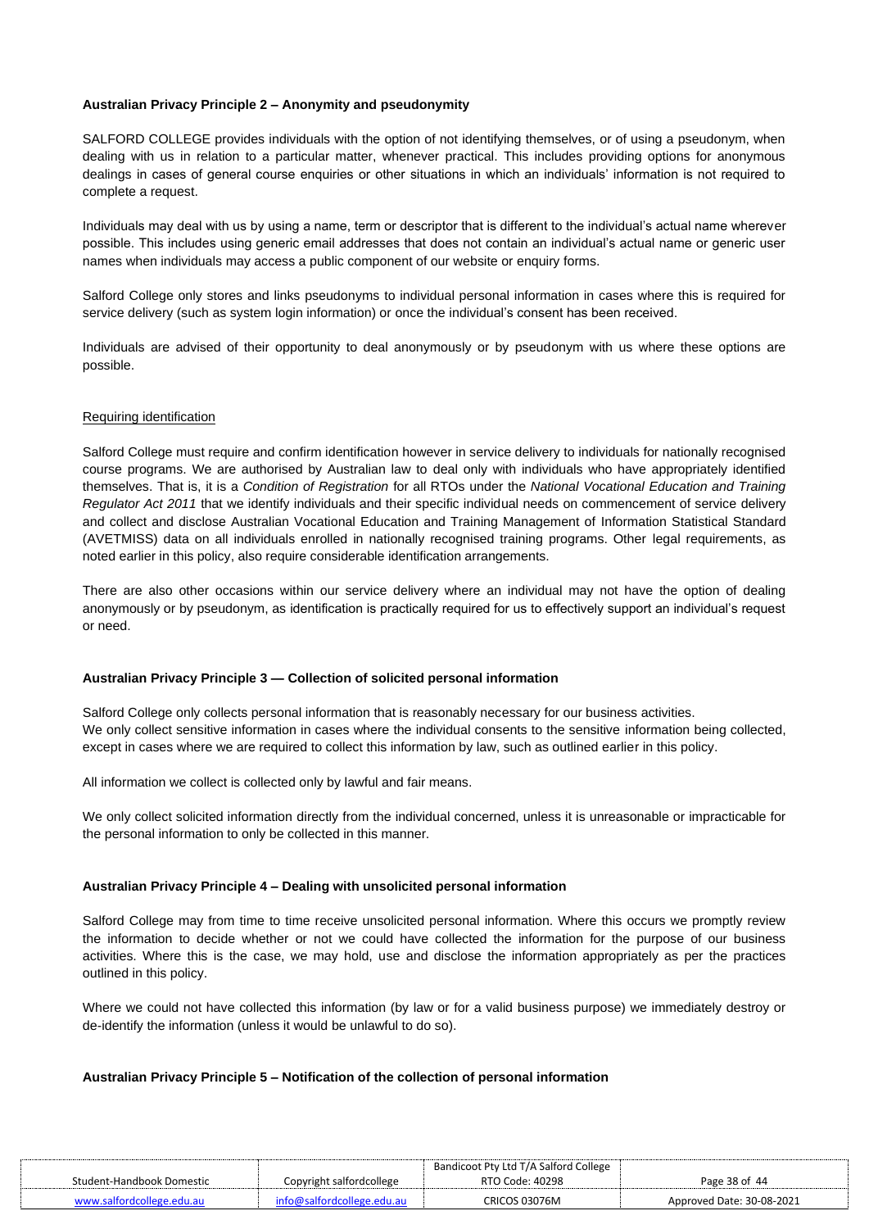# **Australian Privacy Principle 2 – Anonymity and pseudonymity**

SALFORD COLLEGE provides individuals with the option of not identifying themselves, or of using a pseudonym, when dealing with us in relation to a particular matter, whenever practical. This includes providing options for anonymous dealings in cases of general course enquiries or other situations in which an individuals' information is not required to complete a request.

Individuals may deal with us by using a name, term or descriptor that is different to the individual's actual name wherever possible. This includes using generic email addresses that does not contain an individual's actual name or generic user names when individuals may access a public component of our website or enquiry forms.

Salford College only stores and links pseudonyms to individual personal information in cases where this is required for service delivery (such as system login information) or once the individual's consent has been received.

Individuals are advised of their opportunity to deal anonymously or by pseudonym with us where these options are possible.

# Requiring identification

Salford College must require and confirm identification however in service delivery to individuals for nationally recognised course programs. We are authorised by Australian law to deal only with individuals who have appropriately identified themselves. That is, it is a *Condition of Registration* for all RTOs under the *National Vocational Education and Training Regulator Act 2011* that we identify individuals and their specific individual needs on commencement of service delivery and collect and disclose Australian Vocational Education and Training Management of Information Statistical Standard (AVETMISS) data on all individuals enrolled in nationally recognised training programs. Other legal requirements, as noted earlier in this policy, also require considerable identification arrangements.

There are also other occasions within our service delivery where an individual may not have the option of dealing anonymously or by pseudonym, as identification is practically required for us to effectively support an individual's request or need.

# **Australian Privacy Principle 3 — Collection of solicited personal information**

Salford College only collects personal information that is reasonably necessary for our business activities. We only collect sensitive information in cases where the individual consents to the sensitive information being collected. except in cases where we are required to collect this information by law, such as outlined earlier in this policy.

All information we collect is collected only by lawful and fair means.

We only collect solicited information directly from the individual concerned, unless it is unreasonable or impracticable for the personal information to only be collected in this manner.

# **Australian Privacy Principle 4 – Dealing with unsolicited personal information**

Salford College may from time to time receive unsolicited personal information. Where this occurs we promptly review the information to decide whether or not we could have collected the information for the purpose of our business activities. Where this is the case, we may hold, use and disclose the information appropriately as per the practices outlined in this policy.

Where we could not have collected this information (by law or for a valid business purpose) we immediately destroy or de-identify the information (unless it would be unlawful to do so).

# **Australian Privacy Principle 5 – Notification of the collection of personal information**

|                           |                          | Bandicoot Pty Ltd T/A Salford College |                           |
|---------------------------|--------------------------|---------------------------------------|---------------------------|
| Student-Handbook Domestic | Copyright salfordcollege | RTO Code: 40298                       | Page 38 of 44             |
|                           |                          | CRICOS 03076M                         | Approved Date: 30-08-2021 |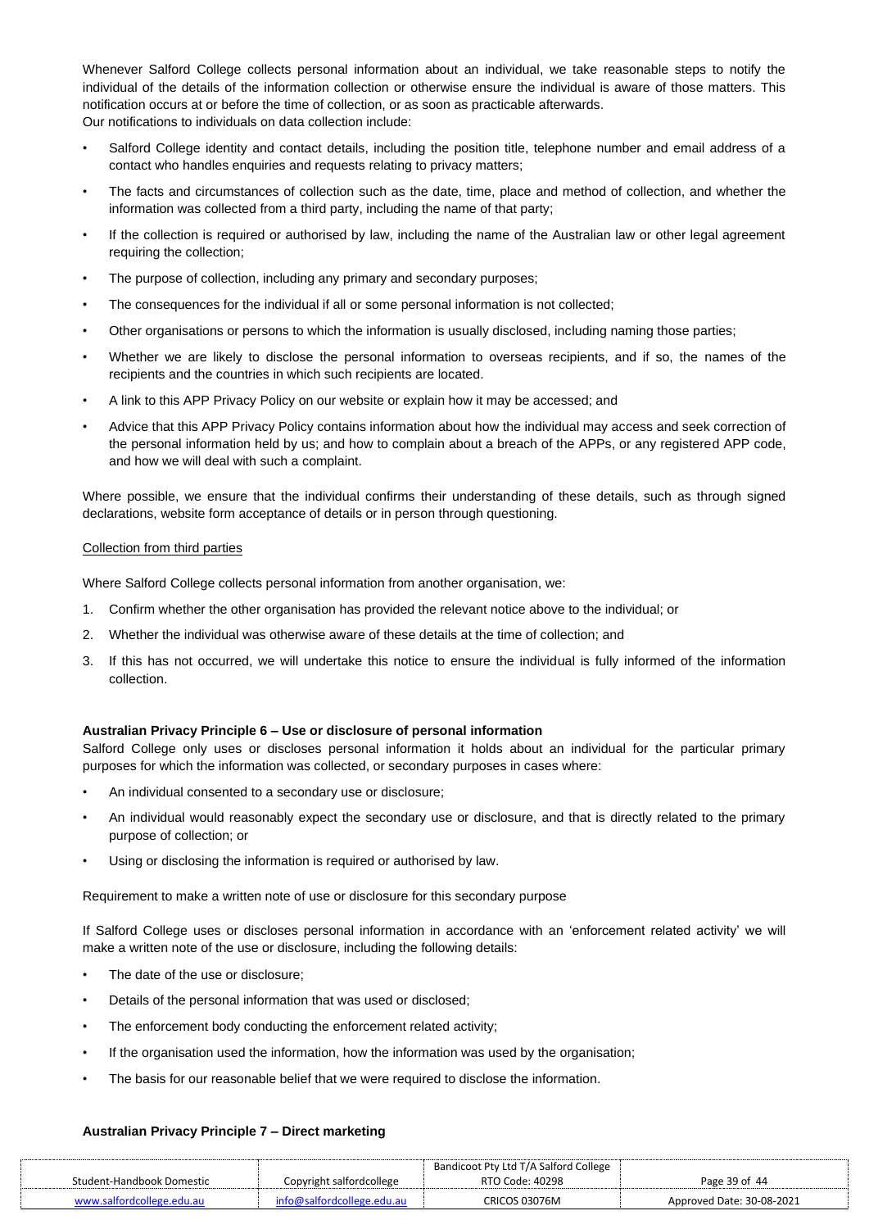Whenever Salford College collects personal information about an individual, we take reasonable steps to notify the individual of the details of the information collection or otherwise ensure the individual is aware of those matters. This notification occurs at or before the time of collection, or as soon as practicable afterwards. Our notifications to individuals on data collection include:

- Salford College identity and contact details, including the position title, telephone number and email address of a contact who handles enquiries and requests relating to privacy matters;
- The facts and circumstances of collection such as the date, time, place and method of collection, and whether the information was collected from a third party, including the name of that party;
- If the collection is required or authorised by law, including the name of the Australian law or other legal agreement requiring the collection;
- The purpose of collection, including any primary and secondary purposes;
- The consequences for the individual if all or some personal information is not collected;
- Other organisations or persons to which the information is usually disclosed, including naming those parties;
- Whether we are likely to disclose the personal information to overseas recipients, and if so, the names of the recipients and the countries in which such recipients are located.
- A link to this APP Privacy Policy on our website or explain how it may be accessed; and
- Advice that this APP Privacy Policy contains information about how the individual may access and seek correction of the personal information held by us; and how to complain about a breach of the APPs, or any registered APP code, and how we will deal with such a complaint.

Where possible, we ensure that the individual confirms their understanding of these details, such as through signed declarations, website form acceptance of details or in person through questioning.

# Collection from third parties

Where Salford College collects personal information from another organisation, we:

- 1. Confirm whether the other organisation has provided the relevant notice above to the individual; or
- 2. Whether the individual was otherwise aware of these details at the time of collection; and
- 3. If this has not occurred, we will undertake this notice to ensure the individual is fully informed of the information collection.

# **Australian Privacy Principle 6 – Use or disclosure of personal information**

Salford College only uses or discloses personal information it holds about an individual for the particular primary purposes for which the information was collected, or secondary purposes in cases where:

- An individual consented to a secondary use or disclosure;
- An individual would reasonably expect the secondary use or disclosure, and that is directly related to the primary purpose of collection; or
- Using or disclosing the information is required or authorised by law.

Requirement to make a written note of use or disclosure for this secondary purpose

If Salford College uses or discloses personal information in accordance with an 'enforcement related activity' we will make a written note of the use or disclosure, including the following details:

- The date of the use or disclosure;
- Details of the personal information that was used or disclosed;
- The enforcement body conducting the enforcement related activity;
- If the organisation used the information, how the information was used by the organisation;
- The basis for our reasonable belief that we were required to disclose the information.

# **Australian Privacy Principle 7 – Direct marketing**

|                           |                          | Bandicoot Pty Ltd T/A Salford College |                           |
|---------------------------|--------------------------|---------------------------------------|---------------------------|
| Student-Handbook Domestic | Copyright salfordcollege | RTO Code: 40298                       | Page 39 of 44             |
|                           |                          | CRICOS 03076M                         | Approved Date: 30-08-2021 |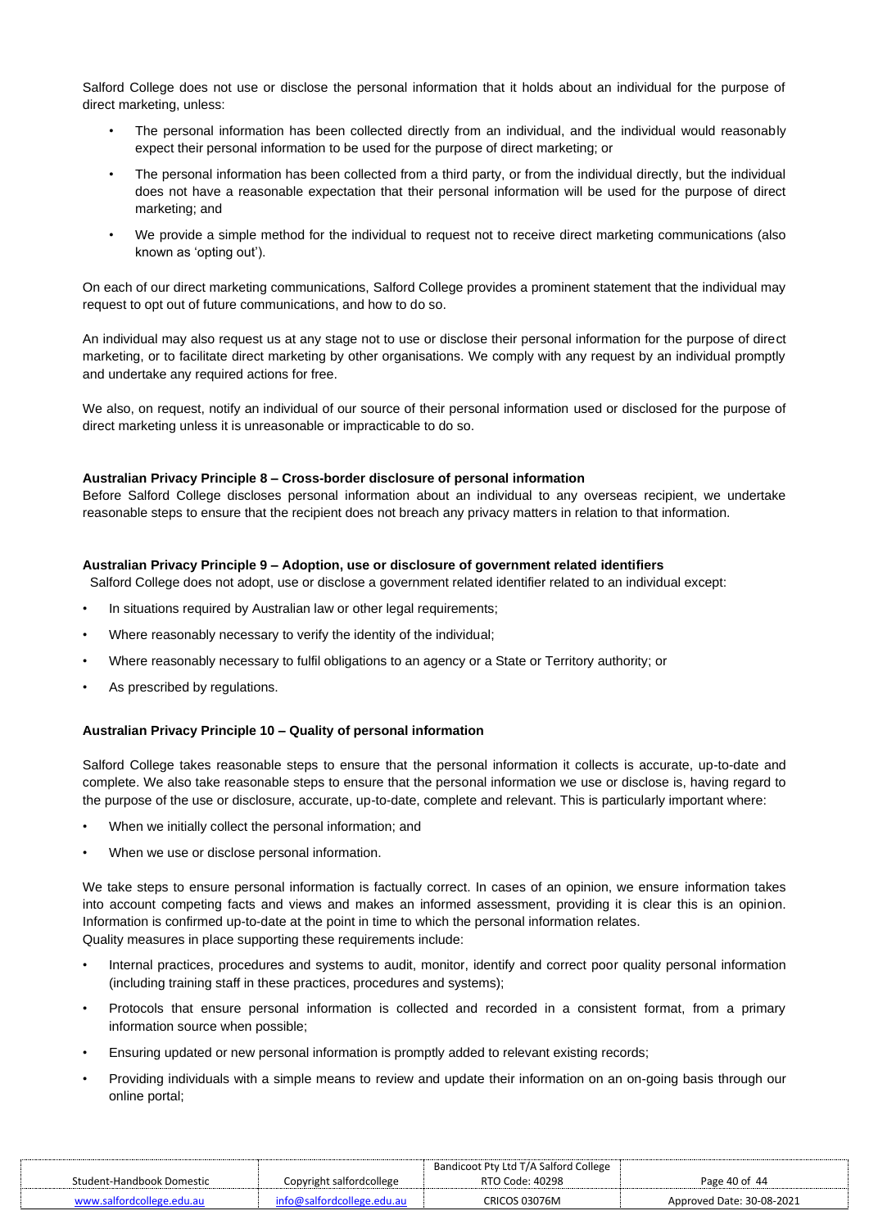Salford College does not use or disclose the personal information that it holds about an individual for the purpose of direct marketing, unless:

- The personal information has been collected directly from an individual, and the individual would reasonably expect their personal information to be used for the purpose of direct marketing; or
- The personal information has been collected from a third party, or from the individual directly, but the individual does not have a reasonable expectation that their personal information will be used for the purpose of direct marketing; and
- We provide a simple method for the individual to request not to receive direct marketing communications (also known as 'opting out').

On each of our direct marketing communications, Salford College provides a prominent statement that the individual may request to opt out of future communications, and how to do so.

An individual may also request us at any stage not to use or disclose their personal information for the purpose of direct marketing, or to facilitate direct marketing by other organisations. We comply with any request by an individual promptly and undertake any required actions for free.

We also, on request, notify an individual of our source of their personal information used or disclosed for the purpose of direct marketing unless it is unreasonable or impracticable to do so.

# **Australian Privacy Principle 8 – Cross-border disclosure of personal information**

Before Salford College discloses personal information about an individual to any overseas recipient, we undertake reasonable steps to ensure that the recipient does not breach any privacy matters in relation to that information.

# **Australian Privacy Principle 9 – Adoption, use or disclosure of government related identifiers**

Salford College does not adopt, use or disclose a government related identifier related to an individual except:

- In situations required by Australian law or other legal requirements;
- Where reasonably necessary to verify the identity of the individual;
- Where reasonably necessary to fulfil obligations to an agency or a State or Territory authority; or
- As prescribed by regulations.

# **Australian Privacy Principle 10 – Quality of personal information**

Salford College takes reasonable steps to ensure that the personal information it collects is accurate, up-to-date and complete. We also take reasonable steps to ensure that the personal information we use or disclose is, having regard to the purpose of the use or disclosure, accurate, up-to-date, complete and relevant. This is particularly important where:

- When we initially collect the personal information; and
- When we use or disclose personal information.

We take steps to ensure personal information is factually correct. In cases of an opinion, we ensure information takes into account competing facts and views and makes an informed assessment, providing it is clear this is an opinion. Information is confirmed up-to-date at the point in time to which the personal information relates. Quality measures in place supporting these requirements include:

- Internal practices, procedures and systems to audit, monitor, identify and correct poor quality personal information (including training staff in these practices, procedures and systems);
- Protocols that ensure personal information is collected and recorded in a consistent format, from a primary information source when possible;
- Ensuring updated or new personal information is promptly added to relevant existing records;
- Providing individuals with a simple means to review and update their information on an on-going basis through our online portal;

|                           |                            | Bandicoot Pty Ltd T/A Salford College |                           |
|---------------------------|----------------------------|---------------------------------------|---------------------------|
| Student-Handbook Domestic | Copyright salfordcollege   | RTO Code: 40298                       | Page 40 of 44             |
| www.salfordcollege.edu.au | info@salfordcollege.edu.au | CRICOS 03076M                         | Approved Date: 30-08-2021 |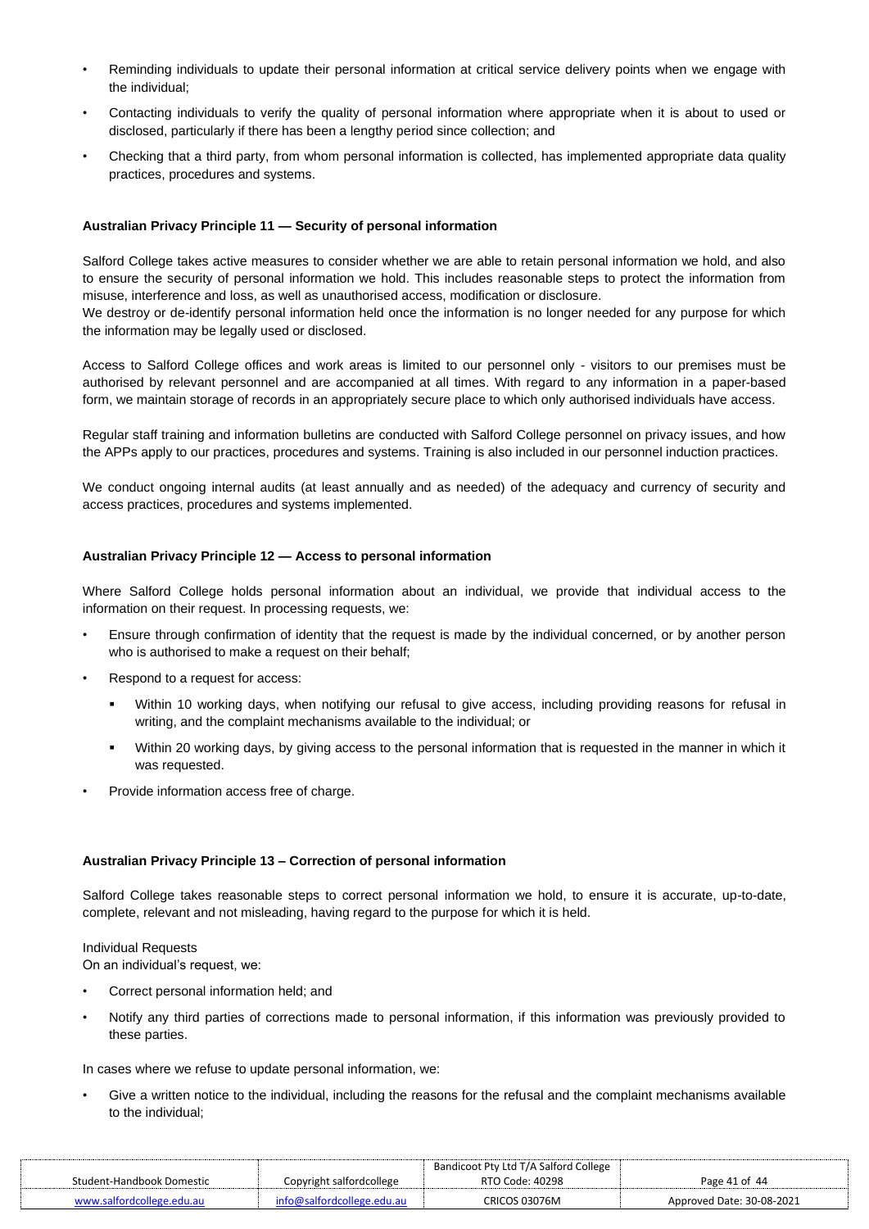- Reminding individuals to update their personal information at critical service delivery points when we engage with the individual;
- Contacting individuals to verify the quality of personal information where appropriate when it is about to used or disclosed, particularly if there has been a lengthy period since collection; and
- Checking that a third party, from whom personal information is collected, has implemented appropriate data quality practices, procedures and systems.

# **Australian Privacy Principle 11 — Security of personal information**

Salford College takes active measures to consider whether we are able to retain personal information we hold, and also to ensure the security of personal information we hold. This includes reasonable steps to protect the information from misuse, interference and loss, as well as unauthorised access, modification or disclosure. We destroy or de-identify personal information held once the information is no longer needed for any purpose for which the information may be legally used or disclosed.

Access to Salford College offices and work areas is limited to our personnel only - visitors to our premises must be authorised by relevant personnel and are accompanied at all times. With regard to any information in a paper-based form, we maintain storage of records in an appropriately secure place to which only authorised individuals have access.

Regular staff training and information bulletins are conducted with Salford College personnel on privacy issues, and how the APPs apply to our practices, procedures and systems. Training is also included in our personnel induction practices.

We conduct ongoing internal audits (at least annually and as needed) of the adequacy and currency of security and access practices, procedures and systems implemented.

# **Australian Privacy Principle 12 — Access to personal information**

Where Salford College holds personal information about an individual, we provide that individual access to the information on their request. In processing requests, we:

- Ensure through confirmation of identity that the request is made by the individual concerned, or by another person who is authorised to make a request on their behalf;
- Respond to a request for access:
	- Within 10 working days, when notifying our refusal to give access, including providing reasons for refusal in writing, and the complaint mechanisms available to the individual; or
	- Within 20 working days, by giving access to the personal information that is requested in the manner in which it was requested.
- Provide information access free of charge.

# **Australian Privacy Principle 13 – Correction of personal information**

Salford College takes reasonable steps to correct personal information we hold, to ensure it is accurate, up-to-date, complete, relevant and not misleading, having regard to the purpose for which it is held.

# Individual Requests

On an individual's request, we:

- Correct personal information held; and
- Notify any third parties of corrections made to personal information, if this information was previously provided to these parties.

In cases where we refuse to update personal information, we:

• Give a written notice to the individual, including the reasons for the refusal and the complaint mechanisms available to the individual;

|                           |                            | Bandicoot Pty Ltd T/A Salford College |                           |
|---------------------------|----------------------------|---------------------------------------|---------------------------|
| Student-Handbook Domestic | Copyright salfordcollege   | RTO Code: 40298                       | Page 41 of 44             |
| www.salfordcollege.edu.au | info@salfordcollege.edu.au | CRICOS 03076M                         | Approved Date: 30-08-2021 |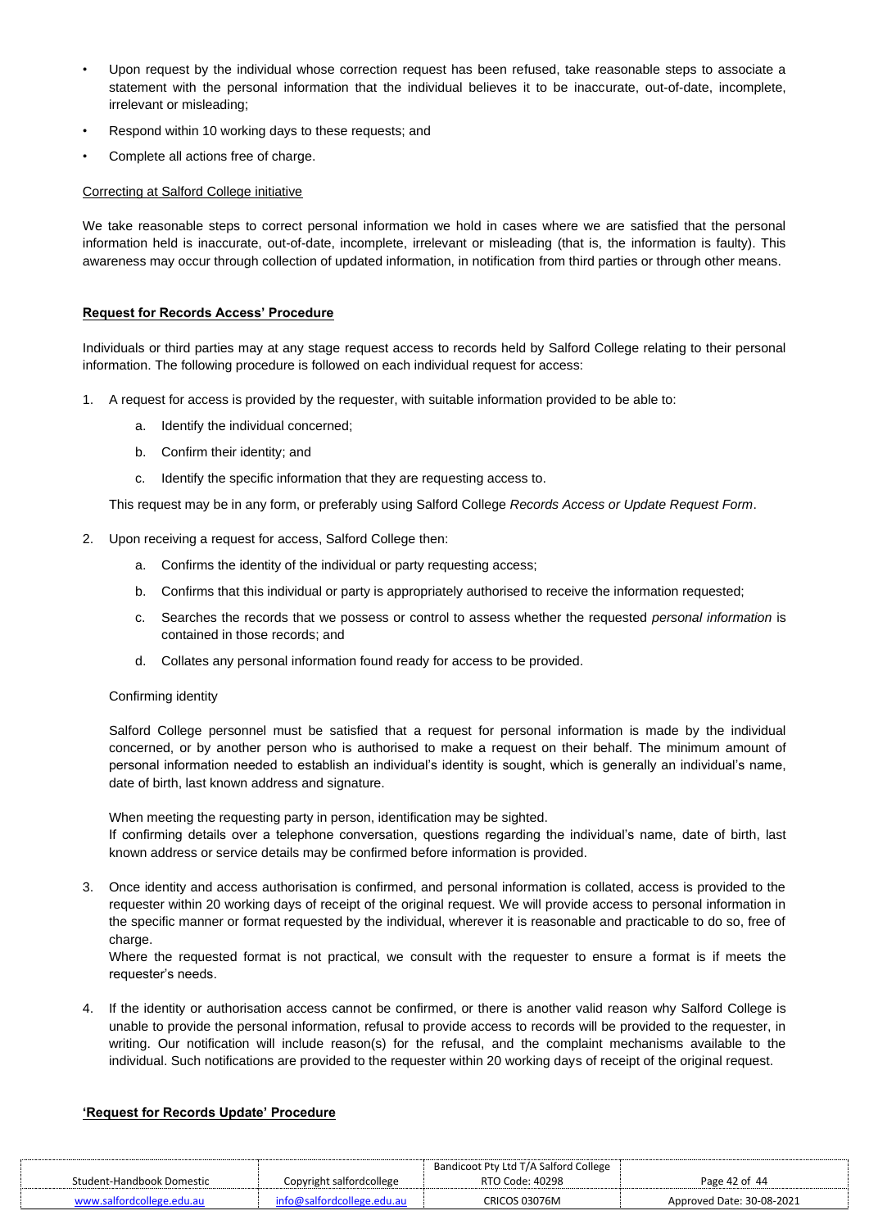- Upon request by the individual whose correction request has been refused, take reasonable steps to associate a statement with the personal information that the individual believes it to be inaccurate, out-of-date, incomplete, irrelevant or misleading;
- Respond within 10 working days to these requests; and
- Complete all actions free of charge.

# Correcting at Salford College initiative

We take reasonable steps to correct personal information we hold in cases where we are satisfied that the personal information held is inaccurate, out-of-date, incomplete, irrelevant or misleading (that is, the information is faulty). This awareness may occur through collection of updated information, in notification from third parties or through other means.

# <span id="page-41-0"></span>**Request for Records Access' Procedure**

Individuals or third parties may at any stage request access to records held by Salford College relating to their personal information. The following procedure is followed on each individual request for access:

- 1. A request for access is provided by the requester, with suitable information provided to be able to:
	- a. Identify the individual concerned;
	- b. Confirm their identity; and
	- c. Identify the specific information that they are requesting access to.

This request may be in any form, or preferably using Salford College *Records Access or Update Request Form*.

- 2. Upon receiving a request for access, Salford College then:
	- a. Confirms the identity of the individual or party requesting access;
	- b. Confirms that this individual or party is appropriately authorised to receive the information requested;
	- c. Searches the records that we possess or control to assess whether the requested *personal information* is contained in those records; and
	- d. Collates any personal information found ready for access to be provided.

# Confirming identity

Salford College personnel must be satisfied that a request for personal information is made by the individual concerned, or by another person who is authorised to make a request on their behalf. The minimum amount of personal information needed to establish an individual's identity is sought, which is generally an individual's name, date of birth, last known address and signature.

When meeting the requesting party in person, identification may be sighted.

If confirming details over a telephone conversation, questions regarding the individual's name, date of birth, last known address or service details may be confirmed before information is provided.

3. Once identity and access authorisation is confirmed, and personal information is collated, access is provided to the requester within 20 working days of receipt of the original request. We will provide access to personal information in the specific manner or format requested by the individual, wherever it is reasonable and practicable to do so, free of charge.

Where the requested format is not practical, we consult with the requester to ensure a format is if meets the requester's needs.

4. If the identity or authorisation access cannot be confirmed, or there is another valid reason why Salford College is unable to provide the personal information, refusal to provide access to records will be provided to the requester, in writing. Our notification will include reason(s) for the refusal, and the complaint mechanisms available to the individual. Such notifications are provided to the requester within 20 working days of receipt of the original request.

# <span id="page-41-1"></span>**'Request for Records Update' Procedure**

|                           |                          | Bandicoot Pty Ltd T/A Salford College |                           |
|---------------------------|--------------------------|---------------------------------------|---------------------------|
| Student-Handbook Domestic | Copyright salfordcollege | RTO Code: 40298                       | Page 42 of 44             |
|                           |                          | CRICOS 03076M                         | Approved Date: 30-08-2021 |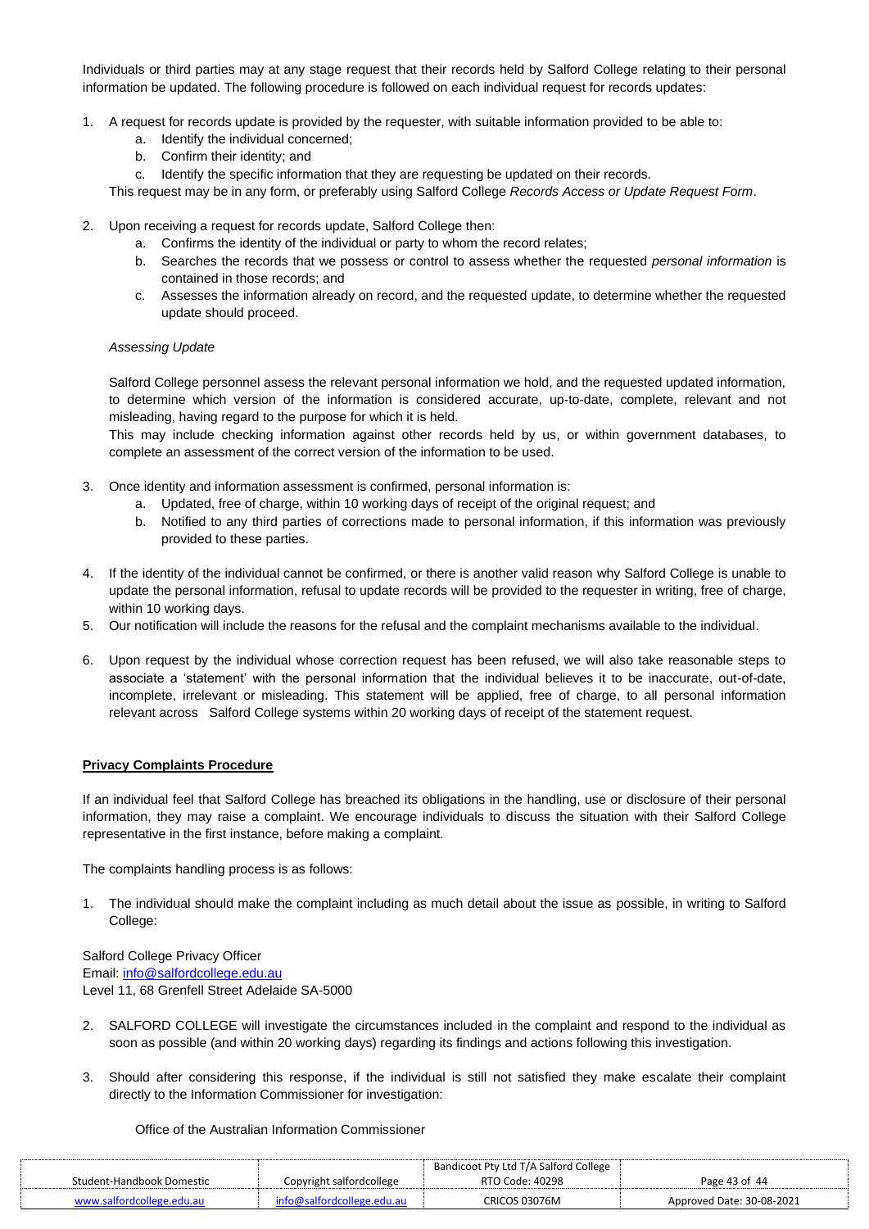Individuals or third parties may at any stage request that their records held by Salford College relating to their personal information be updated. The following procedure is followed on each individual request for records updates:

- 1. A request for records update is provided by the requester, with suitable information provided to be able to:
	- a. Identify the individual concerned;
	- b. Confirm their identity; and
	- c. Identify the specific information that they are requesting be updated on their records.

This request may be in any form, or preferably using Salford College *Records Access or Update Request Form*.

- 2. Upon receiving a request for records update, Salford College then:
	- a. Confirms the identity of the individual or party to whom the record relates;
	- b. Searches the records that we possess or control to assess whether the requested *personal information* is contained in those records; and
	- c. Assesses the information already on record, and the requested update, to determine whether the requested update should proceed.

# *Assessing Update*

Salford College personnel assess the relevant personal information we hold, and the requested updated information, to determine which version of the information is considered accurate, up-to-date, complete, relevant and not misleading, having regard to the purpose for which it is held.

This may include checking information against other records held by us, or within government databases, to complete an assessment of the correct version of the information to be used.

- 3. Once identity and information assessment is confirmed, personal information is:
	- a. Updated, free of charge, within 10 working days of receipt of the original request; and
	- b. Notified to any third parties of corrections made to personal information, if this information was previously provided to these parties.
- 4. If the identity of the individual cannot be confirmed, or there is another valid reason why Salford College is unable to update the personal information, refusal to update records will be provided to the requester in writing, free of charge, within 10 working days.
- 5. Our notification will include the reasons for the refusal and the complaint mechanisms available to the individual.
- 6. Upon request by the individual whose correction request has been refused, we will also take reasonable steps to associate a 'statement' with the personal information that the individual believes it to be inaccurate, out-of-date, incomplete, irrelevant or misleading. This statement will be applied, free of charge, to all personal information relevant across Salford College systems within 20 working days of receipt of the statement request.

# <span id="page-42-0"></span>**Privacy Complaints Procedure**

If an individual feel that Salford College has breached its obligations in the handling, use or disclosure of their personal information, they may raise a complaint. We encourage individuals to discuss the situation with their Salford College representative in the first instance, before making a complaint.

The complaints handling process is as follows:

1. The individual should make the complaint including as much detail about the issue as possible, in writing to Salford College:

Salford College Privacy Officer Email: info@salfordcollege.edu.au Level 11, 68 Grenfell Street Adelaide SA-5000

- 2. SALFORD COLLEGE will investigate the circumstances included in the complaint and respond to the individual as soon as possible (and within 20 working days) regarding its findings and actions following this investigation.
- 3. Should after considering this response, if the individual is still not satisfied they make escalate their complaint directly to the Information Commissioner for investigation:

Office of the Australian Information Commissioner

|                           |                          | Bandicoot Pty Ltd T/A Salford College |                           |
|---------------------------|--------------------------|---------------------------------------|---------------------------|
| Student-Handbook Domestic | Copyright salfordcollege | RTO Code: 40298                       | Page 43 of 44             |
|                           |                          | CRICOS 03076M                         | Approved Date: 30-08-2021 |